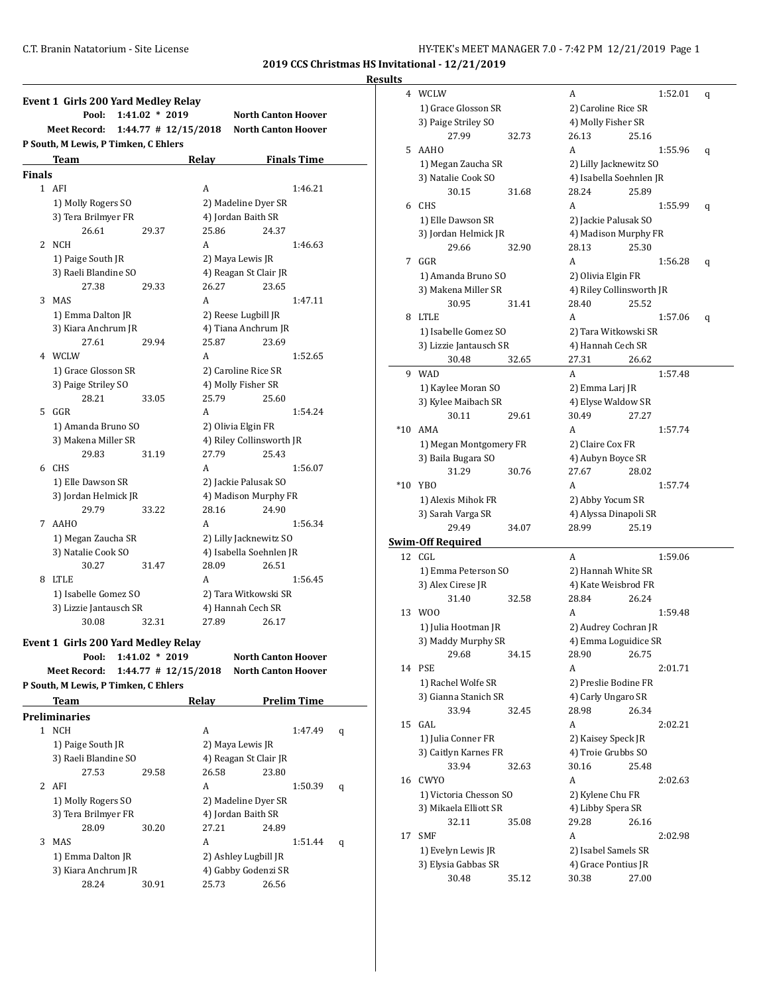| Results |  |
|---------|--|
|         |  |

|        | Event 1 Girls 200 Yard Medley Relay                     |                          |                                                          |
|--------|---------------------------------------------------------|--------------------------|----------------------------------------------------------|
|        | Pool:<br>$1:41.02 * 2019$                               |                          | <b>North Canton Hoover</b>                               |
|        | <b>Meet Record:</b>                                     | $1:44.77$ # $12/15/2018$ | <b>North Canton Hoover</b>                               |
|        | P South, M Lewis, P Timken, C Ehlers                    |                          |                                                          |
|        | Team                                                    | Relay                    | <b>Finals Time</b>                                       |
| Finals |                                                         |                          |                                                          |
|        | 1 AFI                                                   | А                        | 1:46.21                                                  |
|        | 1) Molly Rogers SO                                      |                          | 2) Madeline Dyer SR                                      |
|        | 3) Tera Brilmyer FR                                     |                          | 4) Jordan Baith SR                                       |
|        | 26.61<br>29.37                                          | 25.86                    | 24.37                                                    |
| 2      | NCH                                                     | A                        | 1:46.63                                                  |
|        | 1) Paige South JR                                       |                          | 2) Maya Lewis JR                                         |
|        | 3) Raeli Blandine SO                                    |                          | 4) Reagan St Clair JR                                    |
|        | 27.38<br>29.33                                          | 26.27                    | 23.65                                                    |
| 3      | MAS                                                     | A                        | 1:47.11                                                  |
|        | 1) Emma Dalton JR                                       |                          | 2) Reese Lugbill JR                                      |
|        | 3) Kiara Anchrum JR                                     |                          | 4) Tiana Anchrum JR                                      |
|        | 27.61<br>29.94                                          | 25.87                    | 23.69                                                    |
|        | 4 WCLW                                                  | A                        | 1:52.65                                                  |
|        | 1) Grace Glosson SR                                     |                          | 2) Caroline Rice SR                                      |
|        | 3) Paige Striley SO                                     |                          | 4) Molly Fisher SR                                       |
|        | 28.21<br>33.05                                          | 25.79                    | 25.60                                                    |
| 5      | GGR                                                     | A                        | 1:54.24                                                  |
|        | 1) Amanda Bruno SO                                      |                          | 2) Olivia Elgin FR                                       |
|        | 3) Makena Miller SR                                     |                          | 4) Riley Collinsworth JR                                 |
| 6      | 29.83<br>31.19<br>CHS                                   | 27.79<br>A               | 25.43<br>1:56.07                                         |
|        |                                                         |                          |                                                          |
|        | 1) Elle Dawson SR<br>3) Jordan Helmick JR               |                          | 2) Jackie Palusak SO<br>4) Madison Murphy FR             |
|        | 29.79<br>33.22                                          | 28.16                    | 24.90                                                    |
| 7      | AAHO                                                    | A                        | 1:56.34                                                  |
|        | 1) Megan Zaucha SR                                      |                          | 2) Lilly Jacknewitz SO                                   |
|        | 3) Natalie Cook SO                                      |                          | 4) Isabella Soehnlen JR                                  |
|        | 30.27<br>31.47                                          | 28.09                    | 26.51                                                    |
| 8      | LTLE                                                    | A                        | 1:56.45                                                  |
|        | 1) Isabelle Gomez SO                                    |                          | 2) Tara Witkowski SR                                     |
|        | 3) Lizzie Jantausch SR                                  |                          | 4) Hannah Cech SR                                        |
|        | 30.08<br>32.31                                          | 27.89                    | 26.17                                                    |
|        |                                                         |                          |                                                          |
|        | Event 1 Girls 200 Yard Medley Relay<br>$1:41.02 * 2019$ |                          |                                                          |
|        | Pool:<br><b>Meet Record:</b>                            | $1:44.77$ # $12/15/2018$ | <b>North Canton Hoover</b><br><b>North Canton Hoover</b> |
|        | P South, M Lewis, P Timken, C Ehlers                    |                          |                                                          |
|        |                                                         |                          |                                                          |
|        | <b>Team</b>                                             | Relay                    | <b>Prelim Time</b>                                       |
|        | Preliminaries                                           |                          |                                                          |
|        | 1 NCH                                                   | А                        | 1:47.49                                                  |
|        | 1) Paige South JR                                       |                          | 2) Maya Lewis JR                                         |
|        | 3) Raeli Blandine SO                                    |                          | 4) Reagan St Clair JR                                    |
| 2      | 27.53<br>29.58<br>AFI                                   | 26.58<br>А               | 23.80                                                    |
|        |                                                         |                          | 1:50.39                                                  |
|        | 1) Molly Rogers SO                                      |                          | 2) Madeline Dyer SR                                      |

3) Tera Brilmyer FR 4) Jordan Baith SR 28.09 30.20 27.21 24.89 3 MAS A 1:51.44 q

1) Emma Dalton JR 2) Ashley Lugbill JR 3) Kiara Anchrum JR 4) Gabby Godenzi SR 28.24 30.91 25.73 26.56

|       | 4 WCLW                   |       | A                        |       | 1:52.01 | q |
|-------|--------------------------|-------|--------------------------|-------|---------|---|
|       | 1) Grace Glosson SR      |       | 2) Caroline Rice SR      |       |         |   |
|       | 3) Paige Striley SO      |       | 4) Molly Fisher SR       |       |         |   |
|       | 27.99                    | 32.73 | 26.13                    | 25.16 |         |   |
| 5     | <b>AAHO</b>              |       | A                        |       | 1:55.96 |   |
|       |                          |       |                          |       |         | q |
|       | 1) Megan Zaucha SR       |       | 2) Lilly Jacknewitz SO   |       |         |   |
|       | 3) Natalie Cook SO       |       | 4) Isabella Soehnlen JR  |       |         |   |
|       | 30.15                    | 31.68 | 28.24                    | 25.89 |         |   |
|       | 6 CHS                    |       | A                        |       | 1:55.99 | q |
|       | 1) Elle Dawson SR        |       | 2) Jackie Palusak SO     |       |         |   |
|       | 3) Jordan Helmick JR     |       | 4) Madison Murphy FR     |       |         |   |
|       | 29.66                    | 32.90 | 28.13                    | 25.30 |         |   |
|       | 7 GGR                    |       | A                        |       | 1:56.28 | q |
|       | 1) Amanda Bruno SO       |       | 2) Olivia Elgin FR       |       |         |   |
|       | 3) Makena Miller SR      |       | 4) Riley Collinsworth JR |       |         |   |
|       | 30.95                    | 31.41 | 28.40                    | 25.52 |         |   |
| 8     | <b>LTLE</b>              |       | A                        |       | 1:57.06 | q |
|       | 1) Isabelle Gomez SO     |       | 2) Tara Witkowski SR     |       |         |   |
|       | 3) Lizzie Jantausch SR   |       | 4) Hannah Cech SR        |       |         |   |
|       | 30.48                    | 32.65 | 27.31                    | 26.62 |         |   |
|       | 9 WAD                    |       | A                        |       | 1:57.48 |   |
|       | 1) Kaylee Moran SO       |       | 2) Emma Larj JR          |       |         |   |
|       | 3) Kylee Maibach SR      |       | 4) Elyse Waldow SR       |       |         |   |
|       | 30.11                    |       |                          |       |         |   |
|       |                          | 29.61 | 30.49                    | 27.27 |         |   |
| $*10$ | AMA                      |       | A                        |       | 1:57.74 |   |
|       | 1) Megan Montgomery FR   |       | 2) Claire Cox FR         |       |         |   |
|       | 3) Baila Bugara SO       |       | 4) Aubyn Boyce SR        |       |         |   |
|       | 31.29                    | 30.76 | 27.67                    | 28.02 |         |   |
| $*10$ | YBO                      |       | A                        |       | 1:57.74 |   |
|       |                          |       |                          |       |         |   |
|       | 1) Alexis Mihok FR       |       | 2) Abby Yocum SR         |       |         |   |
|       | 3) Sarah Varga SR        |       | 4) Alyssa Dinapoli SR    |       |         |   |
|       | 29.49                    | 34.07 | 28.99                    | 25.19 |         |   |
|       | <b>Swim-Off Required</b> |       |                          |       |         |   |
| 12    | CGL                      |       | A                        |       | 1:59.06 |   |
|       | 1) Emma Peterson SO      |       | 2) Hannah White SR       |       |         |   |
|       | 3) Alex Cirese JR        |       | 4) Kate Weisbrod FR      |       |         |   |
|       | 31.40                    | 32.58 | 28.84                    | 26.24 |         |   |
| 13    | W00                      |       | A                        |       | 1:59.48 |   |
|       |                          |       | 2) Audrey Cochran JR     |       |         |   |
|       | 1) Julia Hootman JR      |       |                          |       |         |   |
|       | 3) Maddy Murphy SR       |       | 4) Emma Loguidice SR     | 26.75 |         |   |
|       | 29.68                    | 34.15 | 28.90                    |       |         |   |
|       | 14 PSE                   |       | A                        |       | 2:01.71 |   |
|       | 1) Rachel Wolfe SR       |       | 2) Preslie Bodine FR     |       |         |   |
|       | 3) Gianna Stanich SR     |       | 4) Carly Ungaro SR       |       |         |   |
|       | 33.94                    | 32.45 | 28.98                    | 26.34 |         |   |
| 15    | GAL                      |       | A                        |       | 2:02.21 |   |
|       | 1) Julia Conner FR       |       | 2) Kaisey Speck JR       |       |         |   |
|       | 3) Caitlyn Karnes FR     |       | 4) Troie Grubbs SO       |       |         |   |
|       | 33.94                    | 32.63 | 30.16                    | 25.48 |         |   |
| 16    | <b>CWYO</b>              |       | A                        |       | 2:02.63 |   |
|       | 1) Victoria Chesson SO   |       | 2) Kylene Chu FR         |       |         |   |
|       | 3) Mikaela Elliott SR    |       | 4) Libby Spera SR        |       |         |   |
|       | 32.11                    | 35.08 | 29.28                    | 26.16 |         |   |
| 17    | <b>SMF</b>               |       | A                        |       | 2:02.98 |   |
|       | 1) Evelyn Lewis JR       |       | 2) Isabel Samels SR      |       |         |   |
|       | 3) Elysia Gabbas SR      |       | 4) Grace Pontius JR      |       |         |   |
|       | 30.48                    | 35.12 | 30.38                    | 27.00 |         |   |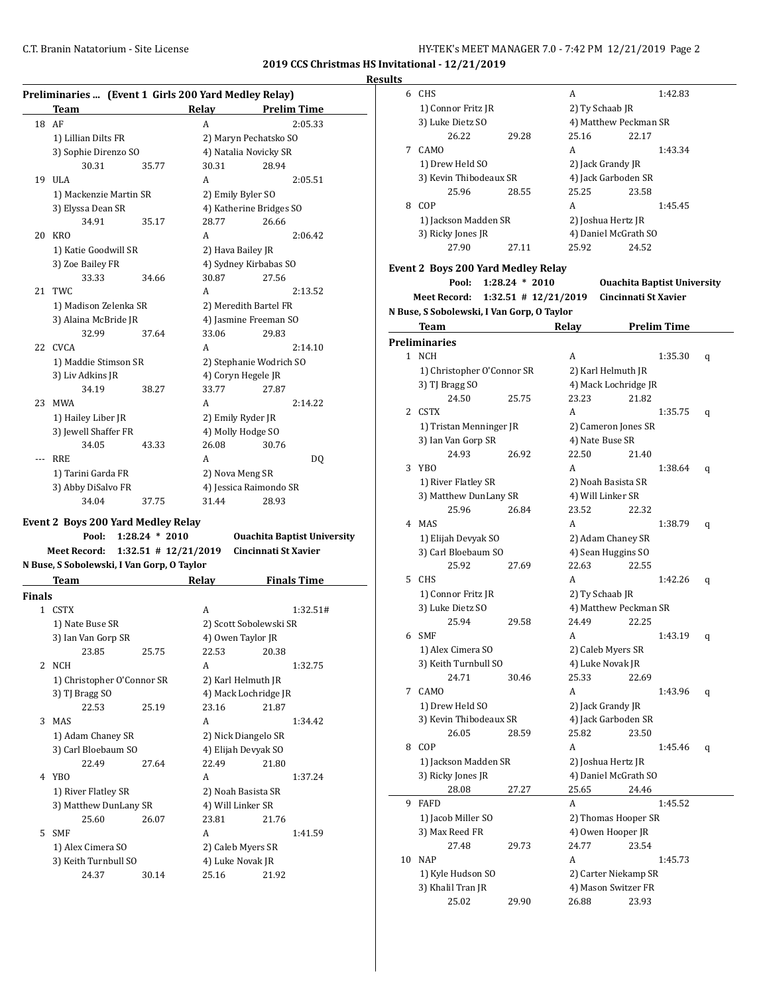**2019 CCS Christmas HS Invitational - 12/21/2019**

| Results |
|---------|
|         |

| Preliminaries  (Event 1 Girls 200 Yard Medley Relay) |                          |                   |                                    |
|------------------------------------------------------|--------------------------|-------------------|------------------------------------|
| Team                                                 |                          | Relay             | <b>Prelim Time</b>                 |
| 18<br>AF                                             |                          | A                 | 2:05.33                            |
| 1) Lillian Dilts FR                                  |                          |                   | 2) Maryn Pechatsko SO              |
| 3) Sophie Direnzo SO                                 |                          |                   | 4) Natalia Novicky SR              |
| 30.31                                                | 35.77                    | 30.31             | 28.94                              |
| 19 ULA                                               |                          | A                 | 2:05.51                            |
| 1) Mackenzie Martin SR                               |                          | 2) Emily Byler SO |                                    |
| 3) Elyssa Dean SR                                    |                          |                   | 4) Katherine Bridges SO            |
| 34.91                                                | 35.17                    | 28.77             | 26.66                              |
| 20 KRO                                               |                          | A                 | 2:06.42                            |
| 1) Katie Goodwill SR                                 |                          | 2) Hava Bailey JR |                                    |
| 3) Zoe Bailey FR                                     |                          |                   | 4) Sydney Kirbabas SO              |
| 33.33                                                | 34.66                    | 30.87             | 27.56                              |
| TWC<br>21                                            |                          | A                 | 2:13.52                            |
| 1) Madison Zelenka SR                                |                          |                   | 2) Meredith Bartel FR              |
| 3) Alaina McBride JR                                 |                          |                   | 4) Jasmine Freeman SO              |
| 32.99                                                | 37.64                    | 33.06             | 29.83                              |
| 22<br><b>CVCA</b>                                    |                          | A                 | 2:14.10                            |
| 1) Maddie Stimson SR                                 |                          |                   | 2) Stephanie Wodrich SO            |
| 3) Liv Adkins JR                                     |                          |                   | 4) Coryn Hegele JR                 |
| 34.19                                                | 38.27                    | 33.77             | 27.87                              |
| 23 MWA                                               |                          | A                 | 2:14.22                            |
|                                                      |                          |                   |                                    |
| 1) Hailey Liber JR                                   |                          | 2) Emily Ryder JR |                                    |
| 3) Jewell Shaffer FR<br>34.05                        |                          | 26.08             | 4) Molly Hodge SO                  |
|                                                      | 43.33                    |                   | 30.76                              |
| RRE<br>---                                           |                          | A                 | DQ                                 |
| 1) Tarini Garda FR                                   |                          | 2) Nova Meng SR   |                                    |
| 3) Abby DiSalvo FR                                   |                          |                   | 4) Jessica Raimondo SR             |
| 34.04                                                | 37.75                    | 31.44             | 28.93                              |
| <b>Event 2 Boys 200 Yard Medley Relay</b>            |                          |                   |                                    |
| Pool:                                                | $1:28.24 * 2010$         |                   | <b>Ouachita Baptist University</b> |
| <b>Meet Record:</b>                                  | $1:32.51$ # $12/21/2019$ |                   | Cincinnati St Xavier               |
| N Buse, S Sobolewski, I Van Gorp, O Taylor           |                          |                   |                                    |
| Team                                                 |                          |                   | Relay Finals Time                  |
| <b>Finals</b>                                        |                          |                   |                                    |
| 1 CSTX                                               |                          | A                 | 1:32.51#                           |
| 1) Nate Buse SR                                      |                          |                   | 2) Scott Sobolewski SR             |
| 3) Ian Van Gorp SR                                   |                          |                   | 4) Owen Taylor JR                  |
| 23.85                                                | 25.75                    | 22.53             | 20.38                              |
| 2 NCH                                                |                          | A                 | 1:32.75                            |
| 1) Christopher O'Connor SR                           |                          |                   | 2) Karl Helmuth JR                 |
| 3) TJ Bragg SO                                       |                          |                   | 4) Mack Lochridge JR               |
| 22.53                                                | 25.19                    | 23.16             | 21.87                              |
| 3 MAS                                                |                          | A                 | 1:34.42                            |
| 1) Adam Chaney SR                                    |                          |                   | 2) Nick Diangelo SR                |
| 3) Carl Bloebaum SO                                  |                          |                   | 4) Elijah Devyak SO                |
| 22.49                                                | 27.64                    | 22.49             | 21.80                              |

4 YBO A 1:37.24 1) River Flatley SR 2) Noah Basista SR 3) Matthew DunLany SR 4) Will Linker SR 25.60 26.07 23.81 21.76 5 SMF A 1:41.59 1) Alex Cimera SO 2) Caleb Myers SR 3) Keith Turnbull SO 4) Luke Novak JR 24.37 30.14 25.16 21.92

| 6  | CHS                                        |                          | A                     |                      | 1:42.83                            |   |
|----|--------------------------------------------|--------------------------|-----------------------|----------------------|------------------------------------|---|
|    | 1) Connor Fritz JR                         |                          | 2) Ty Schaab JR       |                      |                                    |   |
|    | 3) Luke Dietz SO                           |                          | 4) Matthew Peckman SR |                      |                                    |   |
|    | 26.22                                      | 29.28                    | 25.16                 | 22.17                |                                    |   |
| 7  | CAMO                                       |                          | A                     |                      | 1:43.34                            |   |
|    | 1) Drew Held SO                            |                          | 2) Jack Grandy JR     |                      |                                    |   |
|    | 3) Kevin Thibodeaux SR                     |                          | 4) Jack Garboden SR   |                      |                                    |   |
|    | 25.96                                      | 28.55                    | 25.25                 | 23.58                |                                    |   |
| 8  | COP                                        |                          | A                     |                      | 1:45.45                            |   |
|    |                                            |                          |                       |                      |                                    |   |
|    | 1) Jackson Madden SR                       |                          | 2) Joshua Hertz JR    |                      |                                    |   |
|    | 3) Ricky Jones JR                          |                          | 4) Daniel McGrath SO  |                      |                                    |   |
|    | 27.90                                      | 27.11                    | 25.92                 | 24.52                |                                    |   |
|    | Event 2 Boys 200 Yard Medley Relay         |                          |                       |                      |                                    |   |
|    | Pool:                                      | $1:28.24 * 2010$         |                       |                      | <b>Ouachita Baptist University</b> |   |
|    | <b>Meet Record:</b>                        | $1:32.51$ # $12/21/2019$ |                       | Cincinnati St Xavier |                                    |   |
|    | N Buse, S Sobolewski, I Van Gorp, O Taylor |                          |                       |                      |                                    |   |
|    | Team                                       |                          | Relay                 |                      | <b>Prelim Time</b>                 |   |
|    |                                            |                          |                       |                      |                                    |   |
|    | Preliminaries<br>1 NCH                     |                          |                       |                      |                                    |   |
|    |                                            |                          | A                     |                      | 1:35.30                            | q |
|    | 1) Christopher O'Connor SR                 |                          | 2) Karl Helmuth JR    |                      |                                    |   |
|    | 3) TJ Bragg SO                             |                          | 4) Mack Lochridge JR  |                      |                                    |   |
|    | 24.50                                      | 25.75                    | 23.23                 | 21.82                |                                    |   |
| 2  | CSTX                                       |                          | A                     |                      | 1:35.75                            | q |
|    | 1) Tristan Menninger JR                    |                          | 2) Cameron Jones SR   |                      |                                    |   |
|    | 3) Ian Van Gorp SR                         |                          | 4) Nate Buse SR       |                      |                                    |   |
|    | 24.93                                      | 26.92                    | 22.50                 | 21.40                |                                    |   |
| 3  | YBO                                        |                          | A                     |                      | 1:38.64                            | q |
|    | 1) River Flatley SR                        |                          | 2) Noah Basista SR    |                      |                                    |   |
|    | 3) Matthew DunLany SR                      |                          | 4) Will Linker SR     |                      |                                    |   |
|    | 25.96                                      | 26.84                    | 23.52                 | 22.32                |                                    |   |
|    | 4 MAS                                      |                          | A                     |                      | 1:38.79                            | q |
|    | 1) Elijah Devyak SO                        |                          | 2) Adam Chaney SR     |                      |                                    |   |
|    | 3) Carl Bloebaum SO                        |                          | 4) Sean Huggins SO    |                      |                                    |   |
|    | 25.92                                      | 27.69                    | 22.63                 | 22.55                |                                    |   |
| 5  | <b>CHS</b>                                 |                          | A                     |                      | 1:42.26                            | q |
|    | 1) Connor Fritz JR                         |                          | 2) Ty Schaab JR       |                      |                                    |   |
|    | 3) Luke Dietz SO                           |                          | 4) Matthew Peckman SR |                      |                                    |   |
|    | 25.94                                      | 29.58                    | 24.49                 | 22.25                |                                    |   |
| 6  | <b>SMF</b>                                 |                          | A                     |                      | 1:43.19                            | q |
|    | 1) Alex Cimera SO                          |                          | 2) Caleb Myers SR     |                      |                                    |   |
|    | 3) Keith Turnbull SO                       |                          | 4) Luke Novak JR      |                      |                                    |   |
|    | 24.71                                      | 30.46                    | 25.33                 | 22.69                |                                    |   |
| 7  | <b>CAMO</b>                                |                          | A                     |                      | 1:43.96                            | q |
|    | 1) Drew Held SO                            |                          | 2) Jack Grandy JR     |                      |                                    |   |
|    | 3) Kevin Thibodeaux SR                     |                          | 4) Jack Garboden SR   |                      |                                    |   |
|    | 26.05                                      | 28.59                    | 25.82                 | 23.50                |                                    |   |
| 8  | COP                                        |                          | A                     |                      | 1:45.46                            | q |
|    | 1) Jackson Madden SR                       |                          | 2) Joshua Hertz JR    |                      |                                    |   |
|    | 3) Ricky Jones JR                          |                          | 4) Daniel McGrath SO  |                      |                                    |   |
|    | 28.08                                      | 27.27                    | 25.65                 | 24.46                |                                    |   |
| 9  | FAFD                                       |                          | A                     |                      | 1:45.52                            |   |
|    | 1) Jacob Miller SO                         |                          | 2) Thomas Hooper SR   |                      |                                    |   |
|    | 3) Max Reed FR                             |                          | 4) Owen Hooper JR     |                      |                                    |   |
|    | 27.48                                      | 29.73                    | 24.77                 | 23.54                |                                    |   |
| 10 | <b>NAP</b>                                 |                          | A                     |                      | 1:45.73                            |   |
|    | 1) Kyle Hudson SO                          |                          | 2) Carter Niekamp SR  |                      |                                    |   |
|    | 3) Khalil Tran JR                          |                          | 4) Mason Switzer FR   |                      |                                    |   |
|    | 25.02                                      | 29.90                    | 26.88                 | 23.93                |                                    |   |
|    |                                            |                          |                       |                      |                                    |   |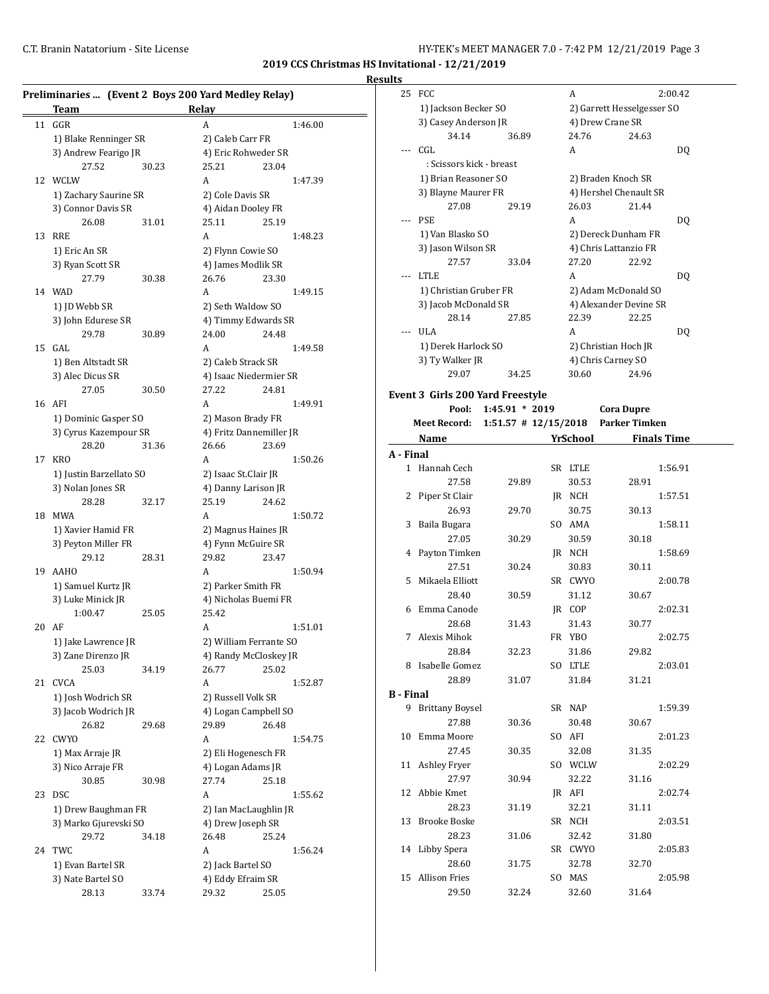**Results**

| Preliminaries  (Event 2 Boys 200 Yard Medley Relay)<br>Relay<br><b>Team</b> |                         |       |                         |       |         |  |  |
|-----------------------------------------------------------------------------|-------------------------|-------|-------------------------|-------|---------|--|--|
| 11                                                                          | GGR                     |       | A                       |       | 1:46.00 |  |  |
|                                                                             | 1) Blake Renninger SR   |       | 2) Caleb Carr FR        |       |         |  |  |
|                                                                             | 3) Andrew Fearigo JR    |       | 4) Eric Rohweder SR     |       |         |  |  |
|                                                                             | 27.52                   | 30.23 | 25.21                   | 23.04 |         |  |  |
| 12                                                                          | WCLW                    |       | A                       |       | 1:47.39 |  |  |
|                                                                             | 1) Zachary Saurine SR   |       | 2) Cole Davis SR        |       |         |  |  |
|                                                                             | 3) Connor Davis SR      |       | 4) Aidan Dooley FR      |       |         |  |  |
|                                                                             | 26.08                   | 31.01 | 25.11                   | 25.19 |         |  |  |
| 13                                                                          | RRE                     |       | A                       |       | 1:48.23 |  |  |
|                                                                             | 1) Eric An SR           |       | 2) Flynn Cowie SO       |       |         |  |  |
|                                                                             | 3) Ryan Scott SR        |       | 4) James Modlik SR      |       |         |  |  |
|                                                                             | 27.79                   | 30.38 | 26.76                   | 23.30 |         |  |  |
|                                                                             | 14 WAD                  |       | A                       |       | 1:49.15 |  |  |
|                                                                             | 1) JD Webb SR           |       | 2) Seth Waldow SO       |       |         |  |  |
|                                                                             | 3) John Edurese SR      |       | 4) Timmy Edwards SR     |       |         |  |  |
|                                                                             | 29.78                   | 30.89 | 24.00                   | 24.48 |         |  |  |
| 15                                                                          | GAL                     |       | А                       |       | 1:49.58 |  |  |
|                                                                             | 1) Ben Altstadt SR      |       | 2) Caleb Strack SR      |       |         |  |  |
|                                                                             | 3) Alec Dicus SR        |       | 4) Isaac Niedermier SR  |       |         |  |  |
|                                                                             | 27.05                   | 30.50 | 27.22                   | 24.81 |         |  |  |
|                                                                             | 16 AFI                  |       | A                       |       | 1:49.91 |  |  |
|                                                                             | 1) Dominic Gasper SO    |       | 2) Mason Brady FR       |       |         |  |  |
|                                                                             | 3) Cyrus Kazempour SR   |       | 4) Fritz Dannemiller JR |       |         |  |  |
|                                                                             | 28.20                   | 31.36 | 26.66                   | 23.69 |         |  |  |
| 17                                                                          | <b>KRO</b>              |       | A                       |       | 1:50.26 |  |  |
|                                                                             | 1) Justin Barzellato SO |       | 2) Isaac St.Clair JR    |       |         |  |  |
|                                                                             | 3) Nolan Jones SR       |       | 4) Danny Larison JR     |       |         |  |  |
|                                                                             | 28.28                   | 32.17 | 25.19                   | 24.62 |         |  |  |
| 18                                                                          | MWA                     |       | А                       |       | 1:50.72 |  |  |
|                                                                             | 1) Xavier Hamid FR      |       | 2) Magnus Haines JR     |       |         |  |  |
|                                                                             | 3) Peyton Miller FR     |       | 4) Fynn McGuire SR      |       |         |  |  |
|                                                                             | 29.12                   | 28.31 | 29.82                   | 23.47 |         |  |  |
| 19                                                                          | <b>AAHO</b>             |       | A                       |       | 1:50.94 |  |  |
|                                                                             | 1) Samuel Kurtz JR      |       | 2) Parker Smith FR      |       |         |  |  |
|                                                                             | 3) Luke Minick JR       |       | 4) Nicholas Buemi FR    |       |         |  |  |
|                                                                             | 1:00.47                 | 25.05 | 25.42                   |       |         |  |  |
| 20                                                                          | AF                      |       | A                       |       | 1:51.01 |  |  |
|                                                                             | 1) Jake Lawrence JR     |       | 2) William Ferrante SO  |       |         |  |  |
|                                                                             | 3) Zane Direnzo JR      |       | 4) Randy McCloskey JR   |       |         |  |  |
|                                                                             | 25.03                   | 34.19 | 26.77                   | 25.02 |         |  |  |
| 21                                                                          | CVCA                    |       | А                       |       | 1:52.87 |  |  |
|                                                                             | 1) Josh Wodrich SR      |       | 2) Russell Volk SR      |       |         |  |  |
|                                                                             | 3) Jacob Wodrich JR     |       | 4) Logan Campbell SO    |       |         |  |  |
|                                                                             | 26.82                   | 29.68 | 29.89                   | 26.48 |         |  |  |
| 22                                                                          | <b>CWYO</b>             |       | A                       |       | 1:54.75 |  |  |
|                                                                             | 1) Max Arraje JR        |       | 2) Eli Hogenesch FR     |       |         |  |  |
|                                                                             | 3) Nico Arraje FR       |       | 4) Logan Adams JR       |       |         |  |  |
|                                                                             | 30.85                   | 30.98 | 27.74                   | 25.18 |         |  |  |
| 23                                                                          | <b>DSC</b>              |       | А                       |       | 1:55.62 |  |  |
|                                                                             | 1) Drew Baughman FR     |       | 2) Ian MacLaughlin JR   |       |         |  |  |
|                                                                             | 3) Marko Gjurevski SO   |       | 4) Drew Joseph SR       |       |         |  |  |
|                                                                             | 29.72                   | 34.18 | 26.48                   | 25.24 |         |  |  |
| 24                                                                          | TWC                     |       | A                       |       | 1:56.24 |  |  |
|                                                                             | 1) Evan Bartel SR       |       | 2) Jack Bartel SO       |       |         |  |  |
|                                                                             | 3) Nate Bartel SO       |       | 4) Eddy Efraim SR       |       |         |  |  |
|                                                                             | 28.13                   | 33.74 | 29.32                   | 25.05 |         |  |  |

| սււა             |                                         |                          |          |                            |
|------------------|-----------------------------------------|--------------------------|----------|----------------------------|
| 25               | FCC                                     |                          | A        | 2:00.42                    |
|                  | 1) Jackson Becker SO                    |                          |          | 2) Garrett Hesselgesser SO |
|                  | 3) Casey Anderson JR                    |                          |          | 4) Drew Crane SR           |
|                  | 34.14                                   | 36.89                    | 24.76    | 24.63                      |
|                  | CGL                                     |                          | A        |                            |
|                  |                                         |                          |          | DQ                         |
|                  | : Scissors kick - breast                |                          |          |                            |
|                  | 1) Brian Reasoner SO                    |                          |          | 2) Braden Knoch SR         |
|                  | 3) Blayne Maurer FR                     |                          |          | 4) Hershel Chenault SR     |
|                  | 27.08                                   | 29.19                    | 26.03    | 21.44                      |
| ---              | PSE                                     |                          | A        | DQ                         |
|                  | 1) Van Blasko SO                        |                          |          | 2) Dereck Dunham FR        |
|                  | 3) Jason Wilson SR                      |                          |          | 4) Chris Lattanzio FR      |
|                  | 27.57                                   | 33.04                    | 27.20    | 22.92                      |
|                  | <b>LTLE</b>                             |                          | A        | DQ                         |
|                  | 1) Christian Gruber FR                  |                          |          | 2) Adam McDonald SO        |
|                  | 3) Jacob McDonald SR                    |                          |          | 4) Alexander Devine SR     |
|                  | 28.14                                   | 27.85                    | 22.39    | 22.25                      |
|                  | <b>ULA</b>                              |                          | A        | DQ                         |
|                  | 1) Derek Harlock SO                     |                          |          | 2) Christian Hoch JR       |
|                  | 3) Ty Walker JR                         |                          |          | 4) Chris Carney SO         |
|                  | 29.07                                   | 34.25                    | 30.60    | 24.96                      |
|                  |                                         |                          |          |                            |
|                  | <b>Event 3 Girls 200 Yard Freestyle</b> |                          |          |                            |
|                  | Pool:                                   | $1:45.91 * 2019$         |          | <b>Cora Dupre</b>          |
|                  | Meet Record:                            | $1:51.57$ # $12/15/2018$ |          | <b>Parker Timken</b>       |
|                  | Name                                    |                          | YrSchool | <b>Finals Time</b>         |
| A - Final        |                                         |                          |          |                            |
|                  | 1 Hannah Cech                           |                          | SR LTLE  | 1:56.91                    |
|                  | 27.58                                   |                          |          | 28.91                      |
|                  |                                         | 29.89                    | 30.53    |                            |
| 2                | Piper St Clair                          |                          | JR NCH   | 1:57.51                    |
|                  | 26.93                                   | 29.70                    | 30.75    | 30.13                      |
| 3                | Baila Bugara                            |                          | SO AMA   | 1:58.11                    |
|                  | 27.05                                   | 30.29                    | 30.59    | 30.18                      |
| 4                | Payton Timken                           |                          | JR NCH   | 1:58.69                    |
|                  | 27.51                                   | 30.24                    | 30.83    | 30.11                      |
| 5                | Mikaela Elliott                         |                          | SR CWYO  | 2:00.78                    |
|                  | 28.40                                   | 30.59                    | 31.12    | 30.67                      |
| 6                | Emma Canode                             |                          | JR COP   | 2:02.31                    |
|                  | 28.68                                   | 31.43                    | 31.43    | 30.77                      |
| 7                | Alexis Mihok                            |                          | FR YBO   | 2:02.75                    |
|                  | 28.84                                   | 32.23                    | 31.86    | 29.82                      |
|                  | 8 Isabelle Gomez                        |                          | SO LTLE  | 2:03.01                    |
|                  | 28.89                                   | 31.07                    | 31.84    | 31.21                      |
| <b>B</b> - Final |                                         |                          |          |                            |
| 9                | <b>Brittany Boysel</b>                  |                          | SR NAP   | 1:59.39                    |
|                  | 27.88                                   | 30.36                    | 30.48    |                            |
|                  |                                         |                          |          | 30.67                      |
| 10               | Emma Moore                              |                          | SO AFI   | 2:01.23                    |
|                  | 27.45                                   | 30.35                    | 32.08    | 31.35                      |
| 11               | Ashley Fryer                            |                          | SO WCLW  | 2:02.29                    |
|                  | 27.97                                   | 30.94                    | 32.22    | 31.16                      |
| 12               | Abbie Kmet                              |                          | JR AFI   | 2:02.74                    |
|                  | 28.23                                   | 31.19                    | 32.21    | 31.11                      |
| 13               | <b>Brooke Boske</b>                     |                          | SR NCH   | 2:03.51                    |
|                  | 28.23                                   | 31.06                    | 32.42    | 31.80                      |
| 14               | Libby Spera                             |                          | SR CWYO  | 2:05.83                    |
|                  | 28.60                                   | 31.75                    | 32.78    | 32.70                      |
|                  |                                         |                          | SO MAS   | 2:05.98                    |

29.50 32.24 32.60 31.64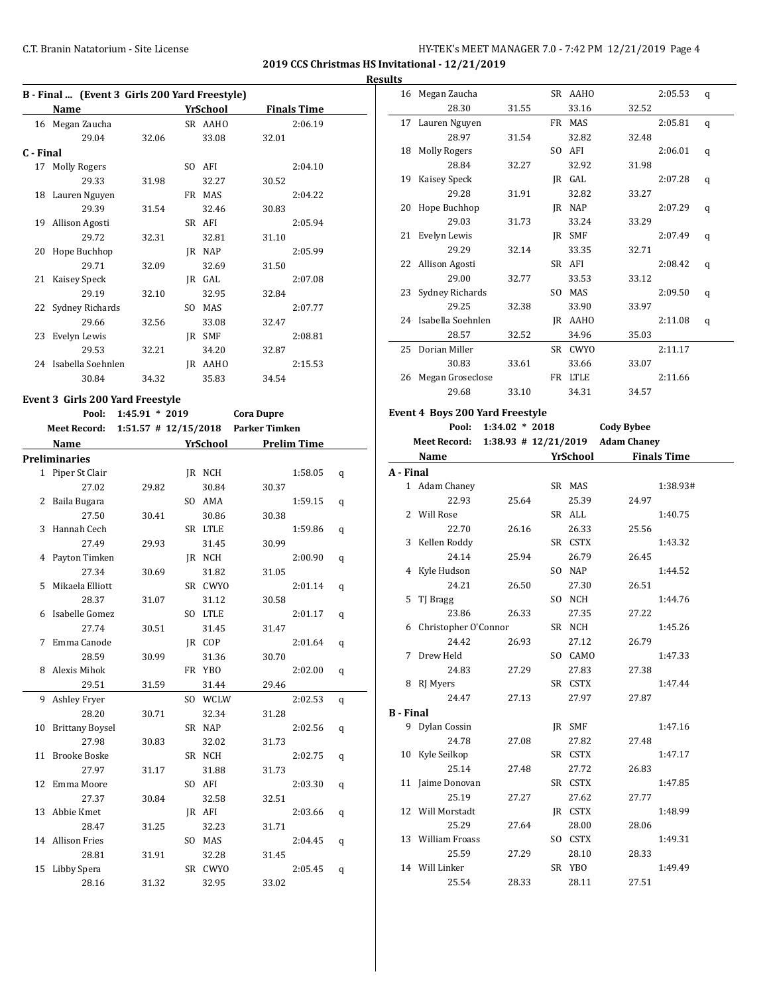## C.T. Branin Natatorium - Site License **HY-TEK's MEET MANAGER 7.0 - 7:42 PM 12/21/2019** Page 4

**2019 CCS Christmas HS Invitational - 12/21/2019 Results**

| B - Final  (Event 3 Girls 200 Yard Freestyle) |                      |       |     |            |       |                    |  |  |
|-----------------------------------------------|----------------------|-------|-----|------------|-------|--------------------|--|--|
|                                               | Name                 |       |     | YrSchool   |       | <b>Finals Time</b> |  |  |
|                                               | 16 Megan Zaucha      |       |     | SR AAHO    |       | 2:06.19            |  |  |
|                                               | 29.04                | 32.06 |     | 33.08      | 32.01 |                    |  |  |
| C - Final                                     |                      |       |     |            |       |                    |  |  |
| 17                                            | <b>Molly Rogers</b>  |       | SO. | AFI        |       | 2:04.10            |  |  |
|                                               | 29.33                | 31.98 |     | 32.27      | 30.52 |                    |  |  |
|                                               | 18 Lauren Nguyen     |       | FR  | <b>MAS</b> |       | 2:04.22            |  |  |
|                                               | 29.39                | 31.54 |     | 32.46      | 30.83 |                    |  |  |
|                                               | 19 Allison Agosti    |       |     | SR AFI     |       | 2:05.94            |  |  |
|                                               | 29.72                | 32.31 |     | 32.81      | 31.10 |                    |  |  |
| 20                                            | Hope Buchhop         |       | IR  | NAP        |       | 2:05.99            |  |  |
|                                               | 29.71                | 32.09 |     | 32.69      | 31.50 |                    |  |  |
| 21                                            | Kaisey Speck         |       | IR  | GAL        |       | 2:07.08            |  |  |
|                                               | 29.19                | 32.10 |     | 32.95      | 32.84 |                    |  |  |
| 22                                            | Sydney Richards      |       | SO. | <b>MAS</b> |       | 2:07.77            |  |  |
|                                               | 29.66                | 32.56 |     | 33.08      | 32.47 |                    |  |  |
| 23                                            | Evelyn Lewis         |       | IR  | <b>SMF</b> |       | 2:08.81            |  |  |
|                                               | 29.53                | 32.21 |     | 34.20      | 32.87 |                    |  |  |
|                                               | 24 Isabella Soehnlen |       | IR  | AAHO       |       | 2:15.53            |  |  |
|                                               | 30.84                | 34.32 |     | 35.83      | 34.54 |                    |  |  |

### **Event 3 Girls 200 Yard Freestyle**

|    | Pool:                  |       |          | 1:45.91 * 2019 Cora Dupre          |                    |   |
|----|------------------------|-------|----------|------------------------------------|--------------------|---|
|    | <b>Meet Record:</b>    |       |          | 1:51.57 # 12/15/2018 Parker Timken |                    |   |
|    | Name                   |       | YrSchool |                                    | <b>Prelim Time</b> |   |
|    | <b>Preliminaries</b>   |       |          |                                    |                    |   |
|    | 1 Piper St Clair       |       | JR NCH   |                                    | 1:58.05            | q |
|    | 27.02                  | 29.82 | 30.84    | 30.37                              |                    |   |
| 2  | Baila Bugara           |       | SO AMA   |                                    | 1:59.15            | q |
|    | 27.50                  | 30.41 | 30.86    | 30.38                              |                    |   |
| 3  | Hannah Cech            |       | SR LTLE  |                                    | 1:59.86            | q |
|    | 27.49                  | 29.93 | 31.45    | 30.99                              |                    |   |
| 4  | Payton Timken          |       | JR NCH   |                                    | 2:00.90            | q |
|    | 27.34                  | 30.69 | 31.82    | 31.05                              |                    |   |
| 5  | Mikaela Elliott        |       | SR CWYO  |                                    | 2:01.14            | q |
|    | 28.37                  | 31.07 | 31.12    | 30.58                              |                    |   |
| 6  | Isabelle Gomez         |       | SO LTLE  |                                    | 2:01.17            | q |
|    | 27.74                  | 30.51 | 31.45    | 31.47                              |                    |   |
| 7  | Emma Canode            |       | IR COP   |                                    | 2:01.64            | q |
|    | 28.59                  | 30.99 | 31.36    | 30.70                              |                    |   |
| 8  | Alexis Mihok           |       | FR YBO   |                                    | 2:02.00            | q |
|    | 29.51                  | 31.59 | 31.44    | 29.46                              |                    |   |
| 9  | Ashley Fryer           |       | SO WCLW  |                                    | 2:02.53            | q |
|    | 28.20                  | 30.71 | 32.34    | 31.28                              |                    |   |
| 10 | <b>Brittany Boysel</b> |       | SR NAP   |                                    | 2:02.56            | q |
|    | 27.98                  | 30.83 | 32.02    | 31.73                              |                    |   |
| 11 | <b>Brooke Boske</b>    |       | SR NCH   |                                    | 2:02.75            | q |
|    | 27.97                  | 31.17 | 31.88    | 31.73                              |                    |   |
| 12 | Emma Moore             |       | SO AFI   |                                    | 2:03.30            | q |
|    | 27.37                  | 30.84 | 32.58    | 32.51                              |                    |   |
| 13 | Abbie Kmet             |       | JR AFI   |                                    | 2:03.66            | q |
|    | 28.47                  | 31.25 | 32.23    | 31.71                              |                    |   |
|    | 14 Allison Fries       |       | SO MAS   |                                    | 2:04.45            | q |
|    | 28.81                  | 31.91 | 32.28    | 31.45                              |                    |   |
| 15 | Libby Spera            |       | SR CWYO  |                                    | 2:05.45            | q |
|    | 28.16                  | 31.32 | 32.95    | 33.02                              |                    |   |

|                  | 16 Megan Zaucha                        |                  | SR AAHO  |                    | 2:05.53            | q |
|------------------|----------------------------------------|------------------|----------|--------------------|--------------------|---|
|                  | 28.30                                  | 31.55            | 33.16    | 32.52              |                    |   |
|                  | 17 Lauren Nguyen                       |                  | FR MAS   |                    | 2:05.81            | q |
|                  | 28.97                                  | 31.54            | 32.82    | 32.48              |                    |   |
| 18               | Molly Rogers                           |                  | SO AFI   |                    | 2:06.01            | q |
|                  | 28.84                                  | 32.27            | 32.92    | 31.98              |                    |   |
| 19               | Kaisey Speck                           |                  | JR GAL   |                    | 2:07.28            | q |
|                  | 29.28                                  | 31.91            | 32.82    | 33.27              |                    |   |
| 20               | Hope Buchhop                           |                  | JR NAP   |                    | 2:07.29            | q |
|                  | 29.03                                  | 31.73            | 33.24    | 33.29              |                    |   |
| 21               | Evelyn Lewis                           |                  | JR SMF   |                    | 2:07.49            |   |
|                  | 29.29                                  | 32.14            | 33.35    | 32.71              |                    | q |
|                  | 22 Allison Agosti                      |                  | SR AFI   |                    | 2:08.42            |   |
|                  | 29.00                                  | 32.77            | 33.53    | 33.12              |                    | q |
| 23               | Sydney Richards                        |                  |          |                    |                    |   |
|                  |                                        |                  | SO MAS   |                    | 2:09.50            | q |
|                  | 29.25                                  | 32.38            | 33.90    | 33.97              |                    |   |
|                  | 24 Isabella Soehnlen                   |                  | JR AAHO  |                    | 2:11.08            | q |
|                  | 28.57                                  | 32.52            | 34.96    | 35.03              |                    |   |
|                  | 25 Dorian Miller                       |                  | SR CWYO  |                    | 2:11.17            |   |
|                  | 30.83                                  | 33.61            | 33.66    | 33.07              |                    |   |
| 26               | Megan Groseclose                       |                  | FR LTLE  |                    | 2:11.66            |   |
|                  | 29.68                                  | 33.10            | 34.31    | 34.57              |                    |   |
|                  | <b>Event 4 Boys 200 Yard Freestyle</b> |                  |          |                    |                    |   |
|                  | Pool:                                  | $1:34.02 * 2018$ |          | <b>Cody Bybee</b>  |                    |   |
|                  | Meet Record: 1:38.93 # 12/21/2019      |                  |          | <b>Adam Chaney</b> |                    |   |
|                  | Name                                   |                  | YrSchool |                    | <b>Finals Time</b> |   |
| A - Final        |                                        |                  |          |                    |                    |   |
|                  | 1 Adam Chaney                          |                  | SR MAS   |                    | 1:38.93#           |   |
|                  |                                        |                  |          |                    |                    |   |
|                  |                                        |                  |          |                    |                    |   |
|                  | 22.93                                  | 25.64            | 25.39    | 24.97              |                    |   |
|                  | 2 Will Rose                            |                  | SR ALL   |                    | 1:40.75            |   |
|                  | 22.70                                  | 26.16            | 26.33    | 25.56              |                    |   |
|                  | 3 Kellen Roddy                         |                  | SR CSTX  |                    | 1:43.32            |   |
|                  | 24.14                                  | 25.94            | 26.79    | 26.45              |                    |   |
|                  | 4 Kyle Hudson                          |                  | SO NAP   |                    | 1:44.52            |   |
|                  | 24.21                                  | 26.50            | 27.30    | 26.51              |                    |   |
| 5                | TJ Bragg                               |                  | SO NCH   |                    | 1:44.76            |   |
|                  | 23.86                                  | 26.33            | 27.35    | 27.22              |                    |   |
| 6                | Christopher O'Connor                   |                  | SR NCH   |                    | 1:45.26            |   |
|                  | 24.42                                  | 26.93            | 27.12    | 26.79              |                    |   |
| 7                | Drew Held                              |                  | SO CAMO  |                    | 1:47.33            |   |
|                  | 24.83                                  | 27.29            | 27.83    | 27.38              |                    |   |
|                  | 8 RJ Myers                             |                  | SR CSTX  |                    | 1:47.44            |   |
|                  | 24.47                                  | 27.13            | 27.97    | 27.87              |                    |   |
| <b>B</b> - Final |                                        |                  |          |                    |                    |   |
|                  | 9 Dylan Cossin                         |                  | JR SMF   |                    | 1:47.16            |   |
|                  | 24.78                                  | 27.08            | 27.82    | 27.48              |                    |   |
|                  | 10 Kyle Seilkop                        |                  | SR CSTX  |                    | 1:47.17            |   |
|                  | 25.14                                  | 27.48            | 27.72    | 26.83              |                    |   |
|                  | 11 Jaime Donovan                       |                  | SR CSTX  |                    | 1:47.85            |   |
|                  | 25.19                                  | 27.27            | 27.62    | 27.77              |                    |   |
|                  | 12 Will Morstadt                       |                  | JR CSTX  |                    | 1:48.99            |   |
|                  | 25.29                                  | 27.64            | 28.00    | 28.06              |                    |   |
|                  | 13 William Froass                      |                  | SO CSTX  |                    | 1:49.31            |   |
|                  | 25.59                                  | 27.29            | 28.10    | 28.33              |                    |   |
|                  | 14 Will Linker                         |                  | SR YBO   |                    | 1:49.49            |   |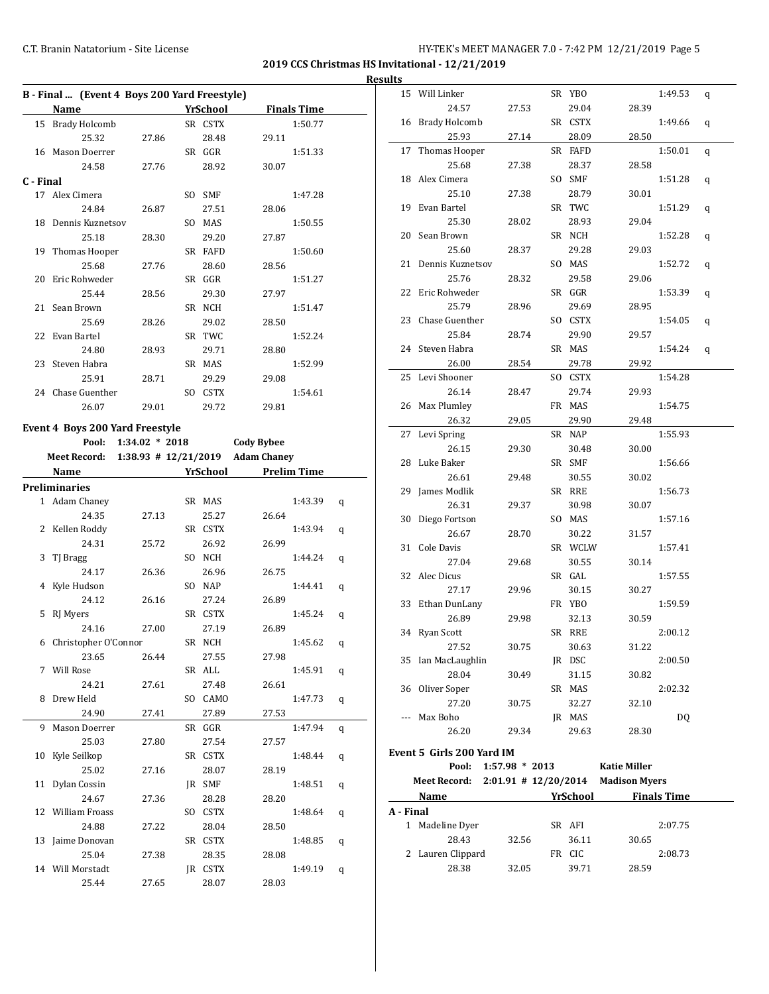**2019 CCS Christmas HS Invitational - 12/21/2019 Results**

l,

J,

 $\overline{a}$ 

l,

|           | B - Final  (Event 4 Boys 200 Yard Freestyle) |                          |                 |                    |                    |   |
|-----------|----------------------------------------------|--------------------------|-----------------|--------------------|--------------------|---|
|           | <b>Name</b>                                  |                          | <b>YrSchool</b> |                    | <b>Finals Time</b> |   |
| 15        | <b>Brady Holcomb</b>                         |                          | SR CSTX         |                    | 1:50.77            |   |
|           | 25.32                                        | 27.86                    | 28.48           | 29.11              |                    |   |
| 16        | Mason Doerrer                                |                          | SR GGR          |                    | 1:51.33            |   |
|           | 24.58                                        | 27.76                    | 28.92           | 30.07              |                    |   |
| C - Final |                                              |                          |                 |                    |                    |   |
|           | 17 Alex Cimera                               |                          | SO SMF          |                    | 1:47.28            |   |
|           | 24.84                                        | 26.87                    | 27.51           | 28.06              |                    |   |
|           | 18 Dennis Kuznetsov                          |                          | SO MAS          |                    | 1:50.55            |   |
|           | 25.18                                        | 28.30                    | 29.20           | 27.87              |                    |   |
|           | 19 Thomas Hooper                             |                          | SR FAFD         |                    | 1:50.60            |   |
|           | 25.68                                        | 27.76                    | 28.60           | 28.56              |                    |   |
| 20        | Eric Rohweder                                |                          | SR GGR          |                    | 1:51.27            |   |
|           | 25.44                                        | 28.56                    | 29.30           | 27.97              |                    |   |
| 21        | Sean Brown                                   |                          | SR NCH          |                    | 1:51.47            |   |
|           | 25.69                                        | 28.26                    | 29.02           | 28.50              |                    |   |
|           | 22 Evan Bartel                               |                          | SR TWC          |                    | 1:52.24            |   |
|           | 24.80                                        | 28.93                    | 29.71           | 28.80              |                    |   |
|           | 23 Steven Habra                              |                          | SR MAS          |                    | 1:52.99            |   |
|           | 25.91                                        | 28.71                    | 29.29           | 29.08              |                    |   |
|           | 24 Chase Guenther                            |                          | SO CSTX         |                    | 1:54.61            |   |
|           | 26.07                                        | 29.01                    | 29.72           | 29.81              |                    |   |
|           | <b>Event 4 Boys 200 Yard Freestyle</b>       |                          |                 |                    |                    |   |
|           | Pool:                                        | $1:34.02 * 2018$         |                 | <b>Cody Bybee</b>  |                    |   |
|           | Meet Record:                                 | $1:38.93$ # $12/21/2019$ |                 | <b>Adam Chaney</b> |                    |   |
|           | Name                                         |                          | <b>YrSchool</b> |                    | <b>Prelim Time</b> |   |
|           | <b>Preliminaries</b>                         |                          |                 |                    |                    |   |
|           | 1 Adam Chaney                                |                          | SR MAS          |                    | 1:43.39            | q |
|           | 24.35                                        | 27.13                    | 25.27           | 26.64              |                    |   |
|           | 2 Kellen Roddy                               |                          | SR CSTX         |                    | 1:43.94            | q |
|           | 24.31                                        | 25.72                    | 26.92           | 26.99              |                    |   |
| 3         | TJ Bragg                                     |                          | SO NCH          |                    | 1:44.24            | q |
|           | 24.17                                        | 26.36                    | 26.96           | 26.75              |                    |   |
| 4         | Kyle Hudson                                  |                          | SO NAP          |                    | 1:44.41            | q |
|           | 24.12                                        | 26.16                    | 27.24           | 26.89              |                    |   |

5 RJ Myers SR CSTX 1:45.24 q 24.16 27.00 27.19 26.89 6 Christopher O'Connor SR NCH 1:45.62 q 23.65 26.44 27.55 27.98 7 Will Rose SR ALL 1:45.91 q 24.21 27.61 27.48 26.61 8 Drew Held SO CAMO 1:47.73 q 24.90 27.41 27.89 27.53 9 Mason Doerrer SR GGR 1:47.94 q 25.03 27.80 27.54 27.57 10 Kyle Seilkop SR CSTX 1:48.44 q 25.02 27.16 28.07 28.19 11 Dylan Cossin JR SMF 1:48.51 q 24.67 27.36 28.28 28.20 12 William Froass SO CSTX 1:48.64 q 24.88 27.22 28.04 28.50 13 Jaime Donovan SR CSTX 1:48.85 q 25.04 27.38 28.35 28.08 14 Will Morstadt JR CSTX 1:49.19 q 25.44 27.65 28.07 28.03

|           |    | 28.38                      | 32.05            | 39.71    | 28.59                              |                    |   |
|-----------|----|----------------------------|------------------|----------|------------------------------------|--------------------|---|
|           | 2  | Lauren Clippard            |                  | FR CIC   |                                    | 2:08.73            |   |
|           |    | 28.43                      | 32.56            | 36.11    | 30.65                              |                    |   |
|           |    | 1 Madeline Dyer            |                  | SR AFI   |                                    | 2:07.75            |   |
| A - Final |    |                            |                  |          |                                    |                    |   |
|           |    | Name                       |                  | YrSchool |                                    | <b>Finals Time</b> |   |
|           |    |                            |                  |          |                                    |                    |   |
|           |    | <b>Meet Record:</b>        |                  |          | 2:01.91 # 12/20/2014 Madison Myers |                    |   |
|           |    | Pool:                      | $1:57.98 * 2013$ |          | <b>Katie Miller</b>                |                    |   |
|           |    | Event 5  Girls 200 Yard IM |                  |          |                                    |                    |   |
|           |    | 26.20                      | 29.34            | 29.63    | 28.30                              |                    |   |
|           |    | Max Boho                   |                  | JR MAS   |                                    | <b>DQ</b>          |   |
|           |    | 27.20                      | 30.75            | 32.27    | 32.10                              |                    |   |
|           |    | 36 Oliver Soper            |                  | SR MAS   |                                    | 2:02.32            |   |
|           |    | 28.04                      | 30.49            | 31.15    | 30.82                              |                    |   |
|           |    | 35 Ian MacLaughlin         |                  | JR DSC   |                                    | 2:00.50            |   |
|           |    | 27.52                      | 30.75            | 30.63    | 31.22                              |                    |   |
|           | 34 | <b>Ryan Scott</b>          |                  | SR RRE   |                                    | 2:00.12            |   |
|           |    | 26.89                      | 29.98            | 32.13    | 30.59                              |                    |   |
|           | 33 | Ethan DunLany              |                  | FR YBO   |                                    | 1:59.59            |   |
|           |    | 27.17                      | 29.96            | 30.15    | 30.27                              |                    |   |
|           | 32 | Alec Dicus                 |                  | SR GAL   |                                    | 1:57.55            |   |
|           |    | 27.04                      | 29.68            | 30.55    | 30.14                              |                    |   |
|           | 31 | Cole Davis                 |                  | SR WCLW  |                                    | 1:57.41            |   |
|           |    | 26.67                      | 28.70            | 30.22    | 31.57                              |                    |   |
|           | 30 | Diego Fortson              |                  | SO MAS   |                                    | 1:57.16            |   |
|           |    | 26.31                      | 29.37            | 30.98    | 30.07                              |                    |   |
|           | 29 | James Modlik               |                  | SR RRE   |                                    | 1:56.73            |   |
|           |    | 26.61                      | 29.48            | 30.55    | 30.02                              |                    |   |
|           | 28 | Luke Baker                 |                  | SR SMF   |                                    | 1:56.66            |   |
|           |    | 26.15                      | 29.30            | 30.48    | 30.00                              |                    |   |
|           | 27 | Levi Spring                |                  | SR NAP   |                                    | 1:55.93            |   |
|           |    | 26.32                      | 29.05            | 29.90    | 29.48                              |                    |   |
|           | 26 | Max Plumley                |                  | FR MAS   |                                    | 1:54.75            |   |
|           |    | 26.14                      | 28.47            | 29.74    | 29.93                              |                    |   |
|           | 25 | Levi Shooner               |                  | SO CSTX  |                                    | 1:54.28            |   |
|           |    | 26.00                      | 28.54            | 29.78    | 29.92                              |                    |   |
|           |    | 24 Steven Habra            |                  | SR MAS   |                                    | 1:54.24            | q |
|           |    | 25.84                      | 28.74            | 29.90    | 29.57                              |                    |   |
|           | 23 | Chase Guenther             |                  | SO CSTX  |                                    | 1:54.05            | q |
|           |    | 25.79                      | 28.96            | 29.69    | 28.95                              |                    |   |
|           | 22 | Eric Rohweder              |                  | SR GGR   |                                    | 1:53.39            | q |
|           |    | 25.76                      | 28.32            | 29.58    | 29.06                              |                    |   |
|           | 21 | Dennis Kuznetsov           |                  | SO MAS   |                                    | 1:52.72            | q |
|           |    | 25.60                      | 28.37            | 29.28    | 29.03                              |                    |   |
|           | 20 | Sean Brown                 |                  | SR NCH   |                                    | 1:52.28            | q |
|           |    | 25.30                      | 28.02            | 28.93    | 29.04                              |                    |   |
|           | 19 | Evan Bartel                |                  | SR TWC   |                                    | 1:51.29            | q |
|           |    | 25.10                      | 27.38            | 28.79    | 30.01                              |                    |   |
|           | 18 | Alex Cimera                |                  | SO SMF   |                                    | 1:51.28            | q |
|           |    | 25.68                      | 27.38            | 28.37    | 28.58                              |                    |   |
|           | 17 | Thomas Hooper              |                  | SR FAFD  |                                    | 1:50.01            | q |
|           |    | 25.93                      | 27.14            | 28.09    | 28.50                              |                    |   |
|           | 16 | <b>Brady Holcomb</b>       |                  | SR CSTX  |                                    | 1:49.66            | q |
|           |    | 24.57                      | 27.53            | 29.04    | 28.39                              |                    |   |
|           |    | 15 Will Linker             |                  | SR YBO   |                                    | 1:49.53            | q |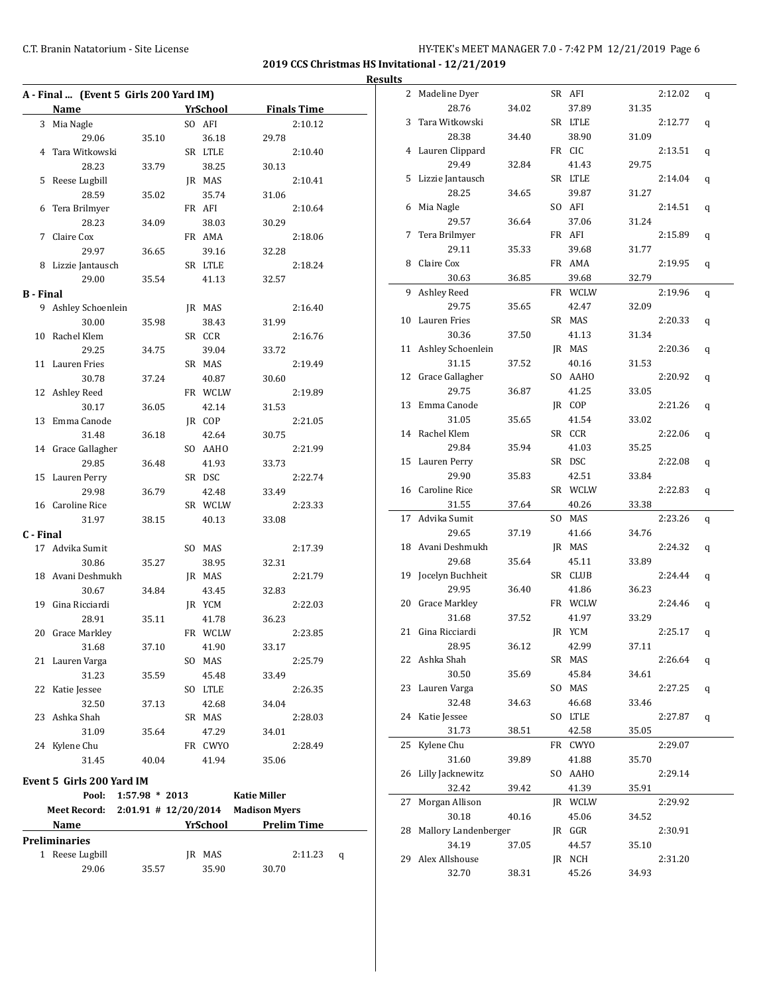**2019 CCS Christmas HS Invitational - 12/21/2019 Results**

|                  |    | A - Final  (Event 5 Girls 200 Yard IM) |                          |                 |                      |
|------------------|----|----------------------------------------|--------------------------|-----------------|----------------------|
|                  |    | <b>Name</b>                            |                          | YrSchool        | <b>Finals Time</b>   |
|                  |    | 3 Mia Nagle                            |                          | SO AFI          | 2:10.12              |
|                  |    | 29.06                                  | 35.10                    | 36.18           | 29.78                |
|                  | 4  | Tara Witkowski                         |                          | SR LTLE         | 2:10.40              |
|                  |    | 28.23                                  | 33.79                    | 38.25           | 30.13                |
|                  | 5  | Reese Lugbill                          |                          | JR MAS          | 2:10.41              |
|                  |    | 28.59                                  | 35.02                    | 35.74           | 31.06                |
|                  | 6  | Tera Brilmyer                          |                          | FR AFI          | 2:10.64              |
|                  |    | 28.23                                  | 34.09                    | 38.03           | 30.29                |
|                  |    | 7 Claire Cox                           |                          | FR AMA          | 2:18.06              |
|                  |    | 29.97                                  | 36.65                    | 39.16           | 32.28                |
|                  | 8  | Lizzie Jantausch                       |                          | SR LTLE         | 2:18.24              |
|                  |    | 29.00                                  | 35.54                    | 41.13           | 32.57                |
| <b>B</b> - Final |    |                                        |                          |                 |                      |
|                  | 9  | Ashley Schoenlein                      |                          | JR MAS          | 2:16.40              |
|                  |    | 30.00                                  | 35.98                    | 38.43           | 31.99                |
|                  | 10 | Rachel Klem                            |                          | SR CCR          | 2:16.76              |
|                  |    | 29.25                                  | 34.75                    | 39.04           | 33.72                |
|                  | 11 | Lauren Fries                           |                          | SR MAS          | 2:19.49              |
|                  |    | 30.78                                  | 37.24                    | 40.87           | 30.60                |
|                  |    | 12 Ashley Reed                         |                          | FR WCLW         | 2:19.89              |
|                  |    | 30.17                                  | 36.05                    | 42.14           | 31.53                |
|                  |    | 13 Emma Canode                         |                          | JR COP          | 2:21.05              |
|                  |    | 31.48                                  | 36.18                    | 42.64           | 30.75                |
|                  |    | 14 Grace Gallagher                     |                          | SO AAHO         | 2:21.99              |
|                  |    | 29.85                                  | 36.48                    | 41.93           | 33.73                |
|                  |    | 15 Lauren Perry                        |                          | SR DSC          | 2:22.74              |
|                  |    | 29.98                                  | 36.79                    | 42.48           | 33.49                |
|                  |    | 16 Caroline Rice                       |                          | SR WCLW         | 2:23.33              |
|                  |    | 31.97                                  | 38.15                    | 40.13           | 33.08                |
| C - Final        |    |                                        |                          |                 |                      |
|                  | 17 | Advika Sumit                           |                          | SO MAS          | 2:17.39              |
|                  |    | 30.86                                  | 35.27                    | 38.95           | 32.31                |
|                  | 18 | Avani Deshmukh                         |                          | JR MAS          | 2:21.79              |
|                  |    | 30.67                                  | 34.84                    | 43.45           | 32.83                |
|                  | 19 | Gina Ricciardi                         |                          | JR YCM          | 2:22.03              |
|                  |    | 28.91                                  | 35.11                    | 41.78           | 36.23                |
|                  |    | 20 Grace Markley                       |                          | FR WCLW         | 2:23.85              |
|                  |    |                                        |                          |                 | 33.17                |
|                  |    | 31.68<br>21 Lauren Varga               | 37.10                    | 41.90<br>SO MAS | 2:25.79              |
|                  |    | 31.23                                  | 35.59                    | 45.48           | 33.49                |
|                  | 22 | Katie Jessee                           |                          | SO LTLE         | 2:26.35              |
|                  |    | 32.50                                  |                          |                 |                      |
|                  | 23 | Ashka Shah                             | 37.13                    | 42.68<br>SR MAS | 34.04                |
|                  |    |                                        |                          | 47.29           | 2:28.03              |
|                  |    | 31.09<br>24 Kylene Chu                 | 35.64                    | FR CWYO         | 34.01<br>2:28.49     |
|                  |    |                                        |                          |                 |                      |
|                  |    | 31.45                                  | 40.04                    | 41.94           | 35.06                |
|                  |    | Event 5 Girls 200 Yard IM              |                          |                 |                      |
|                  |    | Pool:                                  | $1:57.98 * 2013$         |                 | <b>Katie Miller</b>  |
|                  |    | <b>Meet Record:</b>                    | $2:01.91$ # $12/20/2014$ |                 | <b>Madison Myers</b> |
|                  |    | Name                                   |                          | YrSchool        | <b>Prelim Time</b>   |
|                  |    | <b>Preliminaries</b>                   |                          |                 |                      |
|                  |    | 1 Reese Lugbill                        |                          | JR MAS          | 2:11.23<br>q         |
|                  |    | 29.06                                  | 35.57                    | 35.90           | 30.70                |

| 2  | Madeline Dyer        |       | SR AFI  |       | 2:12.02 | q |
|----|----------------------|-------|---------|-------|---------|---|
|    | 28.76                | 34.02 | 37.89   | 31.35 |         |   |
| 3  | Tara Witkowski       |       | SR LTLE |       | 2:12.77 | q |
|    | 28.38                | 34.40 | 38.90   | 31.09 |         |   |
|    | 4 Lauren Clippard    |       | FR CIC  |       | 2:13.51 | q |
|    | 29.49                | 32.84 | 41.43   | 29.75 |         |   |
|    | 5 Lizzie Jantausch   |       | SR LTLE |       | 2:14.04 | q |
|    | 28.25                | 34.65 | 39.87   | 31.27 |         |   |
| 6  | Mia Nagle            |       | SO AFI  |       | 2:14.51 | q |
|    | 29.57                | 36.64 | 37.06   | 31.24 |         |   |
| 7  | Tera Brilmyer        |       | FR AFI  |       | 2:15.89 | q |
|    | 29.11                | 35.33 | 39.68   | 31.77 |         |   |
| 8  | Claire Cox           |       | FR AMA  |       | 2:19.95 |   |
|    | 30.63                | 36.85 | 39.68   | 32.79 |         | q |
| 9  | Ashley Reed          |       | FR WCLW |       | 2:19.96 |   |
|    | 29.75                |       |         |       |         | q |
| 10 | Lauren Fries         | 35.65 | 42.47   | 32.09 |         |   |
|    |                      |       | SR MAS  |       | 2:20.33 | q |
|    | 30.36                | 37.50 | 41.13   | 31.34 |         |   |
| 11 | Ashley Schoenlein    |       | JR MAS  |       | 2:20.36 | q |
|    | 31.15                | 37.52 | 40.16   | 31.53 |         |   |
|    | 12 Grace Gallagher   |       | SO AAHO |       | 2:20.92 | q |
|    | 29.75                | 36.87 | 41.25   | 33.05 |         |   |
|    | 13 Emma Canode       |       | JR COP  |       | 2:21.26 | q |
|    | 31.05                | 35.65 | 41.54   | 33.02 |         |   |
| 14 | Rachel Klem          |       | SR CCR  |       | 2:22.06 | q |
|    | 29.84                | 35.94 | 41.03   | 35.25 |         |   |
| 15 | Lauren Perry         |       | SR DSC  |       | 2:22.08 | q |
|    | 29.90                | 35.83 | 42.51   | 33.84 |         |   |
| 16 | Caroline Rice        |       | SR WCLW |       | 2:22.83 | q |
|    |                      |       | 40.26   | 33.38 |         |   |
|    | 31.55                | 37.64 |         |       |         |   |
| 17 | Advika Sumit         |       | SO MAS  |       | 2:23.26 | q |
|    | 29.65                | 37.19 | 41.66   | 34.76 |         |   |
| 18 | Avani Deshmukh       |       | JR MAS  |       | 2:24.32 | q |
|    | 29.68                | 35.64 | 45.11   | 33.89 |         |   |
| 19 | Jocelyn Buchheit     |       | SR CLUB |       | 2:24.44 | q |
|    | 29.95                | 36.40 | 41.86   | 36.23 |         |   |
| 20 | <b>Grace Markley</b> |       | FR WCLW |       | 2:24.46 | q |
|    | 31.68                | 37.52 | 41.97   | 33.29 |         |   |
| 21 | Gina Ricciardi       |       | JR YCM  |       | 2:25.17 | q |
|    | 28.95                | 36.12 | 42.99   | 37.11 |         |   |
|    | 22 Ashka Shah        |       | SR MAS  |       | 2:26.64 | q |
|    | 30.50                | 35.69 | 45.84   | 34.61 |         |   |
| 23 | Lauren Varga         |       | SO MAS  |       | 2:27.25 | q |
|    | 32.48                | 34.63 | 46.68   | 33.46 |         |   |
| 24 | Katie Jessee         |       | SO LTLE |       | 2:27.87 | q |
|    | 31.73                | 38.51 | 42.58   | 35.05 |         |   |
| 25 | Kylene Chu           |       | FR CWYO |       | 2:29.07 |   |
|    | 31.60                | 39.89 | 41.88   | 35.70 |         |   |
| 26 | Lilly Jacknewitz     |       | SO AAHO |       | 2:29.14 |   |
|    | 32.42                | 39.42 | 41.39   | 35.91 |         |   |
| 27 | Morgan Allison       |       | JR WCLW |       | 2:29.92 |   |
|    | 30.18                | 40.16 | 45.06   | 34.52 |         |   |
| 28 | Mallory Landenberger |       | JR GGR  |       | 2:30.91 |   |
|    | 34.19                | 37.05 | 44.57   | 35.10 |         |   |
| 29 | Alex Allshouse       |       | JR NCH  |       | 2:31.20 |   |
|    | 32.70                | 38.31 | 45.26   | 34.93 |         |   |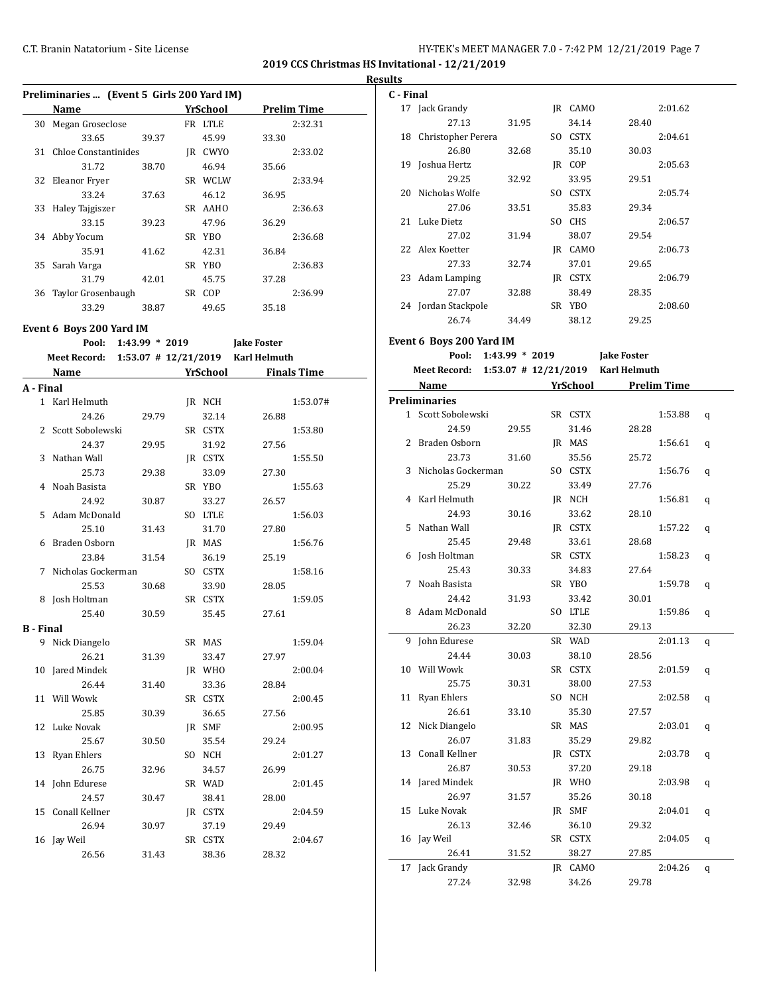**2019 CCS Christmas HS Invitational - 12/21/2019 Results**

|              | Preliminaries  (Event 5 Girls 200 Yard IM)     |                  |                 |                             |                    |
|--------------|------------------------------------------------|------------------|-----------------|-----------------------------|--------------------|
|              | Name                                           |                  | <b>YrSchool</b> |                             | <b>Prelim Time</b> |
| 30           | Megan Groseclose                               |                  | FR LTLE         |                             | 2:32.31            |
|              | 33.65                                          | 39.37            | 45.99           | 33.30                       |                    |
| 31           | <b>Chloe Constantinides</b>                    |                  | IR CWYO         |                             | 2:33.02            |
|              | 31.72                                          | 38.70            | 46.94           | 35.66                       |                    |
| 32           | <b>Eleanor Fryer</b>                           |                  | SR WCLW         |                             | 2:33.94            |
|              | 33.24                                          | 37.63            | 46.12           | 36.95                       |                    |
| 33           | Haley Tajgiszer                                |                  | SR AAHO         |                             | 2:36.63            |
|              | 33.15                                          | 39.23            | 47.96           | 36.29                       |                    |
| 34           | Abby Yocum                                     |                  | SR YBO          |                             | 2:36.68            |
|              | 35.91                                          | 41.62            | 42.31           | 36.84                       |                    |
| 35           | Sarah Varga                                    |                  | SR YBO          |                             | 2:36.83            |
|              | 31.79                                          | 42.01            | 45.75           | 37.28                       |                    |
| 36           | Taylor Grosenbaugh                             |                  | SR COP          |                             | 2:36.99            |
|              | 33.29                                          | 38.87            | 49.65           | 35.18                       |                    |
|              |                                                |                  |                 |                             |                    |
|              | Event 6 Boys 200 Yard IM                       |                  |                 |                             |                    |
|              | Pool:                                          | $1:43.99 * 2019$ |                 | <b>Jake Foster</b>          |                    |
|              | Meet Record: 1:53.07 # 12/21/2019 Karl Helmuth |                  |                 |                             |                    |
|              | Name                                           |                  |                 | <b>YrSchool</b> Finals Time |                    |
| A - Final    |                                                |                  |                 |                             |                    |
| $\mathbf{1}$ | Karl Helmuth                                   |                  | JR NCH          |                             | 1:53.07#           |
|              | 24.26                                          | 29.79            | 32.14           | 26.88                       |                    |
|              | 2 Scott Sobolewski                             |                  | SR CSTX         |                             | 1:53.80            |
|              | 24.37                                          | 29.95            | 31.92           | 27.56                       |                    |
| 3            | Nathan Wall                                    |                  | JR CSTX         |                             | 1:55.50            |
|              | 25.73                                          | 29.38            | 33.09           | 27.30                       |                    |
| 4            | Noah Basista                                   |                  | SR YBO          |                             | 1:55.63            |
|              | 24.92                                          | 30.87            | 33.27           | 26.57                       |                    |
| 5            | Adam McDonald                                  |                  | SO LTLE         |                             | 1:56.03            |
|              | 25.10                                          | 31.43            | 31.70           | 27.80                       |                    |
| 6            | Braden Osborn                                  |                  | JR MAS          |                             | 1:56.76            |
|              | 23.84                                          | 31.54            | 36.19           | 25.19                       |                    |
| 7            | Nicholas Gockerman                             |                  | SO CSTX         |                             | 1:58.16            |
|              | 25.53                                          | 30.68            | 33.90           | 28.05                       |                    |
| 8            | Josh Holtman                                   |                  | SR CSTX         |                             | 1:59.05            |
|              | 25.40                                          | 30.59            | 35.45           | 27.61                       |                    |
| B - Final    |                                                |                  |                 |                             |                    |
| 9            | Nick Diangelo                                  |                  | SR MAS          |                             | 1:59.04            |
|              | 26.21                                          | 31.39            | 33.47           | 27.97                       |                    |
| 10           | Jared Mindek                                   |                  | JR WHO          |                             | 2:00.04            |
|              | 26.44                                          | 31.40            | 33.36           | 28.84                       |                    |
| 11           | Will Wowk                                      |                  | SR CSTX         |                             | 2:00.45            |
|              | 25.85                                          | 30.39            | 36.65           | 27.56                       |                    |
| 12           | Luke Novak                                     |                  | JR SMF          |                             | 2:00.95            |
|              | 25.67                                          | 30.50            | 35.54           | 29.24                       |                    |
| 13           | Ryan Ehlers                                    |                  | SO NCH          |                             | 2:01.27            |
|              | 26.75                                          | 32.96            | 34.57           | 26.99                       |                    |
| 14           | John Edurese                                   |                  | SR WAD          |                             | 2:01.45            |
|              | 24.57                                          | 30.47            | 38.41           | 28.00                       |                    |
| 15           | Conall Kellner                                 |                  | JR CSTX         |                             | 2:04.59            |
|              | 26.94                                          | 30.97            | 37.19           | 29.49                       |                    |
| 16           | Jay Weil                                       |                  | SR CSTX         |                             | 2:04.67            |
|              | 26.56                                          | 31.43            | 38.36           | 28.32                       |                    |

| C - Final |                                                |       |         |                                        |         |   |
|-----------|------------------------------------------------|-------|---------|----------------------------------------|---------|---|
|           | 17 Jack Grandy                                 |       | IR CAMO |                                        | 2:01.62 |   |
|           | 27.13                                          | 31.95 | 34.14   | 28.40                                  |         |   |
|           | 18 Christopher Perera                          |       | SO CSTX |                                        | 2:04.61 |   |
|           | 26.80                                          | 32.68 | 35.10   | 30.03                                  |         |   |
|           | 19 Joshua Hertz                                |       | IR COP  |                                        | 2:05.63 |   |
|           | 29.25                                          | 32.92 | 33.95   | 29.51                                  |         |   |
| 20        | Nicholas Wolfe                                 |       | SO CSTX |                                        | 2:05.74 |   |
|           | 27.06                                          | 33.51 | 35.83   | 29.34                                  |         |   |
|           | 21 Luke Dietz                                  |       | SO CHS  |                                        | 2:06.57 |   |
|           | 27.02                                          | 31.94 | 38.07   | 29.54                                  |         |   |
|           | 22 Alex Koetter                                |       | JR CAMO |                                        | 2:06.73 |   |
|           | 27.33                                          | 32.74 | 37.01   | 29.65                                  |         |   |
|           | 23 Adam Lamping                                |       | JR CSTX |                                        | 2:06.79 |   |
|           | 27.07                                          | 32.88 | 38.49   | 28.35                                  |         |   |
|           | 24 Jordan Stackpole                            |       | SR YBO  |                                        | 2:08.60 |   |
|           | 26.74                                          |       |         |                                        |         |   |
|           |                                                | 34.49 | 38.12   | 29.25                                  |         |   |
|           | Event 6 Boys 200 Yard IM                       |       |         |                                        |         |   |
|           | Pool: 1:43.99 * 2019 Jake Foster               |       |         |                                        |         |   |
|           | Meet Record: 1:53.07 # 12/21/2019 Karl Helmuth |       |         |                                        |         |   |
|           | Name                                           |       |         | <b>Example 15 YrSchool</b> Prelim Time |         |   |
|           | <b>Preliminaries</b>                           |       |         |                                        |         |   |
|           | 1 Scott Sobolewski                             |       | SR CSTX |                                        | 1:53.88 | q |
|           | 24.59                                          | 29.55 | 31.46   | 28.28                                  |         |   |
|           | 2 Braden Osborn                                |       | JR MAS  |                                        | 1:56.61 | q |
|           | 23.73                                          | 31.60 | 35.56   | 25.72                                  |         |   |
| 3         | Nicholas Gockerman                             |       | SO CSTX |                                        | 1:56.76 |   |
|           | 25.29                                          | 30.22 | 33.49   | 27.76                                  |         | q |
|           | 4 Karl Helmuth                                 |       |         |                                        | 1:56.81 |   |
|           |                                                |       | JR NCH  |                                        |         | q |
|           | 24.93                                          | 30.16 | 33.62   | 28.10                                  |         |   |
| 5.        | Nathan Wall                                    |       | JR CSTX |                                        | 1:57.22 | q |
|           | 25.45                                          | 29.48 | 33.61   | 28.68                                  |         |   |
|           | 6 Josh Holtman                                 |       | SR CSTX |                                        | 1:58.23 | q |
|           | 25.43                                          | 30.33 | 34.83   | 27.64                                  |         |   |
| 7         | Noah Basista                                   |       | SR YBO  |                                        | 1:59.78 | q |
|           | 24.42                                          | 31.93 | 33.42   | 30.01                                  |         |   |
|           | 8 Adam McDonald                                |       | SO LTLE |                                        | 1:59.86 | q |
|           | 26.23                                          | 32.20 | 32.30   | 29.13                                  |         |   |
|           | 9 John Edurese                                 |       | SR WAD  |                                        | 2:01.13 | q |
|           | 24.44                                          | 30.03 | 38.10   | 28.56                                  |         |   |
|           | 10 Will Wowk                                   |       | SR CSTX |                                        | 2:01.59 | q |
|           | 25.75                                          | 30.31 | 38.00   | 27.53                                  |         |   |
| 11        | <b>Ryan Ehlers</b>                             |       | SO NCH  |                                        | 2:02.58 | q |
|           | 26.61                                          | 33.10 | 35.30   | 27.57                                  |         |   |
| 12        | Nick Diangelo                                  |       | SR MAS  |                                        | 2:03.01 | q |
|           | 26.07                                          | 31.83 | 35.29   | 29.82                                  |         |   |
| 13        | Conall Kellner                                 |       | JR CSTX |                                        | 2:03.78 | q |
|           | 26.87                                          | 30.53 | 37.20   | 29.18                                  |         |   |
|           | 14 Jared Mindek                                |       | JR WHO  |                                        | 2:03.98 | q |
|           | 26.97                                          | 31.57 | 35.26   | 30.18                                  |         |   |
| 15        | Luke Novak                                     |       | JR SMF  |                                        | 2:04.01 | q |
|           | 26.13                                          | 32.46 | 36.10   | 29.32                                  |         |   |
|           | 16 Jay Weil                                    |       | SR CSTX |                                        | 2:04.05 | q |
|           | 26.41                                          | 31.52 | 38.27   | 27.85                                  |         |   |
|           | 17 Jack Grandy                                 |       | JR CAMO |                                        | 2:04.26 | q |
|           | 27.24                                          | 32.98 | 34.26   | 29.78                                  |         |   |
|           |                                                |       |         |                                        |         |   |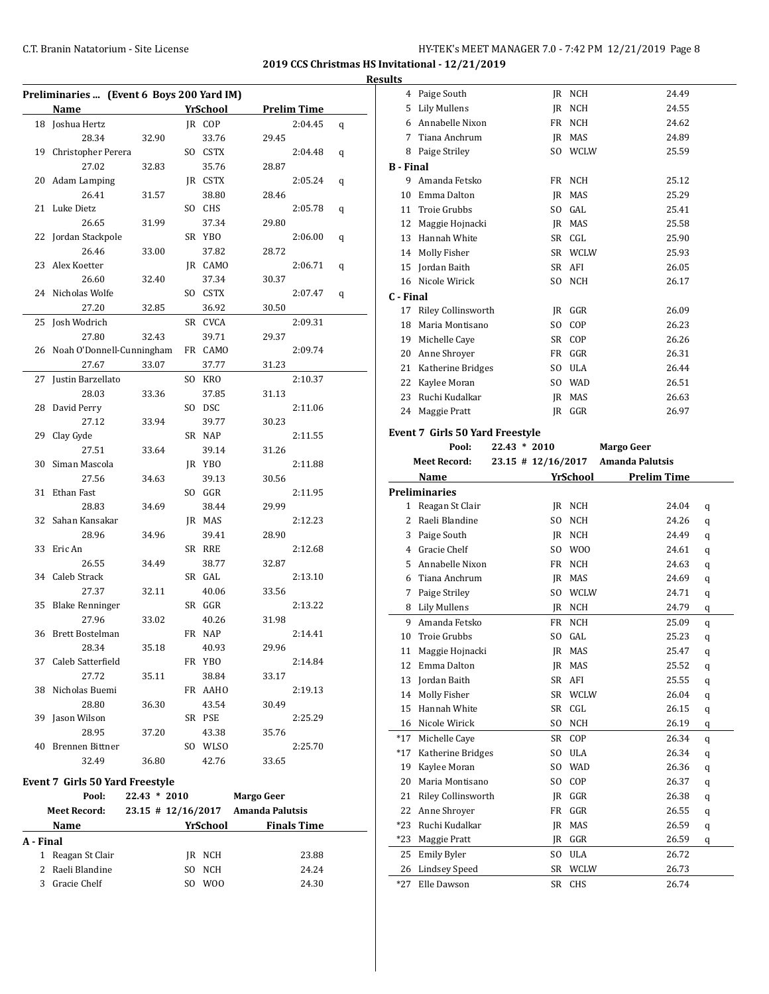**A - Final**

**2019 CCS Christmas HS Invitational - 12/21/2019 Results**

|    | Preliminaries  (Event 6 Boys 200 Yard IM) |              |          |                                    |   |
|----|-------------------------------------------|--------------|----------|------------------------------------|---|
|    | Name                                      |              | YrSchool | <b>Prelim Time</b>                 |   |
|    | 18 Joshua Hertz                           |              | IR COP   | 2:04.45                            | q |
|    | 28.34                                     | 32.90        | 33.76    | 29.45                              |   |
| 19 | Christopher Perera                        |              | SO CSTX  | 2:04.48                            | q |
|    | 27.02                                     | 32.83        | 35.76    | 28.87                              |   |
| 20 | <b>Adam Lamping</b>                       |              | JR CSTX  | 2:05.24                            | q |
|    | 26.41                                     | 31.57        | 38.80    | 28.46                              |   |
| 21 | Luke Dietz                                |              | SO CHS   | 2:05.78                            | q |
|    | 26.65                                     | 31.99        | 37.34    | 29.80                              |   |
| 22 | Jordan Stackpole                          |              | SR YBO   | 2:06.00                            | q |
|    | 26.46                                     | 33.00        | 37.82    | 28.72                              |   |
| 23 | Alex Koetter                              |              | JR CAMO  | 2:06.71                            | q |
|    | 26.60                                     | 32.40        | 37.34    | 30.37                              |   |
| 24 | Nicholas Wolfe                            |              | SO CSTX  | 2:07.47                            | q |
|    | 27.20                                     | 32.85        | 36.92    | 30.50                              |   |
| 25 | Josh Wodrich                              |              | SR CVCA  | 2:09.31                            |   |
|    | 27.80                                     | 32.43        | 39.71    | 29.37                              |   |
|    | 26 Noah O'Donnell-Cunningham              |              | FR CAMO  | 2:09.74                            |   |
|    | 27.67                                     | 33.07        | 37.77    | 31.23                              |   |
| 27 | Justin Barzellato                         |              | SO KRO   | 2:10.37                            |   |
|    | 28.03                                     | 33.36        | 37.85    | 31.13                              |   |
| 28 | David Perry                               |              | SO DSC   | 2:11.06                            |   |
|    | 27.12                                     | 33.94        | 39.77    | 30.23                              |   |
| 29 | Clay Gyde                                 |              | SR NAP   | 2:11.55                            |   |
|    | 27.51                                     | 33.64        | 39.14    | 31.26                              |   |
| 30 | Siman Mascola                             |              | JR YBO   | 2:11.88                            |   |
|    | 27.56                                     | 34.63        | 39.13    | 30.56                              |   |
| 31 | Ethan Fast                                |              | SO GGR   | 2:11.95                            |   |
|    | 28.83                                     | 34.69        | 38.44    | 29.99                              |   |
| 32 | Sahan Kansakar                            |              | JR MAS   | 2:12.23                            |   |
|    | 28.96                                     | 34.96        | 39.41    | 28.90                              |   |
| 33 | Eric An                                   |              | SR RRE   | 2:12.68                            |   |
|    | 26.55                                     | 34.49        | 38.77    | 32.87                              |   |
| 34 | Caleb Strack                              |              | SR GAL   | 2:13.10                            |   |
|    | 27.37                                     | 32.11        | 40.06    | 33.56                              |   |
| 35 | <b>Blake Renninger</b>                    |              | SR GGR   | 2:13.22                            |   |
|    | 27.96                                     | 33.02        | 40.26    | 31.98                              |   |
|    | 36 Brett Bostelman                        |              | FR NAP   | 2:14.41                            |   |
|    | 28.34                                     | 35.18        | 40.93    | 29.96                              |   |
|    | 37 Caleb Satterfield                      |              | FR YBO   | 2:14.84                            |   |
|    | 27.72                                     | 35.11        | 38.84    | 33.17                              |   |
|    | 38 Nicholas Buemi                         |              | FR AAHO  | 2:19.13                            |   |
|    | 28.80                                     | 36.30        | 43.54    | 30.49                              |   |
| 39 | Jason Wilson                              |              | SR PSE   | 2:25.29                            |   |
|    | 28.95                                     | 37.20        | 43.38    | 35.76                              |   |
|    | 40 Brennen Bittner                        |              | SO WLSO  | 2:25.70                            |   |
|    | 32.49                                     | 36.80        | 42.76    | 33.65                              |   |
|    |                                           |              |          |                                    |   |
|    | Event 7 Girls 50 Yard Freestyle           |              |          |                                    |   |
|    | Pool:                                     | 22.43 * 2010 |          | <b>Margo Geer</b>                  |   |
|    | Meet Record:                              |              |          | 23.15 # 12/16/2017 Amanda Palutsis |   |
|    | Name                                      |              |          | YrSchool Finals Time               |   |

1 Reagan St Clair JR NCH 23.88 2 Raeli Blandine SO NCH 24.24 3 Gracie Chelf SO WOO 24.30

|                  | 4 Paige South                          |                    | JR NCH        | 24.49                  |   |
|------------------|----------------------------------------|--------------------|---------------|------------------------|---|
|                  | 5 Lily Mullens                         |                    | IR NCH        | 24.55                  |   |
|                  | 6 Annabelle Nixon                      |                    | FR NCH        | 24.62                  |   |
| 7                | Tiana Anchrum                          |                    | IR MAS        | 24.89                  |   |
| 8                | Paige Striley                          |                    | SO WCLW       | 25.59                  |   |
| <b>B</b> - Final |                                        |                    |               |                        |   |
| 9                | Amanda Fetsko                          |                    | FR NCH        | 25.12                  |   |
|                  | 10 Emma Dalton                         |                    | IR MAS        | 25.29                  |   |
|                  | 11 Troie Grubbs                        |                    | SO GAL        | 25.41                  |   |
|                  | 12 Maggie Hojnacki                     |                    | JR MAS        | 25.58                  |   |
|                  | 13 Hannah White                        |                    | SR CGL        | 25.90                  |   |
|                  | 14 Molly Fisher                        |                    | SR WCLW       | 25.93                  |   |
|                  | 15 Jordan Baith                        |                    | SR AFI        | 26.05                  |   |
|                  | 16 Nicole Wirick                       |                    | SO NCH        | 26.17                  |   |
| C - Final        |                                        |                    |               |                        |   |
| 17               | Riley Collinsworth                     |                    | JR GGR        | 26.09                  |   |
|                  | 18 Maria Montisano                     |                    | SO COP        | 26.23                  |   |
|                  | 19 Michelle Caye                       |                    | SR COP        | 26.26                  |   |
|                  | 20 Anne Shroyer                        |                    | FR GGR        | 26.31                  |   |
|                  | 21 Katherine Bridges                   |                    | SO ULA        | 26.44                  |   |
|                  | 22 Kaylee Moran                        |                    | SO WAD        | 26.51                  |   |
|                  | 23 Ruchi Kudalkar                      |                    | <b>IR MAS</b> | 26.63                  |   |
|                  | 24 Maggie Pratt                        |                    | IR GGR        | 26.97                  |   |
|                  | <b>Event 7 Girls 50 Yard Freestyle</b> |                    |               |                        |   |
|                  | Pool:<br>$22.43 * 2010$                |                    |               | <b>Margo Geer</b>      |   |
|                  | <b>Meet Record:</b>                    | 23.15 # 12/16/2017 |               | <b>Amanda Palutsis</b> |   |
|                  | Name                                   |                    | YrSchool      | <b>Prelim Time</b>     |   |
|                  |                                        |                    |               |                        |   |
|                  | <b>Preliminaries</b>                   |                    |               |                        |   |
| 1                | Reagan St Clair                        |                    | JR NCH        | 24.04                  | q |
|                  | 2 Raeli Blandine                       |                    | SO NCH        | 24.26                  | q |
|                  | 3 Paige South                          |                    | JR NCH        | 24.49                  | q |
|                  | 4 Gracie Chelf                         |                    | SO WOO        | 24.61                  | q |
|                  | 5 Annabelle Nixon                      |                    | FR NCH        | 24.63                  | q |
|                  | 6 Tiana Anchrum                        |                    | JR MAS        | 24.69                  | q |
|                  | 7 Paige Striley                        |                    | SO WCLW       | 24.71                  | q |
|                  | 8 Lily Mullens                         |                    | JR NCH        | 24.79                  | q |
|                  | 9 Amanda Fetsko                        |                    | FR NCH        | 25.09                  | q |
| 10               | Troie Grubbs                           |                    | SO GAL        | 25.23                  | q |
| 11               | Maggie Hojnacki                        | JR                 | MAS           | 25.47                  | q |
| 12               | Emma Dalton                            | JR                 | MAS           | 25.52                  | q |
| 13               | Jordan Baith                           |                    | SR AFI        | 25.55                  | q |
| 14               | Molly Fisher                           | SR                 | WCLW          | 26.04                  | q |
| 15               | Hannah White                           | SR                 | CGL           | 26.15                  | q |
| 16               | Nicole Wirick                          | SO.                | NCH           | 26.19                  | q |
| *17              | Michelle Caye                          | SR                 | COP           | 26.34                  | q |
| *17              | Katherine Bridges                      | SO.                | ULA           | 26.34                  | q |
| 19               | Kaylee Moran                           | SO.                | <b>WAD</b>    | 26.36                  | q |
| 20               | Maria Montisano                        | SO                 | COP           | 26.37                  | q |
| 21               | Riley Collinsworth                     | JR.                | GGR           | 26.38                  | q |
| 22               | Anne Shroyer                           | FR                 | GGR           | 26.55                  | q |
| *23              | Ruchi Kudalkar                         | JR                 | MAS           | 26.59                  | q |
| *23              | Maggie Pratt                           | JR.                | GGR           | 26.59                  | q |
| 25               | <b>Emily Byler</b>                     | SO.                | ULA           | 26.72                  |   |
| 26<br>*27        | <b>Lindsey Speed</b><br>Elle Dawson    | SR<br>SR           | WCLW<br>CHS   | 26.73<br>26.74         |   |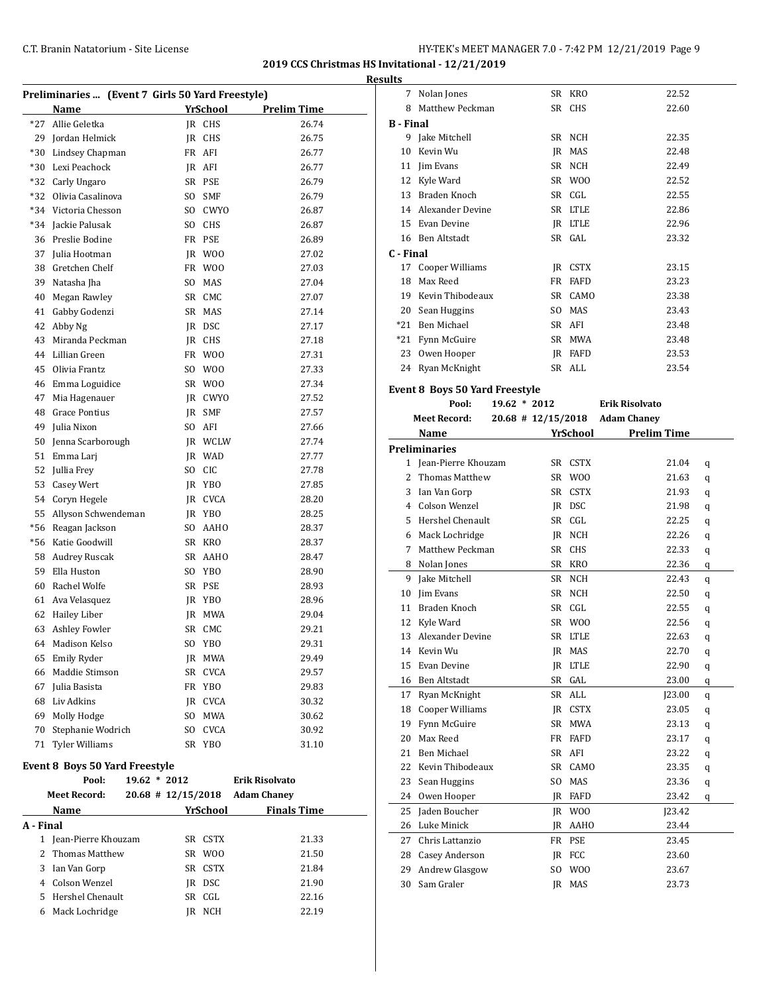÷,

 $\overline{a}$ 

**2019 CCS Christmas HS Invitational - 12/21/2019**

|           |                                                  |      |                |                                                         | <b>Results</b>      |
|-----------|--------------------------------------------------|------|----------------|---------------------------------------------------------|---------------------|
|           | Preliminaries  (Event 7 Girls 50 Yard Freestyle) |      |                |                                                         |                     |
|           | Name                                             |      | YrSchool       | <b>Prelim Time</b>                                      |                     |
|           | *27 Allie Geletka                                |      | IR CHS         | 26.74                                                   | $B - I$             |
|           | 29 Jordan Helmick                                | JR   | <b>CHS</b>     | 26.75                                                   |                     |
|           | *30 Lindsey Chapman                              |      | FR AFI         | 26.77                                                   | 1                   |
|           | *30 Lexi Peachock                                |      | JR AFI         | 26.77                                                   | 1                   |
|           | *32 Carly Ungaro                                 |      | SR PSE         | 26.79                                                   | 1                   |
| $*32$     | Olivia Casalinova                                | SO - | <b>SMF</b>     | 26.79                                                   | 1                   |
|           | *34 Victoria Chesson                             |      | SO CWYO        | 26.87                                                   | 1                   |
|           | *34 Jackie Palusak                               |      | SO CHS         | 26.87                                                   | 1                   |
|           | 36 Preslie Bodine                                |      | FR PSE         | 26.89                                                   | 1                   |
|           | 37 Julia Hootman                                 |      | JR WOO         | 27.02                                                   | $C - 1$             |
|           | 38 Gretchen Chelf                                |      | FR WOO         | 27.03                                                   | 1                   |
| 39        | Natasha Jha                                      |      | SO MAS         | 27.04                                                   | 1                   |
|           | 40 Megan Rawley                                  |      | SR CMC         | 27.07                                                   | 1                   |
| 41        | Gabby Godenzi                                    |      | SR MAS         | 27.14                                                   | $\overline{2}$      |
| 42        | Abby Ng                                          |      | JR DSC         | 27.17                                                   | *2                  |
| 43        | Miranda Peckman                                  |      | JR CHS         | 27.18                                                   | *2                  |
|           | 44 Lillian Green                                 |      | FR WOO         | 27.31                                                   | 2                   |
| 45        | Olivia Frantz                                    | SO.  | W00            | 27.33                                                   | 2                   |
|           | 46 Emma Loguidice                                |      | SR WOO         | 27.34                                                   | Eve                 |
| 47        | Mia Hagenauer                                    |      | JR CWYO        | 27.52                                                   |                     |
|           | 48 Grace Pontius                                 |      | IR SMF         | 27.57                                                   |                     |
|           | 49 Julia Nixon                                   |      | SO AFI         | 27.66                                                   |                     |
|           | 50 Jenna Scarborough                             |      | <b>IR WCLW</b> | 27.74                                                   |                     |
| 51        | Emma Larj                                        |      | IR WAD         | 27.77                                                   | Pre                 |
|           | 52 Jullia Frey                                   |      | SO CIC         | 27.78                                                   |                     |
|           | 53 Casey Wert                                    |      | JR YBO         | 27.85                                                   |                     |
|           | 54 Coryn Hegele                                  |      | JR CVCA        | 28.20                                                   |                     |
|           | 55 Allyson Schwendeman                           |      | JR YBO         | 28.25                                                   |                     |
|           | *56 Reagan Jackson                               |      | SO AAHO        | 28.37                                                   |                     |
|           | *56 Katie Goodwill                               |      | SR KRO         | 28.37                                                   |                     |
|           | 58 Audrey Ruscak                                 |      | SR AAHO        | 28.47                                                   |                     |
| 59        | Ella Huston                                      |      | SO YBO         | 28.90                                                   |                     |
|           | 60 Rachel Wolfe                                  |      | SR PSE         | 28.93                                                   |                     |
|           | 61 Ava Velasquez                                 |      | JR YBO         | 28.96                                                   | 1                   |
|           | 62 Hailey Liber                                  | IR   | MWA            | 29.04                                                   | 1                   |
| 63        | Ashley Fowler                                    |      | SR CMC         | 29.21                                                   | 1                   |
|           | 64 Madison Kelso                                 |      | SO YBO         | 29.31                                                   | 1                   |
|           | 65 Emily Ryder                                   |      | JR MWA         | 29.49                                                   | 1                   |
|           | 66 Maddie Stimson                                |      | SR CVCA        | 29.57                                                   | 1                   |
|           | 67 Julia Basista                                 |      | FR YBO         | 29.83                                                   | 1                   |
|           | 68 Liv Adkins                                    |      | JR CVCA        | 30.32                                                   | 1                   |
|           | 69 Molly Hodge                                   |      | SO MWA         | 30.62                                                   | 1                   |
|           | 70 Stephanie Wodrich                             |      | SO CVCA        | 30.92                                                   | $\mathbf{1}$        |
|           | 71 Tyler Williams                                |      | SR YBO         | 31.10                                                   | 2                   |
|           | <b>Event 8 Boys 50 Yard Freestyle</b>            |      |                |                                                         | 2<br>2              |
|           | Pool:<br>19.62 * 2012<br><b>Meet Record:</b>     |      |                | <b>Erik Risolvato</b><br>20.68 # 12/15/2018 Adam Chaney | $\overline{c}$      |
|           | Name                                             |      | YrSchool       | <b>Finals Time</b>                                      | 2<br>2              |
| A - Final |                                                  |      |                |                                                         | $\overline{c}$      |
|           | 1 Jean-Pierre Khouzam                            |      | SR CSTX        | 21.33                                                   |                     |
|           | 2 Thomas Matthew                                 |      | SR WOO         | 21.50                                                   | $\overline{c}$      |
|           | 3 Ian Van Gorp                                   |      | SR CSTX        | 21.84                                                   | $\overline{c}$      |
|           | 4 Colson Wenzel                                  |      | JR DSC         | 21.90                                                   | $\overline{c}$<br>3 |
| 5         | Hershel Chenault                                 |      | SR CGL         | 22.16                                                   |                     |
|           |                                                  |      |                |                                                         |                     |

Mack Lochridge JR NCH 22.19

| 7                | Nolan Jones                           |    | SR KRO         | 22.52                          |   |
|------------------|---------------------------------------|----|----------------|--------------------------------|---|
| 8                | Matthew Peckman                       |    | SR CHS         | 22.60                          |   |
| <b>B</b> - Final |                                       |    |                |                                |   |
|                  | 9 Jake Mitchell                       |    | SR NCH         | 22.35                          |   |
|                  | 10 Kevin Wu                           |    | JR MAS         | 22.48                          |   |
|                  | 11 Jim Evans                          |    | SR NCH         | 22.49                          |   |
|                  | 12 Kyle Ward                          |    | SR WOO         | 22.52                          |   |
|                  | 13 Braden Knoch                       |    | SR CGL         | 22.55                          |   |
|                  | 14 Alexander Devine                   |    | SR LTLE        | 22.86                          |   |
|                  | 15 Evan Devine                        |    | JR LTLE        | 22.96                          |   |
|                  | 16 Ben Altstadt                       |    | SR GAL         | 23.32                          |   |
| C - Final        |                                       |    |                |                                |   |
|                  | 17 Cooper Williams                    |    | JR CSTX        | 23.15                          |   |
|                  | 18 Max Reed                           |    | FR FAFD        | 23.23                          |   |
|                  | 19 Kevin Thibodeaux                   |    | SR CAMO        | 23.38                          |   |
|                  | 20 Sean Huggins                       |    | SO MAS         | 23.43                          |   |
|                  | *21 Ben Michael                       |    | SR AFI         | 23.48                          |   |
|                  | *21 Fynn McGuire                      |    | SR MWA         | 23.48                          |   |
|                  |                                       |    | IR FAFD        |                                |   |
|                  | 23 Owen Hooper<br>24 Ryan McKnight    |    | SR ALL         | 23.53<br>23.54                 |   |
|                  |                                       |    |                |                                |   |
|                  | <b>Event 8 Boys 50 Yard Freestyle</b> |    |                |                                |   |
|                  | $19.62 * 2012$<br>Pool:               |    |                | <b>Erik Risolvato</b>          |   |
|                  | <b>Meet Record:</b>                   |    |                | 20.68 # 12/15/2018 Adam Chaney |   |
|                  | Name                                  |    | YrSchool       | <b>Prelim Time</b>             |   |
|                  | Preliminaries                         |    |                |                                |   |
|                  | 1 Jean-Pierre Khouzam                 |    | SR CSTX        | 21.04                          | q |
| $\mathbf{2}$     | Thomas Matthew                        |    | SR WOO         | 21.63                          | q |
| 3                | Ian Van Gorp                          |    | SR CSTX        | 21.93                          | q |
|                  | 4 Colson Wenzel                       |    | JR DSC         | 21.98                          | q |
| 5.               | Hershel Chenault                      |    | SR CGL         | 22.25                          | q |
|                  | 6 Mack Lochridge                      |    | JR NCH         | 22.26                          | q |
| 7                | Matthew Peckman                       |    | SR CHS         | 22.33                          | q |
|                  | 8 Nolan Jones                         |    | SR KRO         | 22.36                          | q |
| 9                | Jake Mitchell                         |    | SR NCH         | 22.43                          | q |
|                  | 10 Jim Evans                          |    | SR NCH         | 22.50                          | q |
|                  | 11 Braden Knoch                       |    | SR CGL         | 22.55                          | q |
|                  | 12 Kyle Ward                          |    | SR WOO         | 22.56                          | q |
|                  | 13 Alexander Devine                   |    | SR LTLE        | 22.63                          | q |
|                  | 14 Kevin Wu                           |    | JR MAS         | 22.70                          | q |
| 15               | Evan Devine                           |    | JR LTLE        | 22.90                          | q |
| 16               | Ben Altstadt                          | SR | GAL            | 23.00                          | q |
| 17               | Ryan McKnight                         | SR | ALL            | J23.00                         | q |
| 18               | Cooper Williams                       | JR | <b>CSTX</b>    | 23.05                          | q |
| 19               | Fynn McGuire                          | SR | <b>MWA</b>     | 23.13                          | q |
| 20               | Max Reed                              | FR | FAFD           | 23.17                          | q |
| 21               | <b>Ben Michael</b>                    | SR | AFI            | 23.22                          | q |
| 22               | Kevin Thibodeaux                      | SR | CAMO           | 23.35                          | q |
| 23               | Sean Huggins                          | SO | MAS            | 23.36                          | q |
| 24               | Owen Hooper                           | JR | FAFD           | 23.42                          | q |
| 25               | Jaden Boucher                         | JR | W <sub>0</sub> | J23.42                         |   |
| 26               | Luke Minick                           | JR | AAHO           | 23.44                          |   |
| 27               |                                       |    |                |                                |   |
| 28               | Chris Lattanzio                       | FR | PSE            | 23.45                          |   |
|                  | Casey Anderson                        | JR | FCC            | 23.60                          |   |
| 29               | Andrew Glasgow                        | SO | W <sub>0</sub> | 23.67                          |   |
| 30               | Sam Graler                            | JR | MAS            | 23.73                          |   |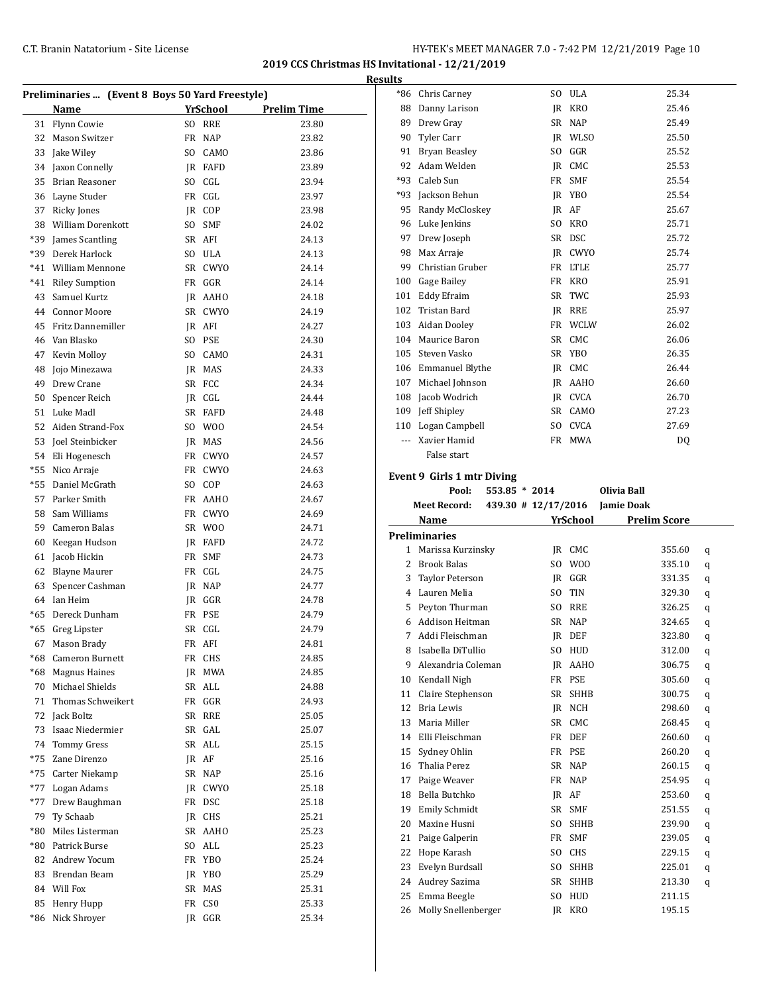**2019 CCS Christmas HS Invitational - 12/21/2019**

| Preliminaries  (Event 8 Boys 50 Yard Freestyle) |                       |  |          |                    |  |  |  |
|-------------------------------------------------|-----------------------|--|----------|--------------------|--|--|--|
|                                                 | Name                  |  | YrSchool | <b>Prelim Time</b> |  |  |  |
| 31                                              | <b>Flynn Cowie</b>    |  | SO RRE   | 23.80              |  |  |  |
| 32                                              | Mason Switzer         |  | FR NAP   | 23.82              |  |  |  |
| 33                                              | Jake Wiley            |  | SO CAMO  | 23.86              |  |  |  |
| 34                                              | Jaxon Connelly        |  | IR FAFD  | 23.89              |  |  |  |
| 35                                              | <b>Brian Reasoner</b> |  | SO CGL   | 23.94              |  |  |  |
| 36                                              | Layne Studer          |  | FR CGL   | 23.97              |  |  |  |
| 37                                              | Ricky Jones           |  | IR COP   | 23.98              |  |  |  |
| 38                                              | William Dorenkott     |  | SO SMF   | 24.02              |  |  |  |
| *39                                             | James Scantling       |  | SR AFI   | 24.13              |  |  |  |
| *39                                             | Derek Harlock         |  | SO ULA   | 24.13              |  |  |  |
|                                                 | *41 William Mennone   |  | SR CWYO  | 24.14              |  |  |  |
| *41                                             | <b>Riley Sumption</b> |  | FR GGR   | 24.14              |  |  |  |
| 43                                              | Samuel Kurtz          |  | IR AAHO  | 24.18              |  |  |  |
| 44                                              | Connor Moore          |  | SR CWYO  | 24.19              |  |  |  |
| 45                                              | Fritz Dannemiller     |  | JR AFI   | 24.27              |  |  |  |
| 46                                              | Van Blasko            |  | SO PSE   | 24.30              |  |  |  |
| 47                                              | Kevin Molloy          |  | SO CAMO  | 24.31              |  |  |  |
| 48                                              | Jojo Minezawa         |  | JR MAS   | 24.33              |  |  |  |
| 49                                              | Drew Crane            |  | SR FCC   | 24.34              |  |  |  |
| 50                                              | Spencer Reich         |  | IR CGL   | 24.44              |  |  |  |
| 51                                              | Luke Madl             |  | SR FAFD  | 24.48              |  |  |  |
| 52                                              | Aiden Strand-Fox      |  | SO WOO   | 24.54              |  |  |  |
| 53                                              | Joel Steinbicker      |  | JR MAS   | 24.56              |  |  |  |
|                                                 | 54 Eli Hogenesch      |  | FR CWYO  | 24.57              |  |  |  |
| $*55$                                           | Nico Arraje           |  | FR CWYO  | 24.63              |  |  |  |
| $*55$                                           | Daniel McGrath        |  | SO COP   | 24.63              |  |  |  |
| 57                                              | Parker Smith          |  | FR AAHO  | 24.67              |  |  |  |
| 58                                              | Sam Williams          |  | FR CWYO  | 24.69              |  |  |  |
| 59                                              | Cameron Balas         |  | SR WOO   | 24.71              |  |  |  |
| 60                                              | Keegan Hudson         |  | JR FAFD  | 24.72              |  |  |  |
| 61                                              | Jacob Hickin          |  | FR SMF   | 24.73              |  |  |  |
| 62                                              | Blayne Maurer         |  | FR CGL   | 24.75              |  |  |  |
| 63                                              | Spencer Cashman       |  | JR NAP   | 24.77              |  |  |  |
|                                                 | 64 Ian Heim           |  | JR GGR   | 24.78              |  |  |  |
| *65                                             | Dereck Dunham         |  | FR PSE   | 24.79              |  |  |  |
| *65                                             | Greg Lipster          |  | SR CGL   | 24.79              |  |  |  |
|                                                 | 67 Mason Brady        |  | FR AFI   | 24.81              |  |  |  |
|                                                 | *68 Cameron Burnett   |  | FR CHS   | 24.85              |  |  |  |
| *68                                             | <b>Magnus Haines</b>  |  | JR MWA   | 24.85              |  |  |  |
| 70                                              | Michael Shields       |  | SR ALL   | 24.88              |  |  |  |
| 71                                              | Thomas Schweikert     |  | FR GGR   | 24.93              |  |  |  |
| 72                                              | Jack Boltz            |  | SR RRE   | 25.05              |  |  |  |
| 73                                              | Isaac Niedermier      |  | SR GAL   | 25.07              |  |  |  |
| 74                                              | Tommy Gress           |  | SR ALL   | 25.15              |  |  |  |
| *75                                             | Zane Direnzo          |  | JR AF    | 25.16              |  |  |  |
| *75                                             | Carter Niekamp        |  | SR NAP   | 25.16              |  |  |  |
| *77                                             | Logan Adams           |  | JR CWYO  | 25.18              |  |  |  |
| *77                                             | Drew Baughman         |  | FR DSC   | 25.18              |  |  |  |
| 79                                              | Ty Schaab             |  | JR CHS   | 25.21              |  |  |  |
| $*80$                                           | Miles Listerman       |  | SR AAHO  | 25.23              |  |  |  |
| $*80$                                           | Patrick Burse         |  | SO ALL   | 25.23              |  |  |  |
| 82                                              | Andrew Yocum          |  | FR YBO   | 25.24              |  |  |  |
| 83                                              | Brendan Beam          |  | JR YBO   | 25.29              |  |  |  |
| 84                                              | Will Fox              |  | SR MAS   | 25.31              |  |  |  |
| 85                                              | Henry Hupp            |  | FR CSO   | 25.33              |  |  |  |
| *86                                             | Nick Shroyer          |  | JR GGR   | 25.34              |  |  |  |
|                                                 |                       |  |          |                    |  |  |  |

| <b>Results</b> |                                             |                |              |                     |    |
|----------------|---------------------------------------------|----------------|--------------|---------------------|----|
|                | *86 Chris Carney                            |                | SO ULA       | 25.34               |    |
|                | 88 Danny Larison                            |                | JR KRO       | 25.46               |    |
|                | 89 Drew Gray                                |                | SR NAP       | 25.49               |    |
|                | 90 Tyler Carr                               |                | IR WLSO      | 25.50               |    |
|                | 91 Bryan Beasley                            | S <sub>O</sub> | GGR          | 25.52               |    |
|                | 92 Adam Welden                              |                | IR CMC       | 25.53               |    |
|                | *93 Caleb Sun                               |                | FR SMF       | 25.54               |    |
|                | *93 Jackson Behun                           |                | IR YBO       | 25.54               |    |
|                | 95 Randy McCloskey                          |                | IR AF        | 25.67               |    |
|                | 96 Luke Jenkins                             | SO.            | KRO          | 25.71               |    |
|                | 97 Drew Joseph                              |                | SR DSC       | 25.72               |    |
|                | 98 Max Arraje                               |                | IR CWYO      | 25.74               |    |
|                | 99 Christian Gruber                         |                | FR LTLE      | 25.77               |    |
|                | 100 Gage Bailey                             |                | FR KRO       | 25.91               |    |
|                | 101 Eddy Efraim                             |                | SR TWC       | 25.93               |    |
|                | 102 Tristan Bard                            |                | IR RRE       | 25.97               |    |
|                | 103 Aidan Dooley                            |                | FR WCLW      | 26.02               |    |
|                | 104 Maurice Baron                           |                | SR CMC       | 26.06               |    |
|                | 105 Steven Vasko                            |                | SR YBO       | 26.35               |    |
|                | 106 Emmanuel Blythe                         |                | IR CMC       | 26.44               |    |
|                | 107 Michael Johnson                         |                | IR AAHO      | 26.60               |    |
|                | 108 Jacob Wodrich                           |                | JR CVCA      | 26.70               |    |
|                | 109 Jeff Shipley                            |                | SR CAMO      | 27.23               |    |
|                | 110 Logan Campbell                          |                | SO CVCA      | 27.69               |    |
|                | --- Xavier Hamid                            |                | FR MWA       |                     | DQ |
|                | False start                                 |                |              |                     |    |
|                | Event 9 Girls 1 mtr Diving                  |                |              |                     |    |
|                | Pool:<br>$553.85 * 2014$                    |                |              | Olivia Ball         |    |
|                | Meet Record: 439.30 # 12/17/2016 Jamie Doak |                |              |                     |    |
|                | Name                                        |                | YrSchool     | <b>Prelim Score</b> |    |
|                | <b>Preliminaries</b>                        |                |              |                     |    |
|                | 1 Marissa Kurzinsky                         |                | IR CMC       | 355.60              | q  |
|                | 2 Brook Balas                               | SO.            | W00          | 335.10              | q  |
|                | 3 Taylor Peterson                           | IR             | $_{\rm GGR}$ | 331.35              | q  |
|                | 4 Lauren Melia                              | S <sub>O</sub> | <b>TIN</b>   | 329.30              | q  |

 Peyton Thurman SO RRE 326.25 q Addison Heitman SR NAP 324.65 q Addi Fleischman JR DEF 323.80 q Isabella DiTullio SO HUD 312.00 q 9 Alexandria Coleman JR AAHO 306.75 q 10 Kendall Nigh FR PSE 305.60 q Claire Stephenson SR SHHB 300.75 q 12 Bria Lewis JR NCH 298.60 q 13 Maria Miller SR CMC 268.45 q Elli Fleischman FR DEF 260.60 q Sydney Ohlin FR PSE 260.20 q Thalia Perez SR NAP 260.15 q 17 Paige Weaver **FR** NAP 254.95 q Bella Butchko JR AF 253.60 q Emily Schmidt SR SMF 251.55 q Maxine Husni SO SHHB 239.90 q 21 Paige Galperin FR SMF 239.05 q 22 Hope Karash SO CHS 229.15 q Evelyn Burdsall SO SHHB 225.01 q Audrey Sazima SR SHHB 213.30 q 25 Emma Beegle SO HUD 211.15 Molly Snellenberger JR KRO 195.15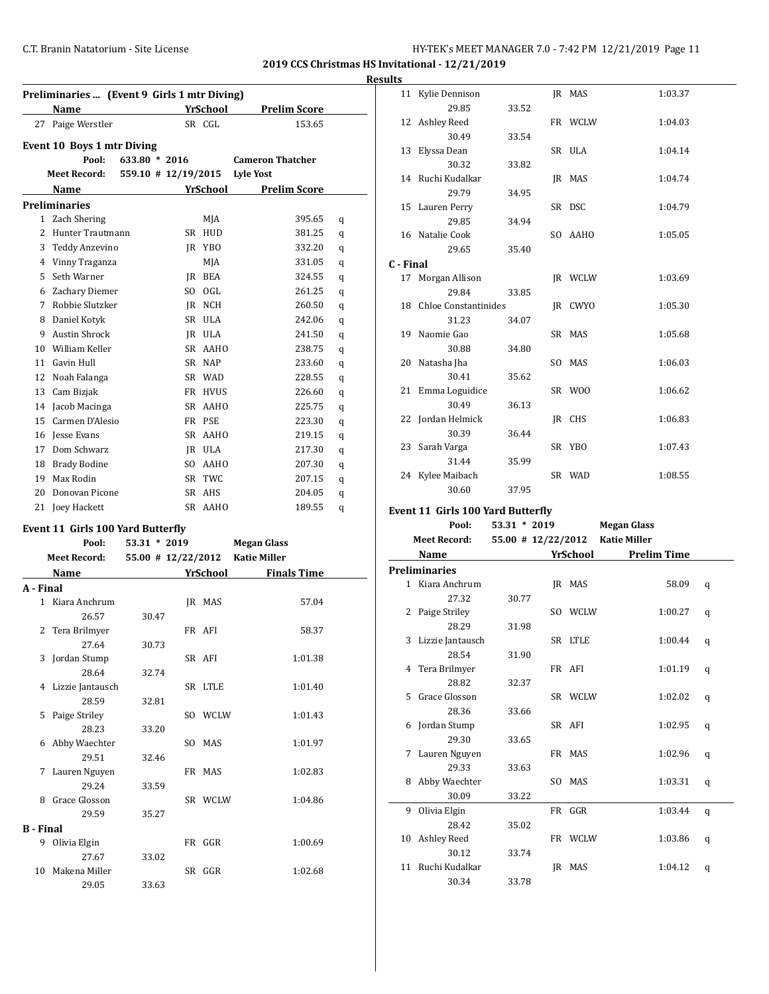**2019 CCS Christmas HS Invitational - 12/21/2019**

**Results**

|                  | Preliminaries  (Event 9 Girls 1 mtr Diving) |                     |                  |                         |   |
|------------------|---------------------------------------------|---------------------|------------------|-------------------------|---|
|                  | Name                                        |                     | YrSchool         | <b>Prelim Score</b>     |   |
|                  | 27 Paige Werstler                           |                     | SR CGL           | 153.65                  |   |
|                  |                                             |                     |                  |                         |   |
|                  | Event 10 Boys 1 mtr Diving<br>Pool:         | 633.80 * 2016       |                  | <b>Cameron Thatcher</b> |   |
|                  | <b>Meet Record:</b>                         | 559.10 # 12/19/2015 |                  | Lyle Yost               |   |
|                  | Name                                        |                     | YrSchool         | <b>Prelim Score</b>     |   |
|                  |                                             |                     |                  |                         |   |
|                  | <b>Preliminaries</b><br>1 Zach Shering      |                     |                  | 395.65                  |   |
|                  | 2 Hunter Trautmann                          |                     | MJA              |                         | q |
|                  | 3 Teddy Anzevino                            |                     | SR HUD<br>JR YBO | 381.25<br>332.20        | q |
|                  | 4 Vinny Traganza                            |                     | MJA              | 331.05                  | q |
|                  | 5 Seth Warner                               |                     | JR BEA           | 324.55                  | q |
|                  | 6 Zachary Diemer                            |                     | SO OGL           | 261.25                  | q |
|                  | 7 Robbie Slutzker                           |                     | JR NCH           | 260.50                  | q |
|                  | 8 Daniel Kotyk                              |                     | SR ULA           | 242.06                  | q |
|                  | 9 Austin Shrock                             |                     | JR ULA           | 241.50                  | q |
|                  | 10 William Keller                           |                     | SR AAHO          | 238.75                  | q |
|                  | 11 Gavin Hull                               |                     | SR NAP           | 233.60                  | q |
|                  | 12 Noah Falanga                             |                     | SR WAD           | 228.55                  | q |
|                  | 13 Cam Bizjak                               |                     | FR HVUS          | 226.60                  | q |
|                  | 14 Jacob Macinga                            |                     | SR AAHO          | 225.75                  | q |
|                  | 15 Carmen D'Alesio                          |                     | FR PSE           | 223.30                  | q |
|                  | 16 Iesse Evans                              |                     | SR AAHO          | 219.15                  | q |
|                  | 17 Dom Schwarz                              |                     | IR ULA           | 217.30                  | q |
|                  | 18 Brady Bodine                             |                     | SO AAHO          | 207.30                  | q |
|                  | 19 Max Rodin                                |                     | SR TWC           | 207.15                  | q |
|                  | 20 Donovan Picone                           |                     | SR AHS           | 204.05                  | q |
|                  | 21 Joey Hackett                             |                     | SR AAHO          | 189.55                  | q |
|                  |                                             |                     |                  |                         | q |
|                  | Event 11 Girls 100 Yard Butterfly           |                     |                  |                         |   |
|                  | Pool:                                       | $53.31 * 2019$      |                  | Megan Glass             |   |
|                  | Meet Record:                                | 55.00 # 12/22/2012  |                  | <b>Katie Miller</b>     |   |
|                  | Name                                        |                     | YrSchool         | <b>Finals Time</b>      |   |
| A - Final        |                                             |                     |                  |                         |   |
|                  | 1 Kiara Anchrum<br>26.57                    | 30.47               | JR MAS           | 57.04                   |   |
|                  |                                             |                     | FR AFI           |                         |   |
|                  | 2 Tera Brilmyer<br>27.64                    | 30.73               |                  | 58.37                   |   |
|                  | 3 Jordan Stump                              |                     | SR AFI           | 1:01.38                 |   |
|                  | 28.64                                       | 32.74               |                  |                         |   |
|                  | 4 Lizzie Jantausch                          |                     | SR LTLE          | 1:01.40                 |   |
|                  | 28.59                                       | 32.81               |                  |                         |   |
| 5                | Paige Striley                               |                     | SO WCLW          | 1:01.43                 |   |
|                  | 28.23                                       | 33.20               |                  |                         |   |
| 6                | Abby Waechter                               |                     | SO MAS           | 1:01.97                 |   |
|                  | 29.51                                       | 32.46               |                  |                         |   |
| 7                | Lauren Nguyen                               |                     | FR MAS           | 1:02.83                 |   |
|                  | 29.24                                       | 33.59               |                  |                         |   |
|                  | 8 Grace Glosson                             |                     | SR WCLW          | 1:04.86                 |   |
|                  | 29.59                                       | 35.27               |                  |                         |   |
| <b>B</b> - Final |                                             |                     |                  |                         |   |
| 9                | Olivia Elgin                                |                     | FR GGR           | 1:00.69                 |   |
|                  | 27.67                                       | 33.02               |                  |                         |   |
| 10               | Makena Miller                               |                     | SR GGR           | 1:02.68                 |   |
|                  | 29.05                                       | 33.63               |                  |                         |   |

|           | 11 Kylie Dennison                        |                      |     | JR MAS   | 1:03.37             |   |
|-----------|------------------------------------------|----------------------|-----|----------|---------------------|---|
|           | 29.85                                    | 33.52                |     |          |                     |   |
|           | 12 Ashley Reed                           |                      |     | FR WCLW  | 1:04.03             |   |
|           | 30.49                                    | 33.54                |     |          |                     |   |
|           | 13 Elyssa Dean                           |                      |     | SR ULA   | 1:04.14             |   |
|           | 30.32                                    | 33.82                |     |          |                     |   |
|           | 14 Ruchi Kudalkar                        |                      |     | JR MAS   | 1:04.74             |   |
|           | 29.79                                    | 34.95                |     |          |                     |   |
|           | 15 Lauren Perry                          |                      |     | SR DSC   | 1:04.79             |   |
|           | 29.85                                    | 34.94                |     |          |                     |   |
|           | 16 Natalie Cook                          |                      |     | SO AAHO  | 1:05.05             |   |
|           | 29.65                                    | 35.40                |     |          |                     |   |
| C - Final |                                          |                      |     |          |                     |   |
|           | 17 Morgan Allison                        |                      |     | JR WCLW  | 1:03.69             |   |
|           | 29.84                                    | 33.85                |     |          |                     |   |
|           | 18 Chloe Constantinides                  |                      |     | JR CWYO  | 1:05.30             |   |
|           | 31.23                                    | 34.07                |     |          |                     |   |
|           | 19 Naomie Gao                            |                      |     | SR MAS   | 1:05.68             |   |
|           | 30.88                                    | 34.80                |     |          |                     |   |
| 20        | Natasha Jha                              |                      |     | SO MAS   | 1:06.03             |   |
|           | 30.41                                    | 35.62                |     |          |                     |   |
|           | 21 Emma Loguidice                        |                      |     | SR WOO   | 1:06.62             |   |
|           | 30.49                                    | 36.13                |     |          |                     |   |
|           | 22 Jordan Helmick                        |                      |     | JR CHS   | 1:06.83             |   |
|           | 30.39                                    | 36.44                |     |          |                     |   |
|           |                                          |                      |     | SR YBO   | 1:07.43             |   |
|           | 23 Sarah Varga                           |                      |     |          |                     |   |
|           | 31.44                                    | 35.99                |     | SR WAD   |                     |   |
|           |                                          |                      |     |          | 1:08.55             |   |
|           | 24 Kylee Maibach                         |                      |     |          |                     |   |
|           | 30.60                                    | 37.95                |     |          |                     |   |
|           | <b>Event 11 Girls 100 Yard Butterfly</b> |                      |     |          |                     |   |
|           | Pool:                                    | 53.31 * 2019         |     |          | <b>Megan Glass</b>  |   |
|           | <b>Meet Record:</b>                      | $55.00$ # 12/22/2012 |     |          | <b>Katie Miller</b> |   |
|           | <b>Name</b>                              |                      |     | YrSchool | <b>Prelim Time</b>  |   |
|           | <b>Preliminaries</b>                     |                      |     |          |                     |   |
|           | 1 Kiara Anchrum                          |                      |     | IR MAS   | 58.09               |   |
|           | 27.32                                    | 30.77                |     |          |                     | q |
|           |                                          |                      |     |          |                     |   |
|           | 2 Paige Striley<br>28.29                 | 31.98                |     | SO WCLW  | 1:00.27             | q |
| 3         |                                          |                      |     | SR LTLE  | 1:00.44             |   |
|           | Lizzie Jantausch                         |                      |     |          |                     | q |
|           | 28.54                                    | 31.90                |     |          |                     |   |
|           | 4 Tera Brilmyer                          |                      |     | FR AFI   | 1:01.19             | q |
|           | 28.82                                    | 32.37                |     |          |                     |   |
|           | 5 Grace Glosson                          |                      |     | SR WCLW  | 1:02.02             | q |
|           | 28.36                                    | 33.66                |     |          |                     |   |
| 6         | Jordan Stump                             |                      |     | SR AFI   | 1:02.95             | q |
|           | 29.30                                    | 33.65                |     |          |                     |   |
| 7         | Lauren Nguyen                            |                      |     | FR MAS   | 1:02.96             | q |
|           | 29.33                                    | 33.63                |     |          |                     |   |
| 8         | Abby Waechter                            |                      | SO. | MAS      | 1:03.31             | q |
|           | 30.09                                    | 33.22                |     |          |                     |   |
| 9         | Olivia Elgin                             |                      |     | FR GGR   | 1:03.44             | q |
|           | 28.42                                    | 35.02                |     |          |                     |   |
| 10        | Ashley Reed                              |                      |     | FR WCLW  | 1:03.86             | q |
| 11        | 30.12<br>Ruchi Kudalkar                  | 33.74                | JR  | MAS      | 1:04.12             | q |

30.34 33.78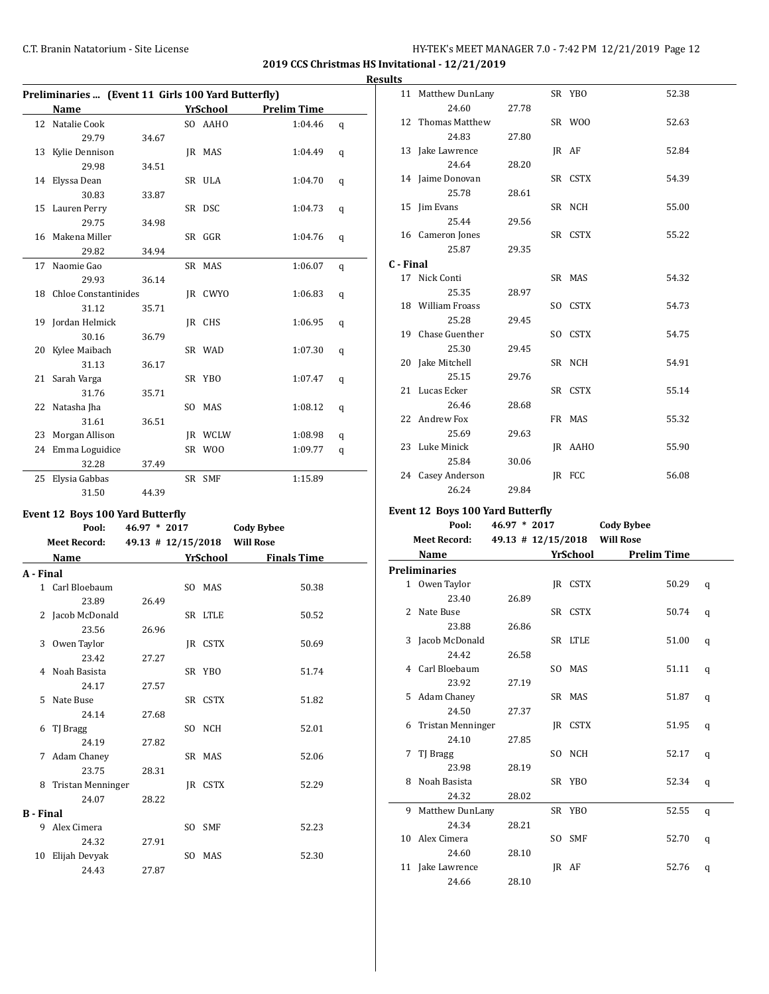**2019 CCS Christmas HS Invitational - 12/21/2019**

### **Results**

|    | Preliminaries  (Event 11 Girls 100 Yard Butterfly) |       |  |                |                    |   |  |
|----|----------------------------------------------------|-------|--|----------------|--------------------|---|--|
|    | Name                                               |       |  | YrSchool       | <b>Prelim Time</b> |   |  |
| 12 | Natalie Cook                                       |       |  | SO AAHO        | 1:04.46            | q |  |
|    | 29.79                                              | 34.67 |  |                |                    |   |  |
|    | 13 Kylie Dennison                                  |       |  | IR MAS         | 1:04.49            | q |  |
|    | 29.98                                              | 34.51 |  |                |                    |   |  |
|    | 14 Elyssa Dean                                     |       |  | SR ULA         | 1:04.70            | q |  |
|    | 30.83                                              | 33.87 |  |                |                    |   |  |
|    | 15 Lauren Perry                                    |       |  | SR DSC         | 1:04.73            | q |  |
|    | 29.75                                              | 34.98 |  |                |                    |   |  |
|    | 16 Makena Miller                                   |       |  | SR GGR         | 1:04.76            | q |  |
|    | 29.82                                              | 34.94 |  |                |                    |   |  |
| 17 | Naomie Gao                                         |       |  | SR MAS         | 1:06.07            | q |  |
|    | 29.93                                              | 36.14 |  |                |                    |   |  |
|    | 18 Chloe Constantinides                            |       |  | IR CWYO        | 1:06.83            | q |  |
|    | 31.12                                              | 35.71 |  |                |                    |   |  |
|    | 19 Jordan Helmick                                  |       |  | IR CHS         | 1:06.95            | q |  |
|    | 30.16                                              | 36.79 |  |                |                    |   |  |
|    | 20 Kylee Maibach                                   |       |  | SR WAD         | 1:07.30            | q |  |
|    | 31.13                                              | 36.17 |  |                |                    |   |  |
|    | 21 Sarah Varga                                     |       |  | SR YBO         | 1:07.47            | q |  |
|    | 31.76                                              | 35.71 |  |                |                    |   |  |
| 22 | Natasha Jha                                        |       |  | SO MAS         | 1:08.12            | q |  |
|    | 31.61                                              | 36.51 |  |                |                    |   |  |
| 23 | Morgan Allison                                     |       |  | <b>IR WCLW</b> | 1:08.98            | q |  |
| 24 | Emma Loguidice                                     |       |  | SR WOO         | 1:09.77            | q |  |
|    | 32.28                                              | 37.49 |  |                |                    |   |  |
| 25 | Elysia Gabbas                                      |       |  | SR SMF         | 1:15.89            |   |  |
|    | 31.50                                              | 44.39 |  |                |                    |   |  |

### **Event 12 Boys 100 Yard Butterfly**

|                  | Pool:               | $46.97 * 2017$               |          | <b>Cody Bybee</b>  |  |
|------------------|---------------------|------------------------------|----------|--------------------|--|
|                  | <b>Meet Record:</b> | 49.13 # 12/15/2018 Will Rose |          |                    |  |
|                  | <b>Name</b>         |                              | YrSchool | <b>Finals Time</b> |  |
| A - Final        |                     |                              |          |                    |  |
|                  | 1 Carl Bloebaum     |                              | SO MAS   | 50.38              |  |
|                  | 23.89               | 26.49                        |          |                    |  |
|                  | 2 Jacob McDonald    |                              | SR LTLE  | 50.52              |  |
|                  | 23.56               | 26.96                        |          |                    |  |
| 3                | Owen Taylor         |                              | IR CSTX  | 50.69              |  |
|                  | 23.42               | 27.27                        |          |                    |  |
|                  | 4 Noah Basista      |                              | SR YBO   | 51.74              |  |
|                  | 24.17               | 27.57                        |          |                    |  |
|                  | 5 Nate Buse         |                              | SR CSTX  | 51.82              |  |
|                  | 24.14               | 27.68                        |          |                    |  |
|                  | 6 TJ Bragg          |                              | SO NCH   | 52.01              |  |
|                  | 24.19               | 27.82                        |          |                    |  |
|                  | 7 Adam Chaney       |                              | SR MAS   | 52.06              |  |
|                  | 23.75               | 28.31                        |          |                    |  |
| 8                | Tristan Menninger   |                              | IR CSTX  | 52.29              |  |
|                  | 24.07               | 28.22                        |          |                    |  |
| <b>B</b> - Final |                     |                              |          |                    |  |
| 9                | Alex Cimera         |                              | SO SMF   | 52.23              |  |
|                  | 24.32               | 27.91                        |          |                    |  |
| 10               | Elijah Devyak       |                              | SO MAS   | 52.30              |  |
|                  | 24.43               | 27.87                        |          |                    |  |

| 1 L.J     |                    |       |         |       |
|-----------|--------------------|-------|---------|-------|
|           | 11 Matthew DunLany |       | SR YBO  | 52.38 |
|           | 24.60              | 27.78 |         |       |
|           | 12 Thomas Matthew  |       | SR WOO  | 52.63 |
|           | 24.83              | 27.80 |         |       |
|           | 13 Jake Lawrence   |       | JR AF   | 52.84 |
|           | 24.64              | 28.20 |         |       |
|           | 14 Jaime Donovan   |       | SR CSTX | 54.39 |
|           | 25.78              | 28.61 |         |       |
|           | 15 Jim Evans       |       | SR NCH  | 55.00 |
|           | 25.44              | 29.56 |         |       |
|           | 16 Cameron Jones   |       | SR CSTX | 55.22 |
|           | 25.87              | 29.35 |         |       |
| C - Final |                    |       |         |       |
|           | 17 Nick Conti      |       | SR MAS  | 54.32 |
|           | 25.35              | 28.97 |         |       |
|           | 18 William Froass  |       | SO CSTX | 54.73 |
|           | 25.28              | 29.45 |         |       |
|           | 19 Chase Guenther  |       | SO CSTX | 54.75 |
|           | 25.30              | 29.45 |         |       |
|           | 20 Jake Mitchell   |       | SR NCH  | 54.91 |
|           | 25.15              | 29.76 |         |       |
|           | 21 Lucas Ecker     |       | SR CSTX | 55.14 |
|           | 26.46              | 28.68 |         |       |
|           | 22 Andrew Fox      |       | FR MAS  | 55.32 |
|           | 25.69              | 29.63 |         |       |
|           | 23 Luke Minick     |       | JR AAHO | 55.90 |
|           | 25.84              | 30.06 |         |       |
|           | 24 Casey Anderson  |       | IR FCC  | 56.08 |
|           | 26.24              | 29.84 |         |       |

### **Event 12 Boys 100 Yard Butterfly**

|   | Pool:                | 46.97 * 2017 |          | <b>Cody Bybee</b>                |   |
|---|----------------------|--------------|----------|----------------------------------|---|
|   | <b>Meet Record:</b>  |              |          | 49.13 # 12/15/2018     Will Rose |   |
|   | Name                 |              | YrSchool | <b>Prelim Time</b>               |   |
|   | <b>Preliminaries</b> |              |          |                                  |   |
|   | 1 Owen Taylor        |              | IR CSTX  | 50.29                            | q |
|   | 23.40                | 26.89        |          |                                  |   |
|   | 2 Nate Buse          |              | SR CSTX  | 50.74                            | q |
|   | 23.88                | 26.86        |          |                                  |   |
|   | 3 Jacob McDonald     |              | SR LTLE  | 51.00                            | q |
|   | 24.42                | 26.58        |          |                                  |   |
|   | 4 Carl Bloebaum      |              | SO MAS   | 51.11                            | q |
|   | 23.92                | 27.19        |          |                                  |   |
|   | 5 Adam Chaney        |              | SR MAS   | 51.87                            | q |
|   | 24.50                | 27.37        |          |                                  |   |
|   | 6 Tristan Menninger  |              | IR CSTX  | 51.95                            | q |
|   | 24.10                | 27.85        |          |                                  |   |
| 7 | TJ Bragg             |              | SO NCH   | 52.17                            | q |
|   | 23.98                | 28.19        |          |                                  |   |
|   | 8 Noah Basista       |              | SR YBO   | 52.34                            | q |
|   | 24.32                | 28.02        |          |                                  |   |
|   | 9 Matthew DunLany    |              | SR YBO   | 52.55                            | q |
|   | 24.34                | 28.21        |          |                                  |   |
|   | 10 Alex Cimera       |              | SO SMF   | 52.70                            | q |
|   | 24.60                | 28.10        |          |                                  |   |
|   | 11 Jake Lawrence     |              | IR AF    | 52.76                            | q |
|   | 24.66                | 28.10        |          |                                  |   |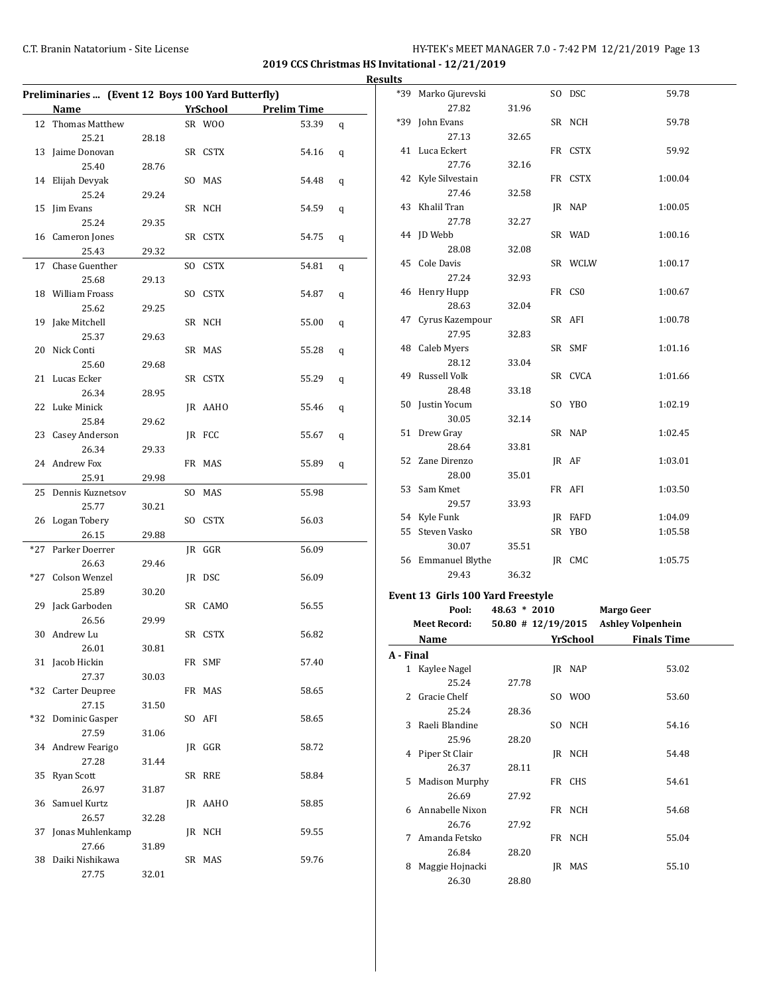### C.T. Branin Natatorium - Site License **HY-TEK's MEET MANAGER 7.0 - 7:42 PM** 12/21/2019 Page 13

**2019 CCS Christmas HS Invitational - 12/21/2019 Results**

|       | Preliminaries  (Event 12 Boys 100 Yard Butterfly) |       |  |                 |                    |   |  |
|-------|---------------------------------------------------|-------|--|-----------------|--------------------|---|--|
|       | <b>Name</b>                                       |       |  | <u>YrSchool</u> | <b>Prelim Time</b> |   |  |
| 12    | Thomas Matthew                                    |       |  | SR WOO          | 53.39              | q |  |
|       | 25.21                                             | 28.18 |  |                 |                    |   |  |
|       | 13 Jaime Donovan                                  |       |  | SR CSTX         | 54.16              | q |  |
|       | 25.40                                             | 28.76 |  |                 |                    |   |  |
|       | 14 Elijah Devyak<br>25.24                         |       |  | SO MAS          | 54.48              | q |  |
|       |                                                   | 29.24 |  |                 |                    |   |  |
| 15    | Jim Evans                                         |       |  | SR NCH          | 54.59              | q |  |
|       | 25.24<br>16 Cameron Jones                         | 29.35 |  |                 |                    |   |  |
|       | 25.43                                             |       |  | SR CSTX         | 54.75              | q |  |
| 17    | Chase Guenther                                    | 29.32 |  |                 |                    |   |  |
|       | 25.68                                             |       |  | SO CSTX         | 54.81              | q |  |
|       | 18 William Froass                                 | 29.13 |  | SO CSTX         | 54.87              |   |  |
|       | 25.62                                             | 29.25 |  |                 |                    | q |  |
| 19    | Jake Mitchell                                     |       |  | SR NCH          | 55.00              |   |  |
|       | 25.37                                             | 29.63 |  |                 |                    | q |  |
| 20    | Nick Conti                                        |       |  | SR MAS          | 55.28              |   |  |
|       | 25.60                                             | 29.68 |  |                 |                    | q |  |
|       | 21 Lucas Ecker                                    |       |  | SR CSTX         | 55.29              | q |  |
|       | 26.34                                             | 28.95 |  |                 |                    |   |  |
|       | 22 Luke Minick                                    |       |  | JR AAHO         | 55.46              | q |  |
|       | 25.84                                             | 29.62 |  |                 |                    |   |  |
|       | 23 Casey Anderson                                 |       |  | JR FCC          | 55.67              | q |  |
|       | 26.34                                             | 29.33 |  |                 |                    |   |  |
|       | 24 Andrew Fox                                     |       |  | FR MAS          | 55.89              | q |  |
|       | 25.91                                             | 29.98 |  |                 |                    |   |  |
| 25    | Dennis Kuznetsov                                  |       |  | SO MAS          | 55.98              |   |  |
|       | 25.77                                             | 30.21 |  |                 |                    |   |  |
|       | 26 Logan Tobery                                   |       |  | SO CSTX         | 56.03              |   |  |
|       | 26.15                                             | 29.88 |  |                 |                    |   |  |
| $*27$ | Parker Doerrer                                    |       |  | JR GGR          | 56.09              |   |  |
|       | 26.63                                             | 29.46 |  |                 |                    |   |  |
| *27   | Colson Wenzel                                     |       |  | JR DSC          | 56.09              |   |  |
|       | 25.89                                             | 30.20 |  |                 |                    |   |  |
|       | 29 Jack Garboden                                  |       |  | SR CAMO         | 56.55              |   |  |
|       | 26.56                                             | 29.99 |  |                 |                    |   |  |
| 30    | Andrew Lu                                         |       |  | SR CSTX         | 56.82              |   |  |
|       | 26.01                                             | 30.81 |  |                 |                    |   |  |
|       | 31 Jacob Hickin                                   |       |  | FR SMF          | 57.40              |   |  |
|       | 27.37                                             | 30.03 |  |                 |                    |   |  |
|       | *32 Carter Deupree                                |       |  | FR MAS          | 58.65              |   |  |
|       | 27.15                                             | 31.50 |  |                 |                    |   |  |
|       | *32 Dominic Gasper                                |       |  | SO AFI          | 58.65              |   |  |
|       | 27.59                                             | 31.06 |  |                 |                    |   |  |
|       | 34 Andrew Fearigo                                 |       |  | IR GGR          | 58.72              |   |  |
|       | 27.28                                             | 31.44 |  |                 |                    |   |  |
| 35    | <b>Ryan Scott</b>                                 |       |  | SR RRE          | 58.84              |   |  |
|       | 26.97                                             | 31.87 |  |                 |                    |   |  |
|       | 36 Samuel Kurtz                                   |       |  | JR AAHO         | 58.85              |   |  |
|       | 26.57                                             | 32.28 |  |                 |                    |   |  |
|       | Jonas Muhlenkamp                                  |       |  | JR NCH          | 59.55              |   |  |
| 37    |                                                   |       |  |                 |                    |   |  |
|       | 27.66                                             | 31.89 |  |                 |                    |   |  |
| 38    | Daiki Nishikawa                                   |       |  | SR MAS          | 59.76              |   |  |

| .   |                                   |       |         |         |
|-----|-----------------------------------|-------|---------|---------|
| *39 | Marko Gjurevski                   |       | SO DSC  | 59.78   |
|     | 27.82                             | 31.96 |         |         |
| *39 | John Evans                        |       | SR NCH  | 59.78   |
|     | 27.13                             | 32.65 |         |         |
|     | 41 Luca Eckert                    |       | FR CSTX | 59.92   |
|     | 27.76                             | 32.16 |         |         |
|     | 42 Kyle Silvestain                |       | FR CSTX | 1:00.04 |
|     | 27.46                             | 32.58 |         |         |
|     | 43 Khalil Tran                    |       | JR NAP  | 1:00.05 |
|     | 27.78                             | 32.27 |         |         |
|     | 44 JD Webb                        |       | SR WAD  | 1:00.16 |
|     | 28.08                             | 32.08 |         |         |
| 45  | Cole Davis                        |       | SR WCLW | 1:00.17 |
|     | 27.24                             | 32.93 |         |         |
| 46  | Henry Hupp                        |       | FR CSO  | 1:00.67 |
|     | 28.63                             | 32.04 |         |         |
|     | 47 Cyrus Kazempour                |       | SR AFI  | 1:00.78 |
|     | 27.95                             | 32.83 |         |         |
| 48  | Caleb Myers                       |       | SR SMF  | 1:01.16 |
|     | 28.12                             | 33.04 |         |         |
| 49  | Russell Volk                      |       | SR CVCA | 1:01.66 |
|     | 28.48                             | 33.18 |         |         |
| 50  | Justin Yocum                      |       | SO YBO  | 1:02.19 |
|     | 30.05                             | 32.14 |         |         |
| 51  | Drew Gray                         |       | SR NAP  | 1:02.45 |
|     | 28.64                             | 33.81 |         |         |
| 52  | Zane Direnzo                      |       | IR AF   | 1:03.01 |
|     | 28.00                             | 35.01 |         |         |
| 53  | Sam Kmet                          |       | FR AFI  | 1:03.50 |
|     | 29.57                             | 33.93 |         |         |
|     | 54 Kyle Funk                      |       | JR FAFD | 1:04.09 |
|     | 55 Steven Vasko                   |       | SR YBO  | 1:05.58 |
|     | 30.07                             | 35.51 |         |         |
|     | 56 Emmanuel Blythe                |       | IR CMC  | 1:05.75 |
|     | 29.43                             | 36.32 |         |         |
|     | Event 13 Girls 100 Yard Freestyle |       |         |         |
|     |                                   |       |         |         |

|               | Pool:                 | $48.63 * 2010$       |    |          | <b>Margo Geer</b>        |  |
|---------------|-----------------------|----------------------|----|----------|--------------------------|--|
|               | <b>Meet Record:</b>   | $50.80$ # 12/19/2015 |    |          | <b>Ashley Volpenhein</b> |  |
|               | Name                  |                      |    | YrSchool | <b>Finals Time</b>       |  |
| A - Final     |                       |                      |    |          |                          |  |
|               | 1 Kaylee Nagel        |                      |    | IR NAP   | 53.02                    |  |
|               | 25.24                 | 27.78                |    |          |                          |  |
| $\mathcal{L}$ | Gracie Chelf          |                      |    | SO WOO   | 53.60                    |  |
|               | 25.24                 | 28.36                |    |          |                          |  |
| 3             | Raeli Blandine        |                      |    | SO NCH   | 54.16                    |  |
|               | 25.96                 | 28.20                |    |          |                          |  |
| 4             | Piper St Clair        |                      |    | JR NCH   | 54.48                    |  |
|               | 26.37                 | 28.11                |    |          |                          |  |
| 5.            | <b>Madison Murphy</b> |                      |    | FR CHS   | 54.61                    |  |
|               | 26.69                 | 27.92                |    |          |                          |  |
| 6             | Annabelle Nixon       |                      |    | FR NCH   | 54.68                    |  |
|               | 26.76                 | 27.92                |    |          |                          |  |
| 7             | Amanda Fetsko         |                      |    | FR NCH   | 55.04                    |  |
|               | 26.84                 | 28.20                |    |          |                          |  |
| 8             | Maggie Hojnacki       |                      | IR | MAS      | 55.10                    |  |
|               | 26.30                 | 28.80                |    |          |                          |  |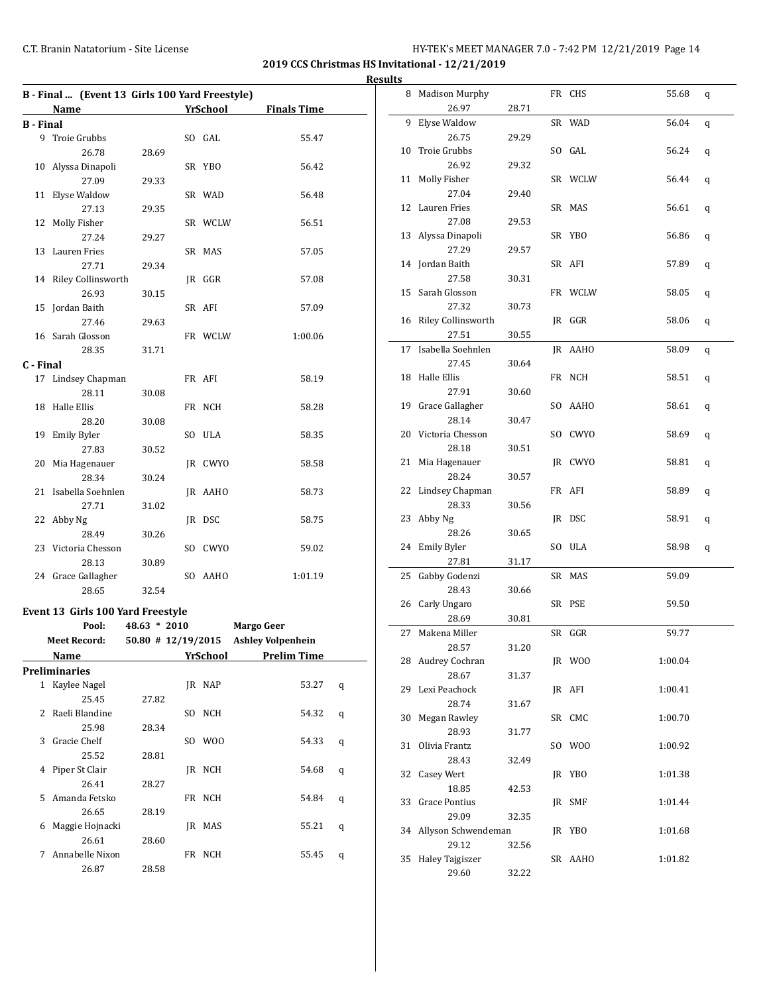**2019 CCS Christmas HS Invitational - 12/21/2019 Results**

|                  | B - Final  (Event 13 Girls 100 Yard Freestyle) |       |  |                 |                    |  |
|------------------|------------------------------------------------|-------|--|-----------------|--------------------|--|
|                  | Name                                           |       |  | <b>YrSchool</b> | <b>Finals Time</b> |  |
| <b>B</b> - Final |                                                |       |  |                 |                    |  |
| 9                | Troie Grubbs                                   |       |  | SO GAL          | 55.47              |  |
|                  | 26.78                                          | 28.69 |  |                 |                    |  |
| 10               | Alyssa Dinapoli                                |       |  | SR YBO          | 56.42              |  |
|                  | 27.09                                          | 29.33 |  |                 |                    |  |
| 11               | Elyse Waldow                                   |       |  | SR WAD          | 56.48              |  |
|                  | 27.13                                          | 29.35 |  |                 |                    |  |
| 12               | Molly Fisher                                   |       |  | SR WCLW         | 56.51              |  |
|                  | 27.24                                          | 29.27 |  |                 |                    |  |
| 13               | Lauren Fries                                   |       |  | SR MAS          | 57.05              |  |
|                  | 27.71                                          | 29.34 |  |                 |                    |  |
| 14               | Riley Collinsworth                             |       |  | JR GGR          | 57.08              |  |
|                  | 26.93                                          | 30.15 |  |                 |                    |  |
| 15               | Jordan Baith                                   |       |  | SR AFI          | 57.09              |  |
|                  | 27.46                                          | 29.63 |  |                 |                    |  |
| 16               | Sarah Glosson                                  |       |  | FR WCLW         | 1:00.06            |  |
|                  | 28.35                                          | 31.71 |  |                 |                    |  |
| C - Final        |                                                |       |  |                 |                    |  |
| 17               | Lindsey Chapman                                |       |  | FR AFI          | 58.19              |  |
|                  | 28.11                                          | 30.08 |  |                 |                    |  |
| 18               | Halle Ellis                                    |       |  | FR NCH          | 58.28              |  |
|                  | 28.20                                          | 30.08 |  |                 |                    |  |
| 19               | Emily Byler                                    |       |  | SO ULA          | 58.35              |  |
|                  | 27.83                                          | 30.52 |  |                 |                    |  |
| 20               | Mia Hagenauer                                  |       |  | JR CWYO         | 58.58              |  |
|                  | 28.34                                          | 30.24 |  |                 |                    |  |
| 21               | Isabella Soehnlen                              |       |  | JR AAHO         | 58.73              |  |
|                  | 27.71                                          | 31.02 |  |                 |                    |  |
| 22               | Abby Ng                                        |       |  | JR DSC          | 58.75              |  |
|                  | 28.49                                          | 30.26 |  |                 |                    |  |
| 23               | Victoria Chesson                               |       |  | SO CWYO         | 59.02              |  |
|                  | 28.13                                          | 30.89 |  |                 |                    |  |
|                  | 24 Grace Gallagher                             |       |  | SO AAHO         | 1:01.19            |  |
|                  | 28.65                                          | 32.54 |  |                 |                    |  |
|                  | Event 13 Girls 100 Yard Freestyle              |       |  |                 |                    |  |

|   | Pool:               | $48.63 * 2010$ |     |          | <b>Margo Geer</b>                    |   |
|---|---------------------|----------------|-----|----------|--------------------------------------|---|
|   | <b>Meet Record:</b> |                |     |          | 50.80 # 12/19/2015 Ashley Volpenhein |   |
|   | Name                |                |     | YrSchool | <b>Prelim Time</b>                   |   |
|   | Preliminaries       |                |     |          |                                      |   |
| 1 | Kaylee Nagel        |                |     | JR NAP   | 53.27                                | q |
|   | 25.45               | 27.82          |     |          |                                      |   |
| 2 | Raeli Blandine      |                | SO. | NCH      | 54.32                                | q |
|   | 25.98               | 28.34          |     |          |                                      |   |
| 3 | Gracie Chelf        |                | SO. | W00      | 54.33                                | q |
|   | 25.52               | 28.81          |     |          |                                      |   |
| 4 | Piper St Clair      |                |     | IR NCH   | 54.68                                | q |
|   | 26.41               | 28.27          |     |          |                                      |   |
| 5 | Amanda Fetsko       |                |     | FR NCH   | 54.84                                | q |
|   | 26.65               | 28.19          |     |          |                                      |   |
| 6 | Maggie Hojnacki     |                | IR  | MAS      | 55.21                                | q |
|   | 26.61               | 28.60          |     |          |                                      |   |
| 7 | Annabelle Nixon     |                |     | FR NCH   | 55.45                                | q |
|   | 26.87               | 28.58          |     |          |                                      |   |

|    | 8 Madison Murphy       |       | FR CHS  | 55.68   | q |
|----|------------------------|-------|---------|---------|---|
|    | 26.97                  | 28.71 |         |         |   |
| 9  | Elyse Waldow           |       | SR WAD  | 56.04   | q |
|    | 26.75                  | 29.29 |         |         |   |
| 10 | Troie Grubbs           |       | SO GAL  | 56.24   | q |
|    | 26.92                  | 29.32 |         |         |   |
| 11 | Molly Fisher           |       | SR WCLW | 56.44   | q |
|    | 27.04                  | 29.40 |         |         |   |
|    | 12 Lauren Fries        |       | SR MAS  | 56.61   | q |
|    | 27.08                  | 29.53 |         |         |   |
|    | 13 Alyssa Dinapoli     |       | SR YBO  | 56.86   | q |
|    | 27.29                  | 29.57 |         |         |   |
|    | 14 Jordan Baith        |       | SR AFI  | 57.89   | q |
|    | 27.58                  | 30.31 |         |         |   |
| 15 | Sarah Glosson          |       | FR WCLW | 58.05   | q |
|    | 27.32                  | 30.73 |         |         |   |
| 16 | Riley Collinsworth     |       | JR GGR  | 58.06   | q |
|    | 27.51                  | 30.55 |         |         |   |
| 17 | Isabella Soehnlen      |       | JR AAHO | 58.09   |   |
|    |                        |       |         |         | q |
|    | 27.45                  | 30.64 |         |         |   |
| 18 | Halle Ellis            |       | FR NCH  | 58.51   | q |
|    | 27.91                  | 30.60 |         |         |   |
|    | 19 Grace Gallagher     |       | SO AAHO | 58.61   | q |
|    | 28.14                  | 30.47 |         |         |   |
|    | 20 Victoria Chesson    |       | SO CWYO | 58.69   | q |
|    | 28.18                  | 30.51 |         |         |   |
| 21 | Mia Hagenauer          |       | JR CWYO | 58.81   | q |
|    | 28.24                  | 30.57 |         |         |   |
|    | 22 Lindsey Chapman     |       | FR AFI  | 58.89   | q |
|    | 28.33                  | 30.56 |         |         |   |
| 23 | Abby Ng                |       | JR DSC  | 58.91   | q |
|    | 28.26                  | 30.65 |         |         |   |
| 24 | <b>Emily Byler</b>     |       | SO ULA  | 58.98   | q |
|    | 27.81                  | 31.17 |         |         |   |
| 25 | Gabby Godenzi          |       | SR MAS  | 59.09   |   |
|    | 28.43                  | 30.66 |         |         |   |
| 26 | Carly Ungaro           |       | SR PSE  | 59.50   |   |
|    | 28.69                  | 30.81 |         |         |   |
| 27 | Makena Miller          |       | SR GGR  | 59.77   |   |
|    | 28.57                  | 31.20 |         |         |   |
|    | 28 Audrey Cochran      |       | JR WOO  | 1:00.04 |   |
|    | 28.67                  | 31.37 |         |         |   |
|    | 29 Lexi Peachock       |       | JR AFI  | 1:00.41 |   |
|    | 28.74                  | 31.67 |         |         |   |
| 30 | Megan Rawley           |       | SR CMC  | 1:00.70 |   |
|    | 28.93                  | 31.77 |         |         |   |
| 31 | Olivia Frantz          |       | SO WOO  | 1:00.92 |   |
|    | 28.43                  | 32.49 |         |         |   |
| 32 | Casey Wert             |       | JR YBO  | 1:01.38 |   |
|    | 18.85                  | 42.53 |         |         |   |
| 33 | Grace Pontius          |       |         | 1:01.44 |   |
|    |                        |       | JR SMF  |         |   |
|    | 29.09                  | 32.35 |         |         |   |
|    | 34 Allyson Schwendeman |       | JR YBO  | 1:01.68 |   |
|    | 29.12                  | 32.56 |         |         |   |
|    | 35 Haley Tajgiszer     |       | SR AAHO | 1:01.82 |   |
|    | 29.60                  | 32.22 |         |         |   |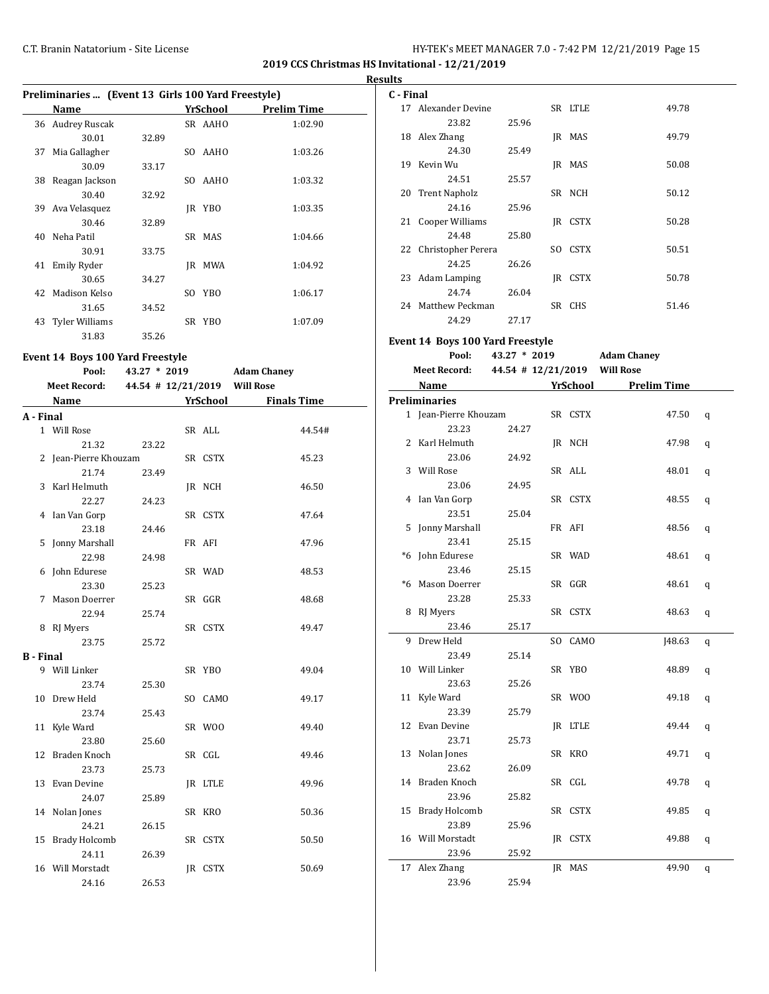**2019 CCS Christmas HS Invitational - 12/21/2019 Results**

|    | Preliminaries  (Event 13 Girls 100 Yard Freestyle) |       |             |                    |  |  |
|----|----------------------------------------------------|-------|-------------|--------------------|--|--|
|    | Name                                               |       | YrSchool    | <b>Prelim Time</b> |  |  |
| 36 | <b>Audrey Ruscak</b>                               |       | SR AAHO     | 1:02.90            |  |  |
|    | 30.01                                              | 32.89 |             |                    |  |  |
| 37 | Mia Gallagher                                      |       | AAHO<br>SO. | 1:03.26            |  |  |
|    | 30.09                                              | 33.17 |             |                    |  |  |
| 38 | Reagan Jackson                                     |       | AAHO<br>SO. | 1:03.32            |  |  |
|    | 30.40                                              | 32.92 |             |                    |  |  |
| 39 | Ava Velasquez                                      |       | YBO<br>IR   | 1:03.35            |  |  |
|    | 30.46                                              | 32.89 |             |                    |  |  |
| 40 | Neha Patil                                         |       | SR MAS      | 1:04.66            |  |  |
|    | 30.91                                              | 33.75 |             |                    |  |  |
| 41 | Emily Ryder                                        |       | MWA<br>IR   | 1:04.92            |  |  |
|    | 30.65                                              | 34.27 |             |                    |  |  |
|    | 42 Madison Kelso                                   |       | YBO<br>SO.  | 1:06.17            |  |  |
|    | 31.65                                              | 34.52 |             |                    |  |  |
|    | 43 Tyler Williams                                  |       | SR YBO      | 1:07.09            |  |  |
|    | 31.83                                              | 35.26 |             |                    |  |  |

# **Event 14 Boys 100 Yard Freestyle**

|                  | Pool:                 | 43.27 * 2019                 |    |             | <b>Adam Chaney</b>   |
|------------------|-----------------------|------------------------------|----|-------------|----------------------|
|                  | <b>Meet Record:</b>   | 44.54 # 12/21/2019 Will Rose |    |             |                      |
|                  | Name                  |                              |    |             | YrSchool Finals Time |
| A - Final        |                       |                              |    |             |                      |
|                  | 1 Will Rose           |                              |    | SR ALL      | 44.54#               |
|                  | 21.32                 | 23.22                        |    |             |                      |
|                  | 2 Jean-Pierre Khouzam |                              |    | SR CSTX     | 45.23                |
|                  | 21.74                 | 23.49                        |    |             |                      |
| 3                | Karl Helmuth          |                              |    | IR NCH      | 46.50                |
|                  | 22.27                 | 24.23                        |    |             |                      |
|                  | 4 Ian Van Gorp        |                              |    | SR CSTX     | 47.64                |
|                  | 23.18                 | 24.46                        |    |             |                      |
| 5                | Jonny Marshall        |                              |    | FR AFI      | 47.96                |
|                  | 22.98                 | 24.98                        |    |             |                      |
| 6                | John Edurese          |                              |    | SR WAD      | 48.53                |
|                  | 23.30                 | 25.23                        |    |             |                      |
| 7                | Mason Doerrer         |                              |    | SR GGR      | 48.68                |
|                  | 22.94                 | 25.74                        |    |             |                      |
| 8                | RJ Myers              |                              |    | SR CSTX     | 49.47                |
|                  | 23.75                 | 25.72                        |    |             |                      |
| <b>B</b> - Final |                       |                              |    |             |                      |
|                  | 9 Will Linker         |                              |    | SR YBO      | 49.04                |
|                  | 23.74                 | 25.30                        |    |             |                      |
|                  | 10 Drew Held          |                              |    | SO CAMO     | 49.17                |
|                  | 23.74                 | 25.43                        |    |             |                      |
| 11               | Kyle Ward             |                              |    | SR WOO      | 49.40                |
|                  | 23.80                 | 25.60                        |    |             |                      |
| 12               | Braden Knoch          |                              |    | SR CGL      | 49.46                |
|                  | 23.73                 | 25.73                        |    |             |                      |
|                  | 13 Evan Devine        |                              |    | IR LTLE     | 49.96                |
|                  | 24.07                 | 25.89                        |    |             |                      |
|                  | 14 Nolan Jones        |                              |    | SR KRO      | 50.36                |
|                  | 24.21                 | 26.15                        |    |             |                      |
|                  | 15 Brady Holcomb      |                              |    | SR CSTX     | 50.50                |
|                  | 24.11                 | 26.39                        |    |             |                      |
|                  | 16 Will Morstadt      |                              | IR | <b>CSTX</b> | 50.69                |
|                  | 24.16                 | 26.53                        |    |             |                      |

| C - Final |                                           |                |         |                           |   |
|-----------|-------------------------------------------|----------------|---------|---------------------------|---|
|           | 17 Alexander Devine                       |                | SR LTLE | 49.78                     |   |
|           | 23.82                                     | 25.96          |         |                           |   |
|           | 18 Alex Zhang                             |                | JR MAS  | 49.79                     |   |
|           | 24.30                                     | 25.49          |         |                           |   |
|           | 19 Kevin Wu                               |                | JR MAS  | 50.08                     |   |
|           |                                           |                |         |                           |   |
|           | 24.51                                     | 25.57          |         |                           |   |
|           | 20 Trent Napholz                          |                | SR NCH  | 50.12                     |   |
|           | 24.16                                     | 25.96          |         |                           |   |
|           | 21 Cooper Williams                        |                | JR CSTX | 50.28                     |   |
|           | 24.48                                     | 25.80          |         |                           |   |
|           | 22 Christopher Perera                     |                | SO CSTX | 50.51                     |   |
|           | 24.25                                     | 26.26          |         |                           |   |
|           | 23 Adam Lamping                           |                | JR CSTX | 50.78                     |   |
|           | 24.74                                     | 26.04          |         |                           |   |
|           | 24 Matthew Peckman                        |                | SR CHS  | 51.46                     |   |
|           | 24.29                                     | 27.17          |         |                           |   |
|           | Event 14 Boys 100 Yard Freestyle          |                |         |                           |   |
|           | Pool:                                     | $43.27 * 2019$ |         | <b>Adam Chaney</b>        |   |
|           | Meet Record: 44.54 # 12/21/2019 Will Rose |                |         |                           |   |
|           |                                           |                |         |                           |   |
|           |                                           |                |         | Name YrSchool Prelim Time |   |
|           | <b>Preliminaries</b>                      |                |         |                           |   |
|           | 1 Jean-Pierre Khouzam                     |                | SR CSTX | 47.50                     | q |
|           | 23.23                                     | 24.27          |         |                           |   |
|           | 2 Karl Helmuth                            |                | JR NCH  | 47.98                     | q |
|           | 23.06                                     | 24.92          |         |                           |   |
|           | 3 Will Rose                               |                | SR ALL  | 48.01                     | q |
|           | 23.06                                     | 24.95          |         |                           |   |
|           | 4 Ian Van Gorp                            |                | SR CSTX | 48.55                     | q |
|           | 23.51                                     | 25.04          |         |                           |   |
|           | 5 Jonny Marshall                          |                | FR AFI  | 48.56                     | q |
|           | 23.41                                     | 25.15          |         |                           |   |
|           | *6 John Edurese                           |                | SR WAD  | 48.61                     | q |
|           | 23.46                                     | 25.15          |         |                           |   |
|           | *6 Mason Doerrer                          |                | SR GGR  | 48.61                     | q |
|           | 23.28                                     | 25.33          |         |                           |   |
| 8         | RJ Myers                                  |                | SR CSTX | 48.63                     | q |
|           | 23.46                                     | 25.17          |         |                           |   |
| 9         | Drew Held                                 |                | SO CAMO | <b>J48.63</b>             | q |
|           | 23.49                                     | 25.14          |         |                           |   |
|           | 10 Will Linker                            |                | SR YBO  | 48.89                     | q |
|           | 23.63                                     | 25.26          |         |                           |   |
| 11        | Kyle Ward                                 |                | SR WOO  | 49.18                     | q |
|           | 23.39                                     | 25.79          |         |                           |   |
| 12        | Evan Devine                               |                | JR LTLE | 49.44                     | q |
|           | 23.71                                     | 25.73          |         |                           |   |
| 13        | Nolan Jones                               |                | SR KRO  | 49.71                     |   |
|           | 23.62                                     |                |         |                           | q |
|           | Braden Knoch                              | 26.09          |         |                           |   |
| 14        |                                           |                | SR CGL  | 49.78                     | q |
|           | 23.96                                     | 25.82          |         |                           |   |
| 15        | <b>Brady Holcomb</b>                      |                | SR CSTX | 49.85                     | q |
|           | 23.89                                     | 25.96          |         |                           |   |
| 16        | Will Morstadt                             |                | JR CSTX | 49.88                     | q |
|           | 23.96                                     | 25.92          |         |                           |   |
| 17        | Alex Zhang                                |                | JR MAS  | 49.90                     | q |
|           | 23.96                                     | 25.94          |         |                           |   |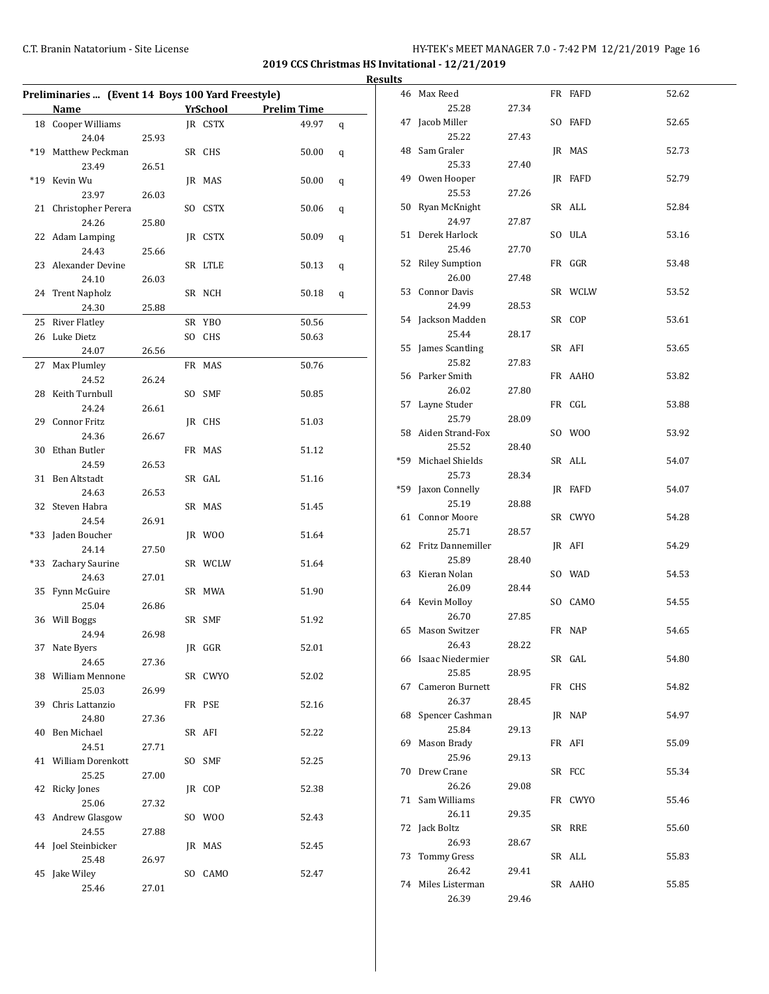**2019 CCS Christmas HS Invitational - 12/21/2019**

|     | Preliminaries  (Event 14 Boys 100 Yard Freestyle) |       |          |                    |   |
|-----|---------------------------------------------------|-------|----------|--------------------|---|
|     | Name                                              |       | YrSchool | <b>Prelim Time</b> |   |
|     | 18 Cooper Williams                                |       | IR CSTX  | 49.97              | q |
|     | 24.04                                             | 25.93 |          |                    |   |
|     | *19 Matthew Peckman                               |       | SR CHS   | 50.00              | q |
|     | 23.49                                             | 26.51 |          |                    |   |
|     | *19 Kevin Wu                                      |       | JR MAS   | 50.00              | q |
|     | 23.97                                             | 26.03 |          |                    |   |
| 21  | Christopher Perera                                |       | SO CSTX  | 50.06              | q |
|     | 24.26                                             | 25.80 |          |                    |   |
| 22  | Adam Lamping                                      |       | JR CSTX  | 50.09              | q |
|     | 24.43                                             | 25.66 |          |                    |   |
|     | 23 Alexander Devine                               |       | SR LTLE  | 50.13              | q |
|     | 24.10                                             | 26.03 |          |                    |   |
| 24  | <b>Trent Napholz</b>                              |       | SR NCH   | 50.18              | q |
|     | 24.30                                             | 25.88 |          |                    |   |
| 25  | <b>River Flatley</b>                              |       | SR YBO   | 50.56              |   |
|     | 26 Luke Dietz                                     |       | SO CHS   | 50.63              |   |
|     | 24.07                                             | 26.56 |          |                    |   |
| 27  | Max Plumley                                       |       | FR MAS   | 50.76              |   |
|     | 24.52                                             | 26.24 |          |                    |   |
|     | 28 Keith Turnbull                                 |       | SO SMF   | 50.85              |   |
|     | 24.24                                             | 26.61 |          |                    |   |
|     | 29 Connor Fritz                                   |       | JR CHS   | 51.03              |   |
|     | 24.36                                             | 26.67 |          |                    |   |
| 30  | Ethan Butler                                      |       | FR MAS   | 51.12              |   |
|     | 24.59                                             | 26.53 |          |                    |   |
|     | 31 Ben Altstadt                                   |       | SR GAL   | 51.16              |   |
|     | 24.63                                             | 26.53 |          |                    |   |
| 32  | Steven Habra                                      |       | SR MAS   | 51.45              |   |
|     | 24.54                                             | 26.91 |          |                    |   |
| *33 | Jaden Boucher                                     |       | JR WOO   | 51.64              |   |
|     | 24.14                                             | 27.50 |          |                    |   |
|     | *33 Zachary Saurine                               |       | SR WCLW  | 51.64              |   |
|     | 24.63                                             | 27.01 |          |                    |   |
| 35  | Fynn McGuire                                      |       | SR MWA   | 51.90              |   |
|     | 25.04                                             | 26.86 |          |                    |   |
|     | 36 Will Boggs                                     |       | SR SMF   | 51.92              |   |
|     | 24.94                                             | 26.98 |          |                    |   |
|     | 37 Nate Byers                                     |       | JR GGR   | 52.01              |   |
|     | 24.65                                             | 27.36 |          |                    |   |
|     | 38 William Mennone                                |       | SR CWYO  | 52.02              |   |
|     | 25.03                                             | 26.99 |          |                    |   |
|     | 39 Chris Lattanzio                                |       | FR PSE   | 52.16              |   |
|     | 24.80                                             | 27.36 |          |                    |   |
|     | 40 Ben Michael                                    |       | SR AFI   | 52.22              |   |
|     | 24.51                                             | 27.71 |          |                    |   |
|     | 41 William Dorenkott                              |       | SO SMF   | 52.25              |   |
|     | 25.25                                             | 27.00 |          |                    |   |
| 42  | Ricky Jones                                       |       | JR COP   | 52.38              |   |
|     | 25.06                                             | 27.32 |          |                    |   |
| 43  | Andrew Glasgow                                    |       | SO WOO   | 52.43              |   |
|     | 24.55                                             |       |          |                    |   |
|     | 44 Joel Steinbicker                               | 27.88 | JR MAS   | 52.45              |   |
|     | 25.48                                             |       |          |                    |   |
|     | 45 Jake Wiley                                     | 26.97 | SO CAMO  | 52.47              |   |
|     | 25.46                                             | 27.01 |          |                    |   |
|     |                                                   |       |          |                    |   |

| <b>Results</b> |                      |       |         |       |
|----------------|----------------------|-------|---------|-------|
|                | 46 Max Reed          |       | FR FAFD | 52.62 |
|                | 25.28                | 27.34 |         |       |
|                | 47 Jacob Miller      |       | SO FAFD | 52.65 |
|                | 25.22                | 27.43 |         |       |
|                | 48 Sam Graler        |       | JR MAS  | 52.73 |
|                | 25.33                | 27.40 |         |       |
|                | 49 Owen Hooper       |       | JR FAFD | 52.79 |
|                | 25.53                | 27.26 |         |       |
|                | 50 Ryan McKnight     |       | SR ALL  | 52.84 |
|                | 24.97                | 27.87 |         |       |
|                | 51 Derek Harlock     |       | SO ULA  |       |
|                | 25.46                |       |         | 53.16 |
|                |                      | 27.70 |         |       |
|                | 52 Riley Sumption    |       | FR GGR  | 53.48 |
|                | 26.00                | 27.48 |         |       |
|                | 53 Connor Davis      |       | SR WCLW | 53.52 |
|                | 24.99                | 28.53 |         |       |
|                | 54 Jackson Madden    |       | SR COP  | 53.61 |
|                | 25.44                | 28.17 |         |       |
|                | 55 James Scantling   |       | SR AFI  | 53.65 |
|                | 25.82                | 27.83 |         |       |
|                | 56 Parker Smith      |       | FR AAHO | 53.82 |
|                | 26.02                | 27.80 |         |       |
|                | 57 Layne Studer      |       | FR CGL  | 53.88 |
|                | 25.79                | 28.09 |         |       |
|                | 58 Aiden Strand-Fox  |       | SO WOO  | 53.92 |
|                | 25.52                | 28.40 |         |       |
|                | *59 Michael Shields  |       | SR ALL  | 54.07 |
|                | 25.73                | 28.34 |         |       |
|                | *59 Jaxon Connelly   |       | JR FAFD | 54.07 |
|                | 25.19                | 28.88 |         |       |
|                | 61 Connor Moore      |       | SR CWYO | 54.28 |
|                | 25.71                | 28.57 |         |       |
|                | 62 Fritz Dannemiller |       | JR AFI  | 54.29 |
|                | 25.89                | 28.40 |         |       |
|                | 63 Kieran Nolan      |       | SO WAD  | 54.53 |
|                | 26.09                | 28.44 |         |       |
|                | 64 Kevin Molloy      |       | SO CAMO | 54.55 |
|                | 26.70                | 27.85 |         |       |
|                | 65 Mason Switzer     |       | FR NAP  | 54.65 |
|                | 26.43                | 28.22 |         |       |
|                | 66 Isaac Niedermier  |       | SR GAL  | 54.80 |
|                | 25.85                | 28.95 |         |       |
|                | 67 Cameron Burnett   |       | FR CHS  | 54.82 |
|                | 26.37                | 28.45 |         |       |
|                | 68 Spencer Cashman   |       | JR NAP  | 54.97 |
|                | 25.84                | 29.13 |         |       |
|                | 69 Mason Brady       |       | FR AFI  | 55.09 |
|                | 25.96                | 29.13 |         |       |
|                | 70 Drew Crane        |       | SR FCC  | 55.34 |
|                | 26.26                | 29.08 |         |       |
|                | 71 Sam Williams      |       | FR CWYO | 55.46 |
|                | 26.11                | 29.35 |         |       |
|                | 72 Jack Boltz        |       | SR RRE  | 55.60 |
|                | 26.93                | 28.67 |         |       |
|                | 73 Tommy Gress       |       | SR ALL  | 55.83 |
|                | 26.42                | 29.41 |         |       |
|                | 74 Miles Listerman   |       | SR AAHO | 55.85 |
|                | 26.39                | 29.46 |         |       |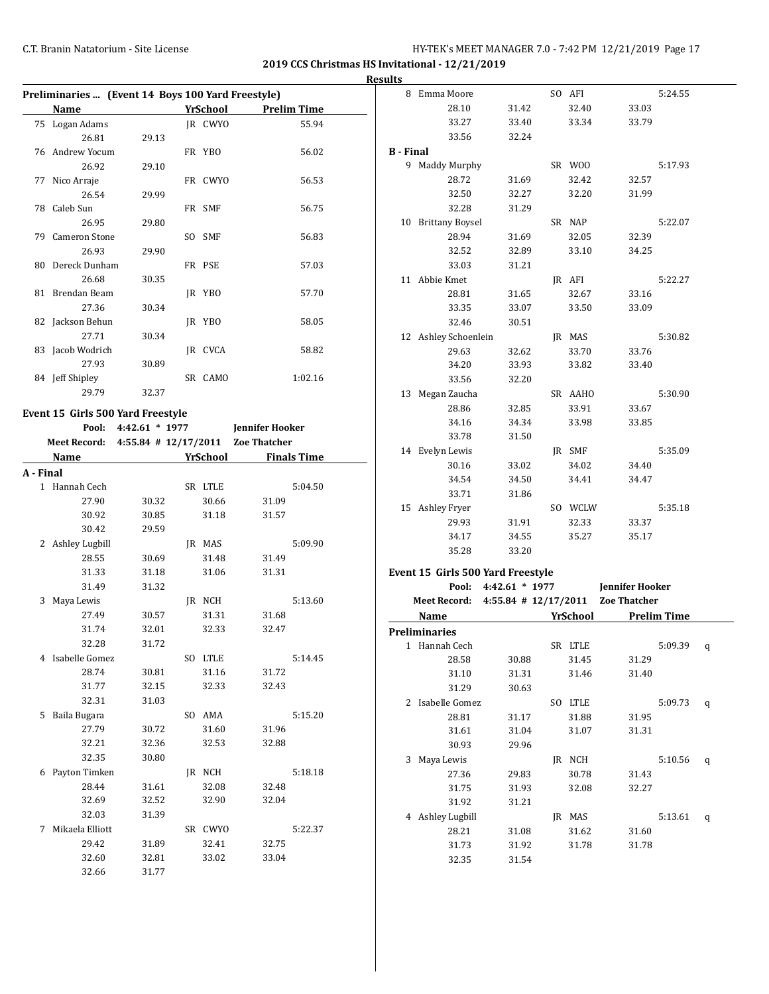**2019 CCS Christmas HS Invitational - 12/21/2019**

| Preliminaries  (Event 14 Boys 100 Yard Freestyle) |                                                     |       |  |          |                    |  |  |  |  |  |  |
|---------------------------------------------------|-----------------------------------------------------|-------|--|----------|--------------------|--|--|--|--|--|--|
|                                                   | Name                                                |       |  | YrSchool | <b>Prelim Time</b> |  |  |  |  |  |  |
|                                                   | 75 Logan Adams                                      |       |  | IR CWYO  | 55.94              |  |  |  |  |  |  |
|                                                   | 26.81                                               | 29.13 |  |          |                    |  |  |  |  |  |  |
|                                                   | 76 Andrew Yocum                                     |       |  | FR YBO   | 56.02              |  |  |  |  |  |  |
|                                                   | 26.92                                               | 29.10 |  |          |                    |  |  |  |  |  |  |
|                                                   | 77 Nico Arraje                                      |       |  | FR CWYO  | 56.53              |  |  |  |  |  |  |
|                                                   | 26.54                                               | 29.99 |  |          |                    |  |  |  |  |  |  |
|                                                   | 78 Caleb Sun                                        |       |  | FR SMF   | 56.75              |  |  |  |  |  |  |
|                                                   | 26.95                                               | 29.80 |  |          |                    |  |  |  |  |  |  |
|                                                   | 79 Cameron Stone                                    |       |  | SO SMF   | 56.83              |  |  |  |  |  |  |
|                                                   | 26.93                                               | 29.90 |  |          |                    |  |  |  |  |  |  |
|                                                   | 80 Dereck Dunham                                    |       |  | FR PSE   | 57.03              |  |  |  |  |  |  |
|                                                   | 26.68                                               | 30.35 |  |          |                    |  |  |  |  |  |  |
|                                                   | 81 Brendan Beam                                     |       |  | JR YBO   | 57.70              |  |  |  |  |  |  |
|                                                   | 27.36                                               | 30.34 |  |          |                    |  |  |  |  |  |  |
|                                                   | 82 Jackson Behun                                    |       |  | JR YBO   | 58.05              |  |  |  |  |  |  |
|                                                   | 27.71                                               | 30.34 |  |          |                    |  |  |  |  |  |  |
|                                                   | 83 Jacob Wodrich                                    |       |  | IR CVCA  | 58.82              |  |  |  |  |  |  |
|                                                   | 27.93                                               | 30.89 |  |          |                    |  |  |  |  |  |  |
|                                                   | 84 Jeff Shipley                                     |       |  | SR CAMO  | 1:02.16            |  |  |  |  |  |  |
|                                                   | 29.79<br>32.37                                      |       |  |          |                    |  |  |  |  |  |  |
| Event 15 Girls 500 Yard Freestyle                 |                                                     |       |  |          |                    |  |  |  |  |  |  |
|                                                   | Pool:<br>$4:42.61 * 1977$<br><b>Jennifer Hooker</b> |       |  |          |                    |  |  |  |  |  |  |

|           | <b>Meet Record:</b> |                 | 4:55.84 # 12/17/2011 Zoe Thatcher |                 |       |                    |  |
|-----------|---------------------|-----------------|-----------------------------------|-----------------|-------|--------------------|--|
|           |                     | <b>Name</b>     |                                   | <b>YrSchool</b> |       | <b>Finals Time</b> |  |
| A - Final |                     |                 |                                   |                 |       |                    |  |
|           | $\mathbf{1}$        | Hannah Cech     |                                   | SR LTLE         |       | 5:04.50            |  |
|           |                     | 27.90           | 30.32                             | 30.66           | 31.09 |                    |  |
|           |                     | 30.92           | 30.85                             | 31.18           | 31.57 |                    |  |
|           |                     | 30.42           | 29.59                             |                 |       |                    |  |
|           | 2                   | Ashley Lugbill  |                                   | JR MAS          |       | 5:09.90            |  |
|           |                     | 28.55           | 30.69                             | 31.48           | 31.49 |                    |  |
|           |                     | 31.33           | 31.18                             | 31.06           | 31.31 |                    |  |
|           |                     | 31.49           | 31.32                             |                 |       |                    |  |
|           | 3                   | Maya Lewis      |                                   | IR NCH          |       | 5:13.60            |  |
|           |                     | 27.49           | 30.57                             | 31.31           | 31.68 |                    |  |
|           |                     | 31.74           | 32.01                             | 32.33           | 32.47 |                    |  |
|           |                     | 32.28           | 31.72                             |                 |       |                    |  |
|           | 4                   | Isabelle Gomez  |                                   | SO LTLE         |       | 5:14.45            |  |
|           |                     | 28.74           | 30.81                             | 31.16           | 31.72 |                    |  |
|           |                     | 31.77           | 32.15                             | 32.33           | 32.43 |                    |  |
|           |                     | 32.31           | 31.03                             |                 |       |                    |  |
|           | 5                   | Baila Bugara    |                                   | SO AMA          |       | 5:15.20            |  |
|           |                     | 27.79           | 30.72                             | 31.60           | 31.96 |                    |  |
|           |                     | 32.21           | 32.36                             | 32.53           | 32.88 |                    |  |
|           |                     | 32.35           | 30.80                             |                 |       |                    |  |
|           | 6                   | Payton Timken   |                                   | IR NCH          |       | 5:18.18            |  |
|           |                     | 28.44           | 31.61                             | 32.08           | 32.48 |                    |  |
|           |                     | 32.69           | 32.52                             | 32.90           | 32.04 |                    |  |
|           |                     | 32.03           | 31.39                             |                 |       |                    |  |
|           | 7                   | Mikaela Elliott |                                   | SR CWYO         |       | 5:22.37            |  |
|           |                     | 29.42           | 31.89                             | 32.41           | 32.75 |                    |  |
|           |                     | 32.60           | 32.81                             | 33.02           | 33.04 |                    |  |
|           |                     | 32.66           | 31.77                             |                 |       |                    |  |

| <b>Results</b> |                                                |                  |         |                      |         |   |
|----------------|------------------------------------------------|------------------|---------|----------------------|---------|---|
|                | 8 Emma Moore                                   |                  | SO AFI  |                      | 5:24.55 |   |
|                | 28.10                                          | 31.42            | 32.40   | 33.03                |         |   |
|                | 33.27                                          | 33.40            | 33.34   | 33.79                |         |   |
|                | 33.56                                          | 32.24            |         |                      |         |   |
|                | <b>B</b> - Final                               |                  |         |                      |         |   |
|                | 9 Maddy Murphy                                 |                  | SR WOO  |                      | 5:17.93 |   |
|                | 28.72                                          | 31.69            | 32.42   | 32.57                |         |   |
|                | 32.50                                          | 32.27            | 32.20   | 31.99                |         |   |
|                | 32.28                                          | 31.29            |         |                      |         |   |
|                | 10 Brittany Boysel                             |                  | SR NAP  |                      | 5:22.07 |   |
|                | 28.94                                          | 31.69            | 32.05   | 32.39                |         |   |
|                | 32.52                                          | 32.89            | 33.10   | 34.25                |         |   |
|                | 33.03                                          | 31.21            |         |                      |         |   |
|                | 11 Abbie Kmet                                  |                  | JR AFI  |                      | 5:22.27 |   |
|                | 28.81                                          | 31.65            | 32.67   | 33.16                |         |   |
|                | 33.35                                          | 33.07            | 33.50   | 33.09                |         |   |
|                | 32.46                                          | 30.51            |         |                      |         |   |
|                | 12 Ashley Schoenlein                           |                  | IR MAS  |                      | 5:30.82 |   |
|                | 29.63                                          | 32.62            | 33.70   | 33.76                |         |   |
|                | 34.20                                          | 33.93            | 33.82   | 33.40                |         |   |
|                | 33.56                                          | 32.20            |         |                      |         |   |
|                | 13 Megan Zaucha                                |                  | SR AAHO |                      | 5:30.90 |   |
|                | 28.86                                          | 32.85            | 33.91   | 33.67                |         |   |
|                | 34.16                                          | 34.34            | 33.98   | 33.85                |         |   |
|                | 33.78                                          | 31.50            |         |                      |         |   |
|                | 14 Evelyn Lewis                                |                  | JR SMF  |                      | 5:35.09 |   |
|                | 30.16                                          | 33.02            | 34.02   | 34.40                |         |   |
|                | 34.54                                          | 34.50            | 34.41   | 34.47                |         |   |
|                | 33.71                                          | 31.86            |         |                      |         |   |
|                | 15 Ashley Fryer                                |                  | SO WCLW |                      | 5:35.18 |   |
|                | 29.93                                          | 31.91            | 32.33   | 33.37                |         |   |
|                | 34.17                                          | 34.55            | 35.27   | 35.17                |         |   |
|                | 35.28                                          | 33.20            |         |                      |         |   |
|                | Event 15 Girls 500 Yard Freestyle              |                  |         |                      |         |   |
|                | Pool:                                          | $4:42.61 * 1977$ |         | Jennifer Hooker      |         |   |
|                | Meet Record: 4:55.84 # 12/17/2011 Zoe Thatcher |                  |         |                      |         |   |
|                | Name                                           |                  |         | YrSchool Prelim Time |         |   |
|                | <b>Preliminaries</b>                           |                  |         |                      |         |   |
|                | 1 Hannah Cech                                  |                  | SR LTLE |                      | 5:09.39 | q |
|                | 28.58                                          | 30.88            | 31.45   | 31.29                |         |   |
|                | 31.10                                          | 31.31            | 31.46   | 31.40                |         |   |
|                | 31.29                                          | 30.63            |         |                      |         |   |
|                | 2 Isabelle Gomez                               |                  | SO LTLE |                      | 5:09.73 | q |
|                |                                                |                  |         |                      |         |   |

28.81 31.17 31.88 31.95 31.61 31.04 31.07 31.31

3 Maya Lewis JR NCH 5:10.56 q 27.36 29.83 30.78 31.43 31.75 31.93 32.08 32.27

4 Ashley Lugbill JR MAS 5:13.61 q 28.21 31.08 31.62 31.60 31.73 31.92 31.78 31.78

30.93 29.96

31.92 31.21

32.35 31.54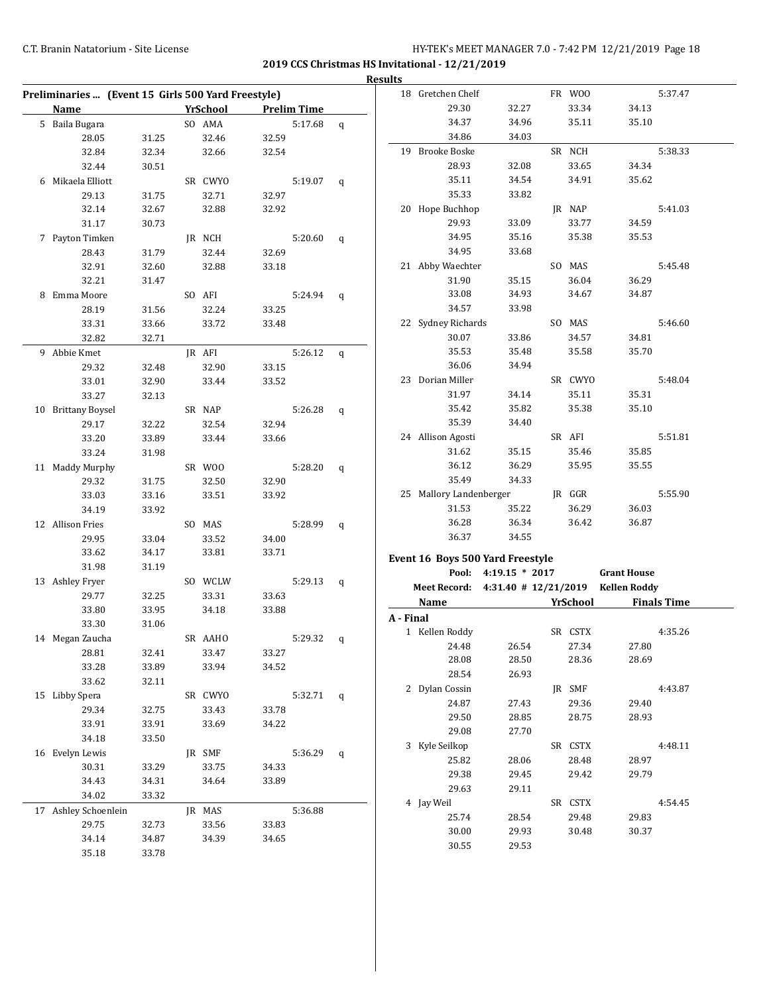| <b>Results</b>                                     |       |  |                 |       |                    |   |           |                         |                                                          |          |                     |                    |
|----------------------------------------------------|-------|--|-----------------|-------|--------------------|---|-----------|-------------------------|----------------------------------------------------------|----------|---------------------|--------------------|
| Preliminaries  (Event 15 Girls 500 Yard Freestyle) |       |  |                 |       |                    |   |           | 18 Gretchen Chelf       |                                                          | FR WOO   |                     | 5:37.47            |
| Name                                               |       |  | <b>YrSchool</b> |       | <b>Prelim Time</b> |   |           | 29.30                   | 32.27                                                    | 33.34    | 34.13               |                    |
| 5 Baila Bugara                                     |       |  | SO AMA          |       | 5:17.68            | q |           | 34.37                   | 34.96                                                    | 35.11    | 35.10               |                    |
| 28.05                                              | 31.25 |  | 32.46           | 32.59 |                    |   |           | 34.86                   | 34.03                                                    |          |                     |                    |
| 32.84                                              | 32.34 |  | 32.66           | 32.54 |                    |   |           | 19 Brooke Boske         |                                                          | SR NCH   |                     | 5:38.33            |
| 32.44                                              | 30.51 |  |                 |       |                    |   |           | 28.93                   | 32.08                                                    | 33.65    | 34.34               |                    |
| 6 Mikaela Elliott                                  |       |  | SR CWYO         |       | 5:19.07            | q |           | 35.11                   | 34.54                                                    | 34.91    | 35.62               |                    |
| 29.13                                              | 31.75 |  | 32.71           | 32.97 |                    |   |           | 35.33                   | 33.82                                                    |          |                     |                    |
| 32.14                                              | 32.67 |  | 32.88           | 32.92 |                    |   |           | 20 Hope Buchhop         |                                                          | JR NAP   |                     | 5:41.03            |
| 31.17                                              | 30.73 |  |                 |       |                    |   |           | 29.93                   | 33.09                                                    | 33.77    | 34.59               |                    |
| 7 Payton Timken                                    |       |  | JR NCH          |       | 5:20.60            | q |           | 34.95                   | 35.16                                                    | 35.38    | 35.53               |                    |
| 28.43                                              | 31.79 |  | 32.44           | 32.69 |                    |   |           | 34.95                   | 33.68                                                    |          |                     |                    |
| 32.91                                              | 32.60 |  | 32.88           | 33.18 |                    |   |           | 21 Abby Waechter        |                                                          | SO MAS   |                     | 5:45.48            |
| 32.21                                              | 31.47 |  |                 |       |                    |   |           | 31.90                   | 35.15                                                    | 36.04    | 36.29               |                    |
| 8 Emma Moore                                       |       |  | SO AFI          |       | 5:24.94            | q |           | 33.08                   | 34.93                                                    | 34.67    | 34.87               |                    |
| 28.19                                              | 31.56 |  | 32.24           | 33.25 |                    |   |           | 34.57                   | 33.98                                                    |          |                     |                    |
| 33.31                                              | 33.66 |  | 33.72           | 33.48 |                    |   |           | 22 Sydney Richards      |                                                          | SO MAS   |                     | 5:46.60            |
| 32.82                                              | 32.71 |  |                 |       |                    |   |           | 30.07                   | 33.86                                                    | 34.57    | 34.81               |                    |
| 9 Abbie Kmet                                       |       |  | JR AFI          |       | 5:26.12            | q |           | 35.53                   | 35.48                                                    | 35.58    | 35.70               |                    |
| 29.32                                              | 32.48 |  | 32.90           | 33.15 |                    |   |           | 36.06                   | 34.94                                                    |          |                     |                    |
| 33.01                                              | 32.90 |  | 33.44           | 33.52 |                    |   |           | 23 Dorian Miller        |                                                          | SR CWYO  |                     | 5:48.04            |
| 33.27                                              | 32.13 |  |                 |       |                    |   |           | 31.97                   | 34.14                                                    | 35.11    | 35.31               |                    |
| 10 Brittany Boysel                                 |       |  | SR NAP          |       | 5:26.28            | q |           | 35.42                   | 35.82                                                    | 35.38    | 35.10               |                    |
| 29.17                                              | 32.22 |  | 32.54           | 32.94 |                    |   |           | 35.39                   | 34.40                                                    |          |                     |                    |
| 33.20                                              | 33.89 |  | 33.44           | 33.66 |                    |   |           | 24 Allison Agosti       |                                                          | SR AFI   |                     | 5:51.81            |
| 33.24                                              | 31.98 |  |                 |       |                    |   |           | 31.62                   | 35.15                                                    | 35.46    | 35.85               |                    |
| 11 Maddy Murphy                                    |       |  | SR WOO          |       | 5:28.20            | q |           | 36.12                   | 36.29                                                    | 35.95    | 35.55               |                    |
| 29.32                                              | 31.75 |  | 32.50           | 32.90 |                    |   |           | 35.49                   | 34.33                                                    |          |                     |                    |
| 33.03                                              | 33.16 |  | 33.51           | 33.92 |                    |   |           | 25 Mallory Landenberger |                                                          | JR GGR   |                     | 5:55.90            |
| 34.19                                              | 33.92 |  |                 |       |                    |   |           | 31.53                   | 35.22                                                    | 36.29    | 36.03               |                    |
| 12 Allison Fries                                   |       |  | SO MAS          |       | 5:28.99            | q |           | 36.28                   | 36.34                                                    | 36.42    | 36.87               |                    |
| 29.95                                              | 33.04 |  | 33.52           | 34.00 |                    |   |           | 36.37                   | 34.55                                                    |          |                     |                    |
| 33.62                                              | 34.17 |  | 33.81           | 33.71 |                    |   |           |                         |                                                          |          |                     |                    |
| 31.98                                              | 31.19 |  |                 |       |                    |   |           |                         | Event 16 Boys 500 Yard Freestyle<br>Pool: 4:19.15 * 2017 |          | <b>Grant House</b>  |                    |
| 13 Ashley Fryer                                    |       |  | SO WCLW         |       | 5:29.13            | q |           |                         |                                                          |          |                     |                    |
| 29.77                                              | 32.25 |  | 33.31           | 33.63 |                    |   |           |                         | Meet Record: 4:31.40 # 12/21/2019                        |          | <b>Kellen Roddy</b> |                    |
| 33.80                                              | 33.95 |  | 34.18           | 33.88 |                    |   |           | Name                    |                                                          | YrSchool |                     | <b>Finals Time</b> |
| 33.30                                              | 31.06 |  |                 |       |                    |   | A - Final |                         |                                                          |          |                     |                    |
| 14 Megan Zaucha                                    |       |  | SR AAHO         |       | 5:29.32 q          |   |           | 1 Kellen Roddy          |                                                          | SR CSTX  |                     | 4:35.26            |
| 28.81                                              | 32.41 |  | 33.47           | 33.27 |                    |   |           | 24.48                   | 26.54                                                    | 27.34    | 27.80               |                    |
| 33.28                                              | 33.89 |  | 33.94           | 34.52 |                    |   |           | 28.08                   | 28.50                                                    | 28.36    | 28.69               |                    |
| 33.62                                              | 32.11 |  |                 |       |                    |   |           | 28.54                   | 26.93                                                    |          |                     |                    |
| 15 Libby Spera                                     |       |  | SR CWYO         |       | $5:32.71$ q        |   |           | 2 Dylan Cossin          |                                                          | JR SMF   |                     | 4:43.87            |
| 29.34                                              | 32.75 |  | 33.43           | 33.78 |                    |   |           | 24.87                   | 27.43                                                    | 29.36    | 29.40               |                    |
| 33.91                                              | 33.91 |  | 33.69           | 34.22 |                    |   |           | 29.50                   | 28.85                                                    | 28.75    | 28.93               |                    |
| 34.18                                              | 33.50 |  |                 |       |                    |   |           | 29.08                   | 27.70                                                    |          |                     |                    |
| 16 Evelyn Lewis                                    |       |  | JR SMF          |       | 5:36.29            | q |           | 3 Kyle Seilkop          |                                                          | SR CSTX  |                     | 4:48.11            |
| 30.31                                              | 33.29 |  | 33.75           | 34.33 |                    |   |           | 25.82                   | 28.06                                                    | 28.48    | 28.97               |                    |
| 34.43                                              | 34.31 |  | 34.64           | 33.89 |                    |   |           | 29.38                   | 29.45                                                    | 29.42    | 29.79               |                    |
| 34.02                                              | 33.32 |  |                 |       |                    |   |           | 29.63                   | 29.11                                                    |          |                     |                    |
| 17 Ashley Schoenlein                               |       |  | JR MAS          |       | 5:36.88            |   |           | 4 Jay Weil              |                                                          | SR CSTX  |                     | 4:54.45            |
| 29.75                                              | 32.73 |  | 33.56           | 33.83 |                    |   |           | 25.74                   | 28.54                                                    | 29.48    | 29.83               |                    |
| 34.14                                              | 34.87 |  | 34.39           | 34.65 |                    |   |           | 30.00                   | 29.93                                                    | 30.48    | 30.37               |                    |
| 35.18                                              | 33.78 |  |                 |       |                    |   |           | 30.55                   | 29.53                                                    |          |                     |                    |
|                                                    |       |  |                 |       |                    |   |           |                         |                                                          |          |                     |                    |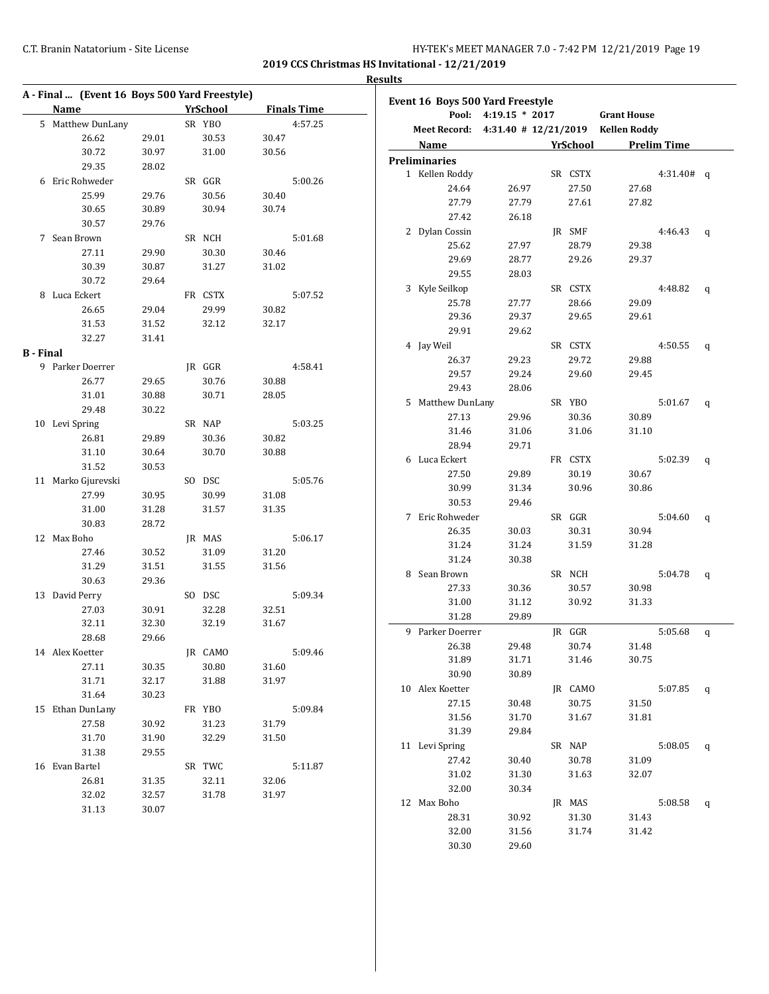**2019 CCS Christmas HS Invitational - 12/21/2019 Results**

|                  | A - Final  (Event 16 Boys 500 Yard Freestyle) |       |          |       |                    | Event 16 Boys 500 Yard Freestyle |                                                                                                                                                                                                                               |                      |          |                    |                    |   |
|------------------|-----------------------------------------------|-------|----------|-------|--------------------|----------------------------------|-------------------------------------------------------------------------------------------------------------------------------------------------------------------------------------------------------------------------------|----------------------|----------|--------------------|--------------------|---|
|                  | Name                                          |       | YrSchool |       | <b>Finals Time</b> |                                  |                                                                                                                                                                                                                               | Pool: 4:19.15 * 2017 |          | <b>Grant House</b> |                    |   |
|                  | 5 Matthew DunLany                             |       | SR YBO   |       | 4:57.25            |                                  | Meet Record: 4:31.40 # 12/21/2019 Kellen Roddy                                                                                                                                                                                |                      |          |                    |                    |   |
|                  | 26.62                                         | 29.01 | 30.53    | 30.47 |                    |                                  | Name and the same state of the state of the state of the state of the state of the state of the state of the state of the state of the state of the state of the state of the state of the state of the state of the state of |                      | YrSchool |                    | <b>Prelim Time</b> |   |
|                  | 30.72                                         | 30.97 | 31.00    | 30.56 |                    |                                  | <b>Preliminaries</b>                                                                                                                                                                                                          |                      |          |                    |                    |   |
|                  | 29.35                                         | 28.02 |          |       |                    |                                  | 1 Kellen Roddy                                                                                                                                                                                                                |                      | SR CSTX  |                    | $4:31.40#$ q       |   |
|                  | 6 Eric Rohweder                               |       | SR GGR   |       | 5:00.26            |                                  | 24.64                                                                                                                                                                                                                         | 26.97                | 27.50    | 27.68              |                    |   |
|                  | 25.99                                         | 29.76 | 30.56    | 30.40 |                    |                                  | 27.79                                                                                                                                                                                                                         | 27.79                | 27.61    | 27.82              |                    |   |
|                  | 30.65                                         | 30.89 | 30.94    | 30.74 |                    |                                  | 27.42                                                                                                                                                                                                                         | 26.18                |          |                    |                    |   |
|                  | 30.57                                         | 29.76 |          |       |                    |                                  | 2 Dylan Cossin                                                                                                                                                                                                                |                      | JR SMF   |                    | 4:46.43            |   |
|                  | 7 Sean Brown                                  |       | SR NCH   |       | 5:01.68            |                                  | 25.62                                                                                                                                                                                                                         | 27.97                | 28.79    | 29.38              |                    |   |
|                  | 27.11                                         | 29.90 | 30.30    | 30.46 |                    |                                  | 29.69                                                                                                                                                                                                                         | 28.77                | 29.26    | 29.37              |                    |   |
|                  | 30.39                                         | 30.87 | 31.27    | 31.02 |                    |                                  | 29.55                                                                                                                                                                                                                         | 28.03                |          |                    |                    |   |
|                  | 30.72                                         | 29.64 |          |       |                    |                                  | 3 Kyle Seilkop                                                                                                                                                                                                                |                      | SR CSTX  |                    | 4:48.82            |   |
|                  | 8 Luca Eckert                                 |       | FR CSTX  |       | 5:07.52            |                                  |                                                                                                                                                                                                                               |                      |          |                    |                    | q |
|                  | 26.65                                         | 29.04 | 29.99    | 30.82 |                    |                                  | 25.78                                                                                                                                                                                                                         | 27.77                | 28.66    | 29.09              |                    |   |
|                  | 31.53                                         | 31.52 | 32.12    | 32.17 |                    |                                  | 29.36                                                                                                                                                                                                                         | 29.37                | 29.65    | 29.61              |                    |   |
|                  | 32.27                                         | 31.41 |          |       |                    |                                  | 29.91                                                                                                                                                                                                                         | 29.62                |          |                    |                    |   |
| <b>B</b> - Final |                                               |       |          |       |                    |                                  | 4 Jay Weil                                                                                                                                                                                                                    |                      | SR CSTX  |                    | 4:50.55            | q |
|                  | 9 Parker Doerrer                              |       | JR GGR   |       | 4:58.41            |                                  | 26.37                                                                                                                                                                                                                         | 29.23                | 29.72    | 29.88              |                    |   |
|                  | 26.77                                         | 29.65 | 30.76    | 30.88 |                    |                                  | 29.57                                                                                                                                                                                                                         | 29.24                | 29.60    | 29.45              |                    |   |
|                  | 31.01                                         | 30.88 | 30.71    | 28.05 |                    |                                  | 29.43                                                                                                                                                                                                                         | 28.06                |          |                    |                    |   |
|                  | 29.48                                         | 30.22 |          |       |                    |                                  | 5 Matthew DunLany                                                                                                                                                                                                             |                      | SR YBO   |                    | 5:01.67            |   |
|                  | 10 Levi Spring                                |       | SR NAP   |       | 5:03.25            |                                  | 27.13                                                                                                                                                                                                                         | 29.96                | 30.36    | 30.89              |                    |   |
|                  | 26.81                                         | 29.89 | 30.36    | 30.82 |                    |                                  | 31.46                                                                                                                                                                                                                         | 31.06                | 31.06    | 31.10              |                    |   |
|                  | 31.10                                         | 30.64 | 30.70    | 30.88 |                    |                                  | 28.94                                                                                                                                                                                                                         | 29.71                |          |                    |                    |   |
|                  | 31.52                                         | 30.53 |          |       |                    |                                  | 6 Luca Eckert                                                                                                                                                                                                                 |                      | FR CSTX  |                    | 5:02.39            |   |
|                  | 11 Marko Gjurevski                            |       | SO DSC   |       | 5:05.76            |                                  | 27.50                                                                                                                                                                                                                         | 29.89                | 30.19    | 30.67              |                    |   |
|                  | 27.99                                         | 30.95 | 30.99    | 31.08 |                    |                                  | 30.99                                                                                                                                                                                                                         | 31.34                | 30.96    | 30.86              |                    |   |
|                  | 31.00                                         | 31.28 | 31.57    | 31.35 |                    |                                  | 30.53                                                                                                                                                                                                                         | 29.46                |          |                    |                    |   |
|                  | 30.83                                         | 28.72 |          |       |                    |                                  | 7 Eric Rohweder                                                                                                                                                                                                               |                      | SR GGR   |                    | 5:04.60            |   |
|                  |                                               |       |          |       |                    |                                  | 26.35                                                                                                                                                                                                                         | 30.03                | 30.31    | 30.94              |                    |   |
|                  | 12 Max Boho                                   |       | JR MAS   |       | 5:06.17            |                                  | 31.24                                                                                                                                                                                                                         | 31.24                | 31.59    | 31.28              |                    |   |
|                  | 27.46                                         | 30.52 | 31.09    | 31.20 |                    |                                  | 31.24                                                                                                                                                                                                                         | 30.38                |          |                    |                    |   |
|                  | 31.29                                         | 31.51 | 31.55    | 31.56 |                    |                                  | 8 Sean Brown                                                                                                                                                                                                                  |                      | SR NCH   |                    | 5:04.78            | q |
|                  | 30.63                                         | 29.36 |          |       |                    |                                  | 27.33                                                                                                                                                                                                                         | 30.36                | 30.57    | 30.98              |                    |   |
|                  | 13 David Perry                                |       | SO DSC   |       | 5:09.34            |                                  | 31.00                                                                                                                                                                                                                         | 31.12                | 30.92    | 31.33              |                    |   |
|                  | 27.03                                         | 30.91 | 32.28    | 32.51 |                    |                                  | 31.28                                                                                                                                                                                                                         | 29.89                |          |                    |                    |   |
|                  | 32.11                                         | 32.30 | 32.19    | 31.67 |                    |                                  | 9 Parker Doerrer                                                                                                                                                                                                              |                      | JR GGR   |                    | 5:05.68            | q |
|                  | 28.68                                         | 29.66 |          |       |                    |                                  | 26.38                                                                                                                                                                                                                         | 29.48                | 30.74    | 31.48              |                    |   |
|                  | 14 Alex Koetter                               |       | JR CAMO  |       | 5:09.46            |                                  | 31.89                                                                                                                                                                                                                         | 31.71                | 31.46    | 30.75              |                    |   |
|                  | 27.11                                         | 30.35 | 30.80    | 31.60 |                    |                                  | 30.90                                                                                                                                                                                                                         | 30.89                |          |                    |                    |   |
|                  | 31.71                                         | 32.17 | 31.88    | 31.97 |                    |                                  | 10 Alex Koetter                                                                                                                                                                                                               |                      | JR CAMO  |                    | 5:07.85 $q$        |   |
|                  | 31.64                                         | 30.23 |          |       |                    |                                  | 27.15                                                                                                                                                                                                                         | 30.48                | 30.75    | 31.50              |                    |   |
|                  | 15 Ethan DunLany                              |       | FR YBO   |       | 5:09.84            |                                  | 31.56                                                                                                                                                                                                                         | 31.70                | 31.67    | 31.81              |                    |   |
|                  | 27.58                                         | 30.92 | 31.23    | 31.79 |                    |                                  | 31.39                                                                                                                                                                                                                         | 29.84                |          |                    |                    |   |
|                  | 31.70                                         | 31.90 | 32.29    | 31.50 |                    |                                  | 11 Levi Spring                                                                                                                                                                                                                |                      | SR NAP   |                    | 5:08.05            |   |
|                  | 31.38                                         | 29.55 |          |       |                    |                                  | 27.42                                                                                                                                                                                                                         | 30.40                | 30.78    | 31.09              |                    | q |
|                  | 16 Evan Bartel                                |       | SR TWC   |       | 5:11.87            |                                  | 31.02                                                                                                                                                                                                                         | 31.30                | 31.63    | 32.07              |                    |   |
|                  | 26.81                                         | 31.35 | 32.11    | 32.06 |                    |                                  |                                                                                                                                                                                                                               |                      |          |                    |                    |   |
|                  | 32.02                                         | 32.57 | 31.78    | 31.97 |                    |                                  | 32.00                                                                                                                                                                                                                         | 30.34                |          |                    |                    |   |
|                  | 31.13                                         | 30.07 |          |       |                    |                                  | 12 Max Boho                                                                                                                                                                                                                   |                      | JR MAS   |                    | 5:08.58            | q |
|                  |                                               |       |          |       |                    |                                  | 28.31                                                                                                                                                                                                                         | 30.92                | 31.30    | 31.43              |                    |   |
|                  |                                               |       |          |       |                    |                                  | 32.00                                                                                                                                                                                                                         | 31.56                | 31.74    | 31.42              |                    |   |
|                  |                                               |       |          |       |                    |                                  | 30.30                                                                                                                                                                                                                         | 29.60                |          |                    |                    |   |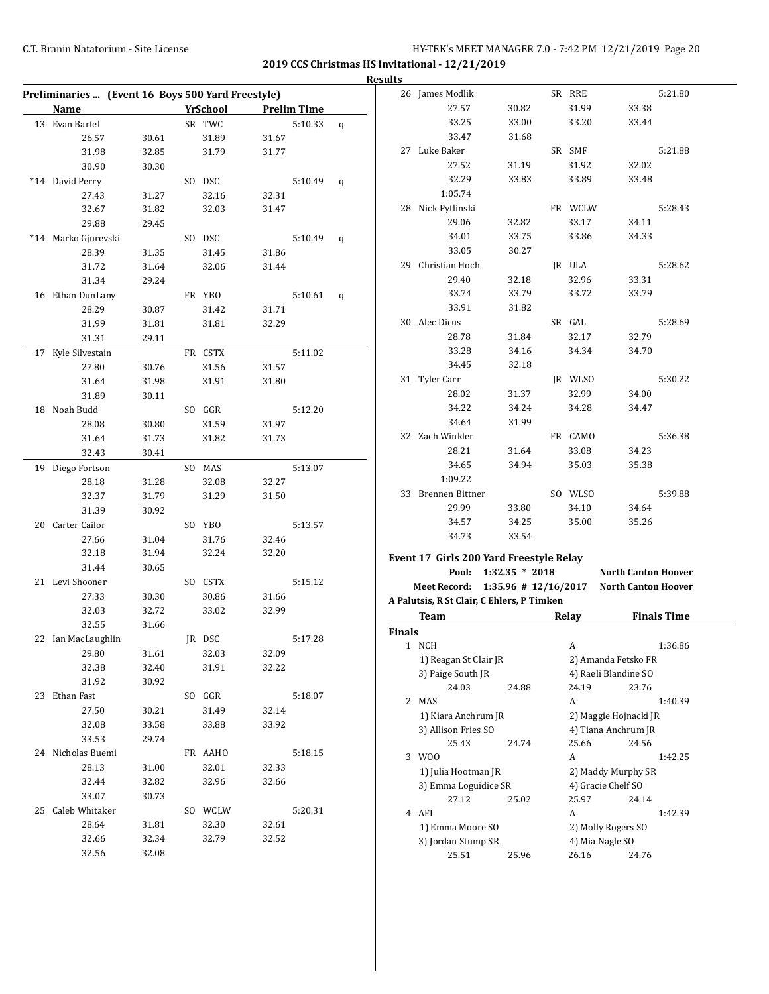|                                                   |                |                 |                |                    |   | <b>Results</b> |                                            |                      |         |                            |                    |
|---------------------------------------------------|----------------|-----------------|----------------|--------------------|---|----------------|--------------------------------------------|----------------------|---------|----------------------------|--------------------|
| Preliminaries  (Event 16 Boys 500 Yard Freestyle) |                |                 |                |                    |   |                | 26 James Modlik                            |                      | SR RRE  |                            | 5:21.80            |
| Name                                              |                | <b>YrSchool</b> |                | <b>Prelim Time</b> |   |                | 27.57                                      | 30.82                | 31.99   | 33.38                      |                    |
| 13 Evan Bartel                                    |                | SR TWC          |                | 5:10.33            | q |                | 33.25                                      | 33.00                | 33.20   | 33.44                      |                    |
| 26.57                                             | 30.61          | 31.89           | 31.67          |                    |   |                | 33.47                                      | 31.68                |         |                            |                    |
| 31.98                                             | 32.85          | 31.79           | 31.77          |                    |   |                | 27 Luke Baker                              |                      | SR SMF  |                            | 5:21.88            |
| 30.90                                             | 30.30          |                 |                |                    |   |                | 27.52                                      | 31.19                | 31.92   | 32.02                      |                    |
| *14 David Perry                                   |                | SO DSC          |                | 5:10.49            | q |                | 32.29                                      | 33.83                | 33.89   | 33.48                      |                    |
| 27.43                                             | 31.27          | 32.16           | 32.31          |                    |   |                | 1:05.74                                    |                      |         |                            |                    |
| 32.67                                             | 31.82          | 32.03           | 31.47          |                    |   |                | 28 Nick Pytlinski                          |                      | FR WCLW |                            | 5:28.43            |
| 29.88                                             | 29.45          |                 |                |                    |   |                | 29.06                                      | 32.82                | 33.17   | 34.11                      |                    |
| *14 Marko Gjurevski                               |                | SO DSC          |                | 5:10.49            | q |                | 34.01                                      | 33.75                | 33.86   | 34.33                      |                    |
| 28.39                                             | 31.35          | 31.45           | 31.86          |                    |   |                | 33.05                                      | 30.27                |         |                            |                    |
| 31.72                                             | 31.64          | 32.06           | 31.44          |                    |   |                | 29 Christian Hoch                          |                      | JR ULA  |                            | 5:28.62            |
| 31.34                                             | 29.24          |                 |                |                    |   |                | 29.40                                      | 32.18                | 32.96   | 33.31                      |                    |
| 16 Ethan DunLany                                  |                | FR YBO          |                | 5:10.61            | q |                | 33.74                                      | 33.79                | 33.72   | 33.79                      |                    |
| 28.29                                             | 30.87          | 31.42           | 31.71          |                    |   |                | 33.91                                      | 31.82                |         |                            |                    |
| 31.99                                             | 31.81          | 31.81           | 32.29          |                    |   |                | 30 Alec Dicus                              |                      | SR GAL  |                            | 5:28.69            |
| 31.31                                             | 29.11          |                 |                |                    |   |                | 28.78                                      | 31.84                | 32.17   | 32.79                      |                    |
| 17 Kyle Silvestain                                |                | FR CSTX         |                | 5:11.02            |   |                | 33.28                                      | 34.16                | 34.34   | 34.70                      |                    |
| 27.80                                             | 30.76          | 31.56           | 31.57          |                    |   |                | 34.45                                      | 32.18                |         |                            |                    |
| 31.64                                             | 31.98          | 31.91           | 31.80          |                    |   |                | 31 Tyler Carr                              |                      | JR WLSO |                            | 5:30.22            |
| 31.89                                             | 30.11          |                 |                |                    |   |                | 28.02                                      | 31.37                | 32.99   | 34.00                      |                    |
| 18 Noah Budd                                      |                | SO GGR          |                | 5:12.20            |   |                | 34.22                                      | 34.24                | 34.28   | 34.47                      |                    |
| 28.08                                             | 30.80          | 31.59           | 31.97          |                    |   |                | 34.64                                      | 31.99                |         |                            |                    |
| 31.64                                             | 31.73          | 31.82           | 31.73          |                    |   |                | 32 Zach Winkler                            |                      | FR CAMO |                            | 5:36.38            |
| 32.43                                             | 30.41          |                 |                |                    |   |                | 28.21                                      | 31.64                | 33.08   | 34.23                      |                    |
|                                                   |                | SO MAS          |                | 5:13.07            |   |                | 34.65                                      | 34.94                | 35.03   | 35.38                      |                    |
| 19 Diego Fortson                                  |                |                 |                |                    |   |                | 1:09.22                                    |                      |         |                            |                    |
| 28.18<br>32.37                                    | 31.28<br>31.79 | 32.08<br>31.29  | 32.27<br>31.50 |                    |   |                | 33 Brennen Bittner                         |                      | SO WLSO |                            | 5:39.88            |
| 31.39                                             | 30.92          |                 |                |                    |   |                | 29.99                                      | 33.80                | 34.10   | 34.64                      |                    |
|                                                   |                |                 |                |                    |   |                | 34.57                                      | 34.25                | 35.00   | 35.26                      |                    |
| 20 Carter Cailor                                  |                | SO YBO          |                | 5:13.57            |   |                | 34.73                                      | 33.54                |         |                            |                    |
| 27.66                                             | 31.04          | 31.76           | 32.46          |                    |   |                |                                            |                      |         |                            |                    |
| 32.18                                             | 31.94          | 32.24           | 32.20          |                    |   |                | Event 17 Girls 200 Yard Freestyle Relay    |                      |         |                            |                    |
| 31.44                                             | 30.65          |                 |                |                    |   |                |                                            | Pool: 1:32.35 * 2018 |         | <b>North Canton Hoover</b> |                    |
| 21 Levi Shooner                                   |                | SO CSTX         |                | 5:15.12            |   |                | Meet Record: 1:35.96 # 12/16/2017          |                      |         | <b>North Canton Hoover</b> |                    |
| 27.33                                             | 30.30          | 30.86           | 31.66          |                    |   |                | A Palutsis, R St Clair, C Ehlers, P Timken |                      |         |                            |                    |
| 32.03                                             | 32.72          | 33.02           | 32.99          |                    |   |                | Team                                       |                      | Relay   |                            | <b>Finals Time</b> |
| 32.55                                             | 31.66          |                 |                |                    |   | Finals         |                                            |                      |         |                            |                    |
| 22 Ian MacLaughlin                                |                | JR DSC          |                | 5:17.28            |   |                | 1 NCH                                      |                      | A       |                            | 1:36.86            |
| 29.80                                             | 31.61          | 32.03           | 32.09          |                    |   |                | 1) Reagan St Clair JR                      |                      |         | 2) Amanda Fetsko FR        |                    |
| 32.38                                             | 32.40          | 31.91           | 32.22          |                    |   |                | 3) Paige South JR                          |                      |         | 4) Raeli Blandine SO       |                    |
| 31.92                                             | 30.92          |                 |                |                    |   |                | 24.03                                      | 24.88                | 24.19   | 23.76                      |                    |
| 23 Ethan Fast                                     |                | SO GGR          |                | 5:18.07            |   |                | 2 MAS                                      |                      | A       |                            | 1:40.39            |
| 27.50                                             | 30.21          | 31.49           | 32.14          |                    |   |                | 1) Kiara Anchrum JR                        |                      |         | 2) Maggie Hojnacki JR      |                    |
| 32.08                                             | 33.58          | 33.88           | 33.92          |                    |   |                | 3) Allison Fries SO                        |                      |         | 4) Tiana Anchrum JR        |                    |
| 33.53                                             | 29.74          |                 |                |                    |   |                | 25.43                                      | 24.74                | 25.66   | 24.56                      |                    |
| 24 Nicholas Buemi                                 |                | FR AAHO         |                | 5:18.15            |   |                | 3 WOO                                      |                      | A       |                            | 1:42.25            |
| 28.13                                             | 31.00          | 32.01           | 32.33          |                    |   |                | 1) Julia Hootman JR                        |                      |         | 2) Maddy Murphy SR         |                    |
| 32.44                                             | 32.82          | 32.96           | 32.66          |                    |   |                | 3) Emma Loguidice SR                       |                      |         | 4) Gracie Chelf SO         |                    |
| 33.07                                             | 30.73          |                 |                |                    |   |                | 27.12                                      | 25.02                | 25.97   | 24.14                      |                    |
| 25 Caleb Whitaker                                 |                | SO WCLW         |                | 5:20.31            |   |                | 4 AFI                                      |                      | A       |                            | 1:42.39            |
| 28.64                                             | 31.81          | 32.30           | 32.61          |                    |   |                | 1) Emma Moore SO                           |                      |         | 2) Molly Rogers SO         |                    |
| 32.66                                             | 32.34          | 32.79           | 32.52          |                    |   |                | 3) Jordan Stump SR                         |                      |         | 4) Mia Nagle SO            |                    |
| 32.56                                             | 32.08          |                 |                |                    |   |                | 25.51                                      | 25.96                | 26.16   | 24.76                      |                    |
|                                                   |                |                 |                |                    |   |                |                                            |                      |         |                            |                    |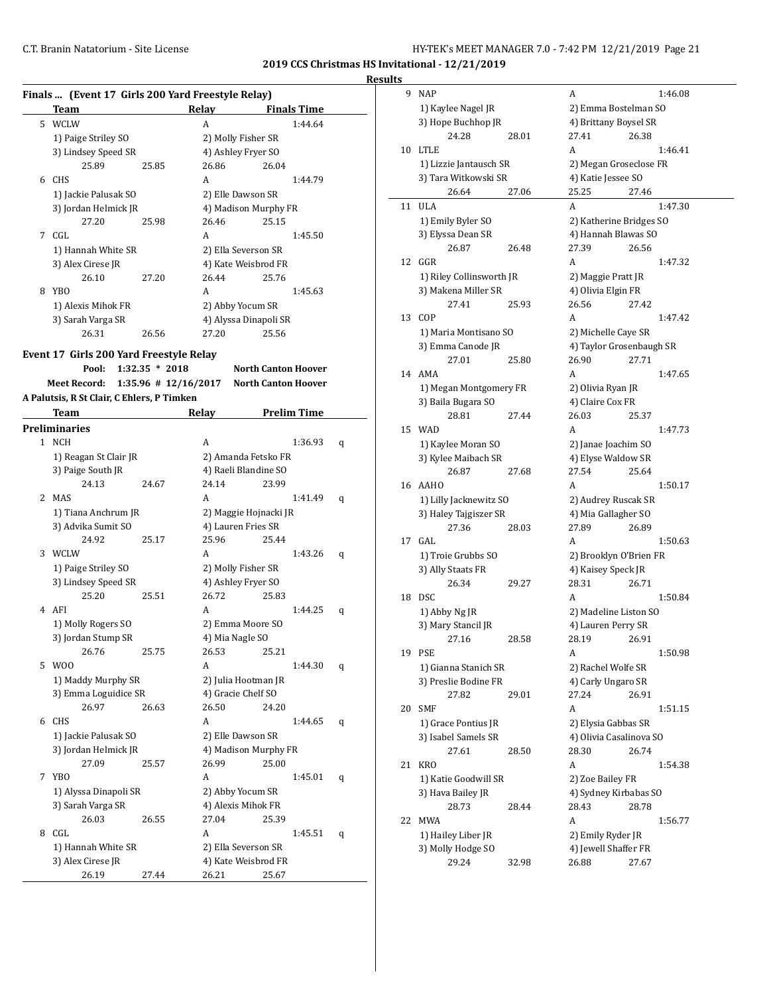**Results**

|              | Finals  (Event 17 Girls 200 Yard Freestyle Relay) |                         |                       |                            |                    |   |
|--------------|---------------------------------------------------|-------------------------|-----------------------|----------------------------|--------------------|---|
|              | Team                                              |                         | Relay                 |                            | <b>Finals Time</b> |   |
|              | 5 WCLW                                            |                         | A                     |                            | 1:44.64            |   |
|              | 1) Paige Striley SO                               |                         | 2) Molly Fisher SR    |                            |                    |   |
|              |                                                   |                         | 4) Ashley Fryer SO    |                            |                    |   |
|              | 3) Lindsey Speed SR                               |                         | 26.86                 |                            |                    |   |
|              | 25.89                                             | 25.85                   |                       | 26.04                      |                    |   |
|              | 6 CHS                                             |                         | A                     |                            | 1:44.79            |   |
|              | 1) Jackie Palusak SO                              |                         | 2) Elle Dawson SR     |                            |                    |   |
|              | 3) Jordan Helmick JR                              |                         | 4) Madison Murphy FR  |                            |                    |   |
|              | 27.20                                             | 25.98                   | 26.46                 | 25.15                      |                    |   |
| 7            | CGL                                               |                         | A                     |                            | 1:45.50            |   |
|              | 1) Hannah White SR                                |                         | 2) Ella Severson SR   |                            |                    |   |
|              | 3) Alex Cirese JR                                 |                         | 4) Kate Weisbrod FR   |                            |                    |   |
|              | 26.10                                             | 27.20                   | 26.44                 | 25.76                      |                    |   |
| 8            | YBO                                               |                         | A                     |                            | 1:45.63            |   |
|              | 1) Alexis Mihok FR                                |                         | 2) Abby Yocum SR      |                            |                    |   |
|              | 3) Sarah Varga SR                                 |                         | 4) Alyssa Dinapoli SR |                            |                    |   |
|              | 26.31                                             | 26.56                   | 27.20                 | 25.56                      |                    |   |
|              |                                                   |                         |                       |                            |                    |   |
|              | Event 17 Girls 200 Yard Freestyle Relay           |                         |                       |                            |                    |   |
|              | Pool:                                             | $1:32.35 * 2018$        |                       | <b>North Canton Hoover</b> |                    |   |
|              | <b>Meet Record:</b>                               | $1:35.96 \# 12/16/2017$ |                       | <b>North Canton Hoover</b> |                    |   |
|              | A Palutsis, R St Clair, C Ehlers, P Timken        |                         |                       |                            |                    |   |
|              | Team                                              |                         | Relay                 |                            | <b>Prelim Time</b> |   |
|              | <b>Preliminaries</b>                              |                         |                       |                            |                    |   |
| $\mathbf{1}$ | NCH                                               |                         | A                     |                            | 1:36.93            | q |
|              | 1) Reagan St Clair JR                             |                         | 2) Amanda Fetsko FR   |                            |                    |   |
|              | 3) Paige South JR                                 |                         | 4) Raeli Blandine SO  |                            |                    |   |
|              | 24.13                                             | 24.67                   | 24.14                 | 23.99                      |                    |   |
| 2            | MAS                                               |                         | A                     |                            | 1:41.49            | q |
|              | 1) Tiana Anchrum JR                               |                         | 2) Maggie Hojnacki JR |                            |                    |   |
|              | 3) Advika Sumit SO                                |                         | 4) Lauren Fries SR    |                            |                    |   |
|              |                                                   |                         |                       |                            |                    |   |
|              | 24.92                                             | 25.17                   | 25.96                 | 25.44                      |                    |   |
| 3            | WCLW                                              |                         | A                     |                            | 1:43.26            | q |
|              | 1) Paige Striley SO                               |                         | 2) Molly Fisher SR    |                            |                    |   |
|              | 3) Lindsey Speed SR                               |                         | 4) Ashley Fryer SO    |                            |                    |   |
|              | 25.20                                             | 25.51                   | 26.72                 | 25.83                      |                    |   |
| 4            | AFI                                               |                         | A                     |                            | 1:44.25            | q |
|              | 1) Molly Rogers SO                                |                         | 2) Emma Moore SO      |                            |                    |   |
|              | 3) Jordan Stump SR                                |                         | 4) Mia Nagle SO       |                            |                    |   |
|              | 26.76                                             | 25.75                   | 26.53                 | 25.21                      |                    |   |
| 5            | W00                                               |                         | А                     |                            | 1:44.30            | q |
|              | 1) Maddy Murphy SR                                |                         | 2) Julia Hootman JR   |                            |                    |   |
|              | 3) Emma Loguidice SR                              |                         | 4) Gracie Chelf SO    |                            |                    |   |
|              | 26.97                                             | 26.63                   | 26.50                 | 24.20                      |                    |   |
|              | 6 CHS                                             |                         | А                     |                            | 1:44.65            | q |
|              | 1) Jackie Palusak SO                              |                         | 2) Elle Dawson SR     |                            |                    |   |
|              | 3) Jordan Helmick JR                              |                         | 4) Madison Murphy FR  |                            |                    |   |
|              | 27.09                                             | 25.57                   | 26.99                 | 25.00                      |                    |   |
|              |                                                   |                         |                       |                            |                    |   |
| 7            | <b>YBO</b>                                        |                         | А                     |                            | 1:45.01            | q |
|              | 1) Alyssa Dinapoli SR                             |                         | 2) Abby Yocum SR      |                            |                    |   |
|              | 3) Sarah Varga SR                                 |                         | 4) Alexis Mihok FR    |                            |                    |   |
|              | 26.03                                             | 26.55                   | 27.04                 | 25.39                      |                    |   |
| 8            | CGL                                               |                         | A                     |                            | 1:45.51            | q |
|              | 1) Hannah White SR                                |                         | 2) Ella Severson SR   |                            |                    |   |
|              | 3) Alex Cirese JR                                 |                         | 4) Kate Weisbrod FR   |                            |                    |   |
|              | 26.19                                             | 27.44                   | 26.21                 | 25.67                      |                    |   |

| 9  | <b>NAP</b>                          |       | A                                    | 1:46.08 |
|----|-------------------------------------|-------|--------------------------------------|---------|
|    | 1) Kaylee Nagel JR                  |       | 2) Emma Bostelman SO                 |         |
|    | 3) Hope Buchhop JR                  |       | 4) Brittany Boysel SR                |         |
|    | 24.28                               | 28.01 | 27.41<br>26.38                       |         |
| 10 | <b>LTLE</b>                         |       | A                                    | 1:46.41 |
|    | 1) Lizzie Jantausch SR              |       | 2) Megan Groseclose FR               |         |
|    | 3) Tara Witkowski SR                |       | 4) Katie Jessee SO                   |         |
|    | 26.64                               | 27.06 | 25.25<br>27.46                       |         |
| 11 | ULA                                 |       | A                                    | 1:47.30 |
|    | 1) Emily Byler SO                   |       | 2) Katherine Bridges SO              |         |
|    | 3) Elyssa Dean SR                   |       | 4) Hannah Blawas SO                  |         |
|    | 26.87                               | 26.48 | 27.39<br>26.56                       |         |
| 12 | GGR                                 |       | A                                    | 1:47.32 |
|    | 1) Riley Collinsworth JR            |       | 2) Maggie Pratt JR                   |         |
|    | 3) Makena Miller SR                 |       | 4) Olivia Elgin FR                   |         |
|    | 27.41                               | 25.93 | 26.56<br>27.42                       |         |
| 13 | COP                                 |       | A                                    | 1:47.42 |
|    | 1) Maria Montisano SO               |       | 2) Michelle Caye SR                  |         |
|    | 3) Emma Canode JR                   |       | 4) Taylor Grosenbaugh SR             |         |
|    | 27.01                               | 25.80 | 26.90<br>27.71                       |         |
| 14 | AMA                                 |       | A                                    | 1:47.65 |
|    | 1) Megan Montgomery FR              |       | 2) Olivia Ryan JR                    |         |
|    | 3) Baila Bugara SO                  |       | 4) Claire Cox FR                     |         |
|    | 28.81                               | 27.44 | 26.03<br>25.37                       |         |
| 15 | <b>WAD</b>                          |       | A                                    | 1:47.73 |
|    | 1) Kaylee Moran SO                  |       | 2) Janae Joachim SO                  |         |
|    | 3) Kylee Maibach SR                 |       | 4) Elyse Waldow SR                   |         |
|    | 26.87                               | 27.68 | 27.54<br>25.64                       |         |
| 16 | AAHO                                |       | A                                    | 1:50.17 |
|    | 1) Lilly Jacknewitz SO              |       | 2) Audrey Ruscak SR                  |         |
|    | 3) Haley Tajgiszer SR               |       | 4) Mia Gallagher SO                  |         |
|    | 27.36                               | 28.03 | 27.89<br>26.89                       |         |
| 17 | GAL                                 |       | A                                    | 1:50.63 |
|    | 1) Troie Grubbs SO                  |       | 2) Brooklyn O'Brien FR               |         |
|    | 3) Ally Staats FR                   |       | 4) Kaisey Speck JR                   |         |
|    | 26.34                               | 29.27 | 28.31<br>26.71                       |         |
| 18 | <b>DSC</b>                          |       | A                                    | 1:50.84 |
|    | 1) Abby Ng JR<br>3) Mary Stancil JR |       | 2) Madeline Liston SO                |         |
|    | 27.16                               | 28.58 | 4) Lauren Perry SR<br>28.19<br>26.91 |         |
| 19 | <b>PSE</b>                          |       | A                                    | 1:50.98 |
|    | 1) Gianna Stanich SR                |       | 2) Rachel Wolfe SR                   |         |
|    | 3) Preslie Bodine FR                |       | 4) Carly Ungaro SR                   |         |
|    | 27.82                               | 29.01 | 27.24<br>26.91                       |         |
| 20 | <b>SMF</b>                          |       | A                                    | 1:51.15 |
|    | 1) Grace Pontius JR                 |       | 2) Elysia Gabbas SR                  |         |
|    | 3) Isabel Samels SR                 |       | 4) Olivia Casalinova SO              |         |
|    | 27.61                               | 28.50 | 28.30<br>26.74                       |         |
| 21 | <b>KRO</b>                          |       | A                                    | 1:54.38 |
|    | 1) Katie Goodwill SR                |       | 2) Zoe Bailey FR                     |         |
|    | 3) Hava Bailey JR                   |       | 4) Sydney Kirbabas SO                |         |
|    | 28.73                               | 28.44 | 28.43<br>28.78                       |         |
| 22 | MWA                                 |       | А                                    | 1:56.77 |
|    | 1) Hailey Liber JR                  |       | 2) Emily Ryder JR                    |         |
|    | 3) Molly Hodge SO                   |       | 4) Jewell Shaffer FR                 |         |
|    | 29.24                               | 32.98 | 26.88<br>27.67                       |         |
|    |                                     |       |                                      |         |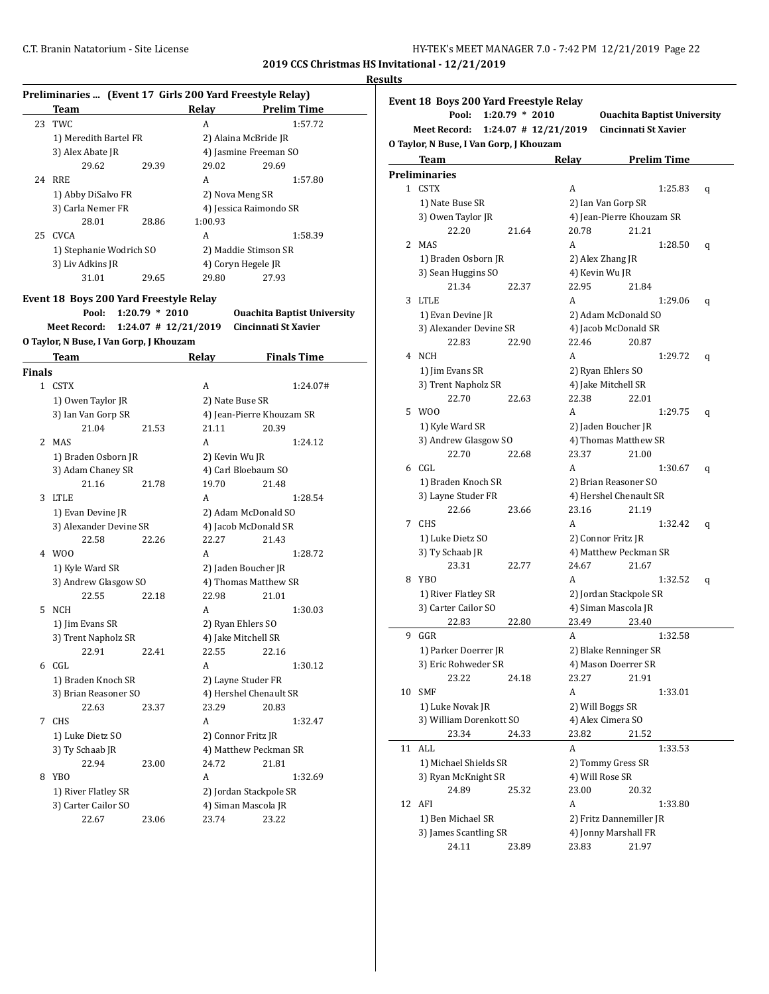|               | Preliminaries  (Event 17 Girls 200 Yard Freestyle Relay) |                  |                          |                                    |
|---------------|----------------------------------------------------------|------------------|--------------------------|------------------------------------|
|               | Team                                                     |                  | Relay                    | <b>Prelim Time</b>                 |
| 23            | TWC                                                      |                  | A                        | 1:57.72                            |
|               | 1) Meredith Bartel FR                                    |                  |                          | 2) Alaina McBride JR               |
|               | 3) Alex Abate JR                                         |                  |                          | 4) Jasmine Freeman SO              |
|               | 29.62                                                    | 29.39            | 29.02                    | 29.69                              |
|               | 24 RRE                                                   |                  | A                        | 1:57.80                            |
|               | 1) Abby DiSalvo FR                                       |                  | 2) Nova Meng SR          |                                    |
|               | 3) Carla Nemer FR                                        |                  |                          | 4) Jessica Raimondo SR             |
|               | 28.01                                                    | 28.86            | 1:00.93                  |                                    |
|               | 25 CVCA                                                  |                  | A                        | 1:58.39                            |
|               | 1) Stephanie Wodrich SO                                  |                  |                          | 2) Maddie Stimson SR               |
|               | 3) Liv Adkins JR                                         |                  |                          | 4) Coryn Hegele JR                 |
|               | 31.01                                                    | 29.65            | 29.80                    | 27.93                              |
|               |                                                          |                  |                          |                                    |
|               | Event 18 Boys 200 Yard Freestyle Relay                   |                  |                          |                                    |
|               | Pool:                                                    | $1:20.79 * 2010$ |                          | <b>Ouachita Baptist University</b> |
|               | Meet Record:                                             |                  | $1:24.07$ # $12/21/2019$ | Cincinnati St Xavier               |
|               | O Taylor, N Buse, I Van Gorp, J Khouzam                  |                  |                          |                                    |
|               | Team                                                     |                  | <b>Relay</b>             | <b>Finals Time</b>                 |
| <b>Finals</b> |                                                          |                  |                          |                                    |
|               | 1 CSTX                                                   |                  | А                        | 1:24.07#                           |
|               | 1) Owen Taylor JR                                        |                  | 2) Nate Buse SR          |                                    |
|               | 3) Ian Van Gorp SR                                       |                  |                          | 4) Jean-Pierre Khouzam SR          |
|               | 21.04                                                    | 21.53            | 21.11                    | 20.39                              |
|               | 2 MAS                                                    |                  | A                        | 1:24.12                            |
|               | 1) Braden Osborn JR                                      |                  | 2) Kevin Wu JR           |                                    |
|               | 3) Adam Chaney SR                                        |                  |                          | 4) Carl Bloebaum SO                |
|               | 21.16                                                    | 21.78            | 19.70                    | 21.48                              |
|               | 3 LTLE                                                   |                  | A                        | 1:28.54                            |
|               | 1) Evan Devine JR                                        |                  |                          | 2) Adam McDonald SO                |
|               | 3) Alexander Devine SR                                   |                  |                          | 4) Jacob McDonald SR               |
|               | 22.58                                                    | 22.26            | 22.27                    | 21.43                              |
|               | 4 W00                                                    |                  | A                        | 1:28.72                            |
|               | 1) Kyle Ward SR                                          |                  |                          | 2) Jaden Boucher JR                |
|               | 3) Andrew Glasgow SO                                     |                  |                          | 4) Thomas Matthew SR               |
|               | 22.55                                                    | 22.18            | 22.98                    | 21.01                              |
| 5             | NCH                                                      |                  | A                        | 1:30.03                            |
|               | 1) Jim Evans SR                                          |                  |                          | 2) Ryan Ehlers SO                  |
|               | 3) Trent Napholz SR                                      |                  |                          | 4) Jake Mitchell SR                |
|               | 22.91                                                    | 22.41            | 22.55                    | 22.16                              |
|               | 6 CGL                                                    |                  | А                        | 1:30.12                            |
|               | 1) Braden Knoch SR                                       |                  |                          | 2) Layne Studer FR                 |
|               | 3) Brian Reasoner SO                                     |                  |                          | 4) Hershel Chenault SR             |
|               | 22.63                                                    | 23.37            | 23.29                    | 20.83                              |
|               | 7 CHS                                                    |                  | А                        | 1:32.47                            |
|               | 1) Luke Dietz SO                                         |                  |                          | 2) Connor Fritz JR                 |
|               | 3) Ty Schaab JR                                          |                  |                          | 4) Matthew Peckman SR              |
|               | 22.94                                                    | 23.00            | 24.72                    | 21.81                              |
|               | 8 YBO                                                    |                  | A                        | 1:32.69                            |
|               | 1) River Flatley SR                                      |                  |                          | 2) Jordan Stackpole SR             |
|               | 3) Carter Cailor SO                                      |                  |                          | 4) Siman Mascola JR                |
|               | 22.67                                                    | 23.06            | 23.74                    | 23.22                              |
|               |                                                          |                  |                          |                                    |

| Event 18 Boys 200 Yard Freestyle Relay                                                        |              |  |  |  |  |  |  |
|-----------------------------------------------------------------------------------------------|--------------|--|--|--|--|--|--|
| Pool:<br>$1:20.79 * 2010$<br><b>Ouachita Baptist University</b>                               |              |  |  |  |  |  |  |
| Cincinnati St Xavier<br>$1:24.07$ # $12/21/2019$<br>Meet Record:                              |              |  |  |  |  |  |  |
| O Taylor, N Buse, I Van Gorp, J Khouzam                                                       |              |  |  |  |  |  |  |
| <b>Team</b><br><b>Prelim Time</b><br>Relay                                                    |              |  |  |  |  |  |  |
| <b>Preliminaries</b>                                                                          |              |  |  |  |  |  |  |
| 1 CSTX<br>A                                                                                   | 1:25.83<br>q |  |  |  |  |  |  |
| 2) Ian Van Gorp SR<br>1) Nate Buse SR                                                         |              |  |  |  |  |  |  |
| 4) Jean-Pierre Khouzam SR<br>3) Owen Taylor JR                                                |              |  |  |  |  |  |  |
| 22.20<br>20.78<br>21.21<br>21.64                                                              |              |  |  |  |  |  |  |
| MAS<br>A<br>2                                                                                 | 1:28.50<br>q |  |  |  |  |  |  |
| 1) Braden Osborn JR<br>2) Alex Zhang JR                                                       |              |  |  |  |  |  |  |
| 4) Kevin Wu JR<br>3) Sean Huggins SO                                                          |              |  |  |  |  |  |  |
| 21.34<br>22.95<br>22.37<br>21.84                                                              |              |  |  |  |  |  |  |
| LTLE<br>3<br>A                                                                                | 1:29.06<br>q |  |  |  |  |  |  |
| 1) Evan Devine JR<br>2) Adam McDonald SO                                                      |              |  |  |  |  |  |  |
| 3) Alexander Devine SR<br>4) Jacob McDonald SR                                                |              |  |  |  |  |  |  |
| 22.46<br>22.83<br>20.87<br>22.90                                                              |              |  |  |  |  |  |  |
| 4 NCH<br>A                                                                                    | 1:29.72<br>q |  |  |  |  |  |  |
| 1) Jim Evans SR<br>2) Ryan Ehlers SO                                                          |              |  |  |  |  |  |  |
| 3) Trent Napholz SR<br>4) Jake Mitchell SR                                                    |              |  |  |  |  |  |  |
| 22.70<br>22.38<br>22.01<br>22.63                                                              |              |  |  |  |  |  |  |
| 5 W00<br>A                                                                                    | 1:29.75<br>q |  |  |  |  |  |  |
| 1) Kyle Ward SR<br>2) Jaden Boucher JR                                                        |              |  |  |  |  |  |  |
| 3) Andrew Glasgow SO<br>4) Thomas Matthew SR                                                  |              |  |  |  |  |  |  |
| 22.70<br>23.37<br>21.00<br>22.68                                                              |              |  |  |  |  |  |  |
| 6 CGL<br>A                                                                                    | 1:30.67<br>q |  |  |  |  |  |  |
| 1) Braden Knoch SR<br>2) Brian Reasoner SO                                                    |              |  |  |  |  |  |  |
| 3) Layne Studer FR<br>4) Hershel Chenault SR                                                  |              |  |  |  |  |  |  |
| 22.66<br>23.16<br>23.66<br>21.19                                                              |              |  |  |  |  |  |  |
| 7 CHS<br>A                                                                                    | 1:32.42<br>q |  |  |  |  |  |  |
| 1) Luke Dietz SO<br>2) Connor Fritz JR                                                        |              |  |  |  |  |  |  |
| 3) Ty Schaab JR<br>4) Matthew Peckman SR                                                      |              |  |  |  |  |  |  |
| 23.31<br>24.67<br>22.77<br>21.67                                                              |              |  |  |  |  |  |  |
| 8 YBO<br>A                                                                                    | 1:32.52<br>q |  |  |  |  |  |  |
| 1) River Flatley SR<br>2) Jordan Stackpole SR                                                 |              |  |  |  |  |  |  |
| 3) Carter Cailor SO<br>4) Siman Mascola JR                                                    |              |  |  |  |  |  |  |
| 22.83<br>22.80<br>23.49<br>23.40                                                              |              |  |  |  |  |  |  |
| 9<br>GGR<br>A                                                                                 | 1:32.58      |  |  |  |  |  |  |
| 1) Parker Doerrer JR<br>2) Blake Renninger SR                                                 |              |  |  |  |  |  |  |
| 3) Eric Rohweder SR<br>4) Mason Doerrer SR                                                    |              |  |  |  |  |  |  |
| 23.22<br>23.27<br>24.18<br>21.91                                                              |              |  |  |  |  |  |  |
| <b>SMF</b><br>A<br>10                                                                         | 1:33.01      |  |  |  |  |  |  |
| 1) Luke Novak JR<br>2) Will Boggs SR                                                          |              |  |  |  |  |  |  |
| 3) William Dorenkott SO<br>4) Alex Cimera SO                                                  |              |  |  |  |  |  |  |
| 23.34<br>23.82<br>21.52<br>24.33                                                              |              |  |  |  |  |  |  |
|                                                                                               |              |  |  |  |  |  |  |
|                                                                                               |              |  |  |  |  |  |  |
| <b>ALL</b><br>11<br>A                                                                         | 1:33.53      |  |  |  |  |  |  |
| 1) Michael Shields SR<br>2) Tommy Gress SR                                                    |              |  |  |  |  |  |  |
| 4) Will Rose SR<br>3) Ryan McKnight SR                                                        |              |  |  |  |  |  |  |
| 23.00<br>24.89<br>20.32<br>25.32                                                              |              |  |  |  |  |  |  |
| AFI<br>12<br>A                                                                                | 1:33.80      |  |  |  |  |  |  |
| 1) Ben Michael SR<br>2) Fritz Dannemiller JR<br>3) James Scantling SR<br>4) Jonny Marshall FR |              |  |  |  |  |  |  |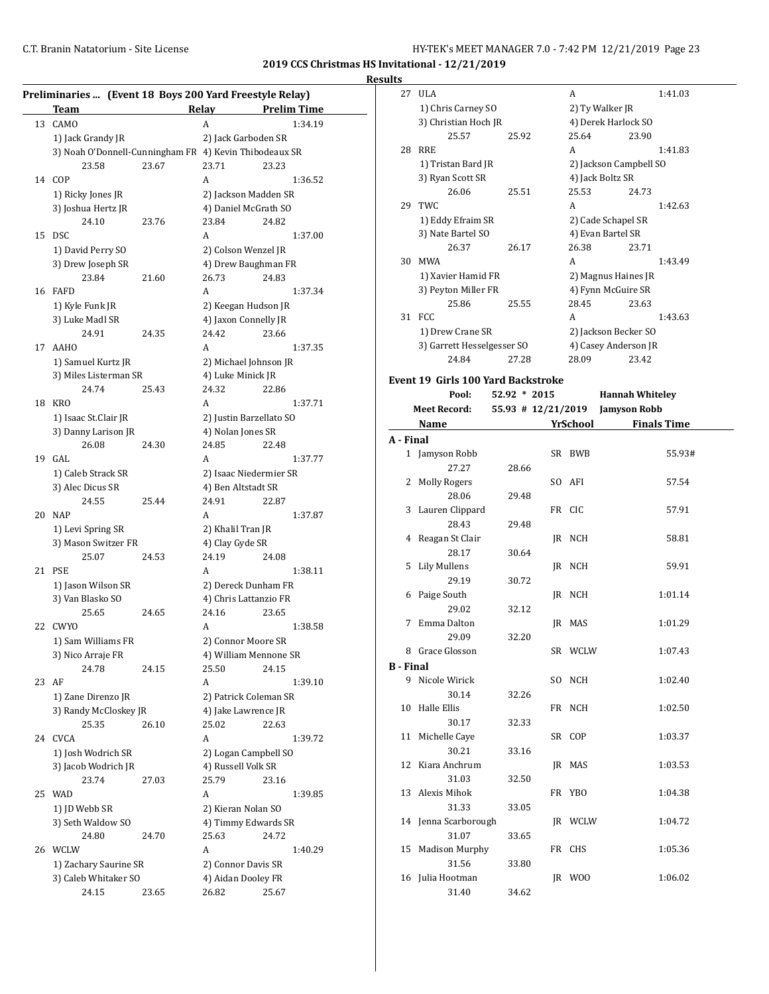### **Results**

| Relay<br><b>Prelim Time</b><br>CAMO<br>1:34.19<br>13<br>A<br>1) Jack Grandy JR<br>2) Jack Garboden SR<br>3) Noah O'Donnell-Cunningham FR 4) Kevin Thibodeaux SR<br>23.58<br>23.67<br>23.71<br>23.23<br>COP<br>14<br>A<br>1) Ricky Jones JR<br>2) Jackson Madden SR<br>3) Joshua Hertz JR<br>4) Daniel McGrath SO<br>24.10<br>23.84<br>23.76<br>24.82<br><b>DSC</b><br>15<br>A<br>1) David Perry SO<br>2) Colson Wenzel JR<br>3) Drew Joseph SR<br>4) Drew Baughman FR<br>23.84<br>26.73<br>24.83<br>21.60<br><b>FAFD</b><br>16<br>A<br>1) Kyle Funk JR<br>2) Keegan Hudson JR<br>3) Luke Madl SR<br>4) Jaxon Connelly JR<br>24.91<br>24.42<br>23.66<br>24.35<br>A<br><b>AAHO</b><br>17<br>1) Samuel Kurtz JR<br>2) Michael Johnson JR<br>3) Miles Listerman SR<br>4) Luke Minick JR<br>24.32<br>24.74<br>25.43<br>22.86<br><b>KRO</b><br>18<br>A<br>1) Isaac St.Clair JR<br>2) Justin Barzellato SO<br>3) Danny Larison JR<br>4) Nolan Jones SR<br>26.08<br>24.30<br>24.85<br>22.48<br>GAL<br>19<br>A<br>1) Caleb Strack SR<br>2) Isaac Niedermier SR<br>3) Alec Dicus SR<br>4) Ben Altstadt SR<br>24.55<br>25.44<br>24.91<br>22.87<br>20<br><b>NAP</b><br>A<br>2) Khalil Tran JR<br>1) Levi Spring SR<br>3) Mason Switzer FR<br>4) Clay Gyde SR<br>24.19<br>25.07<br>24.53<br>24.08<br>21<br><b>PSE</b><br>A<br>1) Jason Wilson SR<br>2) Dereck Dunham FR<br>3) Van Blasko SO<br>4) Chris Lattanzio FR<br>25.65<br>24.65<br>24.16<br>23.65<br>22<br><b>CWYO</b><br>A<br>1:38.58<br>1) Sam Williams FR<br>2) Connor Moore SR<br>4) William Mennone SR<br>3) Nico Arraje FR<br>24.78<br>25.50<br>24.15<br>24.15<br>AF<br>23<br>A<br>1:39.10<br>1) Zane Direnzo JR<br>2) Patrick Coleman SR<br>3) Randy McCloskey JR<br>4) Jake Lawrence JR<br>25.35<br>26.10<br>25.02<br>22.63<br>24<br><b>CVCA</b><br>A<br>1) Josh Wodrich SR<br>2) Logan Campbell SO<br>3) Jacob Wodrich JR<br>4) Russell Volk SR<br>25.79<br>23.74<br>27.03<br>23.16<br>25<br><b>WAD</b><br>A<br>2) Kieran Nolan SO<br>1) JD Webb SR<br>3) Seth Waldow SO<br>4) Timmy Edwards SR<br>24.80<br>25.63<br>24.72<br>24.70<br>WCLW<br>26<br>A<br>1) Zachary Saurine SR<br>2) Connor Davis SR<br>3) Caleb Whitaker SO<br>4) Aidan Dooley FR<br>24.15<br>26.82<br>25.67<br>23.65 | Preliminaries  (Event 18 Boys 200 Yard Freestyle Relay)<br>Team |  |         |
|--------------------------------------------------------------------------------------------------------------------------------------------------------------------------------------------------------------------------------------------------------------------------------------------------------------------------------------------------------------------------------------------------------------------------------------------------------------------------------------------------------------------------------------------------------------------------------------------------------------------------------------------------------------------------------------------------------------------------------------------------------------------------------------------------------------------------------------------------------------------------------------------------------------------------------------------------------------------------------------------------------------------------------------------------------------------------------------------------------------------------------------------------------------------------------------------------------------------------------------------------------------------------------------------------------------------------------------------------------------------------------------------------------------------------------------------------------------------------------------------------------------------------------------------------------------------------------------------------------------------------------------------------------------------------------------------------------------------------------------------------------------------------------------------------------------------------------------------------------------------------------------------------------------------------------------------------------------------------------------------------------------------------------------------------------------------------------------------------------------------------------------------------------------------------------------------------------------------------------------------|-----------------------------------------------------------------|--|---------|
|                                                                                                                                                                                                                                                                                                                                                                                                                                                                                                                                                                                                                                                                                                                                                                                                                                                                                                                                                                                                                                                                                                                                                                                                                                                                                                                                                                                                                                                                                                                                                                                                                                                                                                                                                                                                                                                                                                                                                                                                                                                                                                                                                                                                                                            |                                                                 |  |         |
|                                                                                                                                                                                                                                                                                                                                                                                                                                                                                                                                                                                                                                                                                                                                                                                                                                                                                                                                                                                                                                                                                                                                                                                                                                                                                                                                                                                                                                                                                                                                                                                                                                                                                                                                                                                                                                                                                                                                                                                                                                                                                                                                                                                                                                            |                                                                 |  |         |
|                                                                                                                                                                                                                                                                                                                                                                                                                                                                                                                                                                                                                                                                                                                                                                                                                                                                                                                                                                                                                                                                                                                                                                                                                                                                                                                                                                                                                                                                                                                                                                                                                                                                                                                                                                                                                                                                                                                                                                                                                                                                                                                                                                                                                                            |                                                                 |  |         |
|                                                                                                                                                                                                                                                                                                                                                                                                                                                                                                                                                                                                                                                                                                                                                                                                                                                                                                                                                                                                                                                                                                                                                                                                                                                                                                                                                                                                                                                                                                                                                                                                                                                                                                                                                                                                                                                                                                                                                                                                                                                                                                                                                                                                                                            |                                                                 |  |         |
|                                                                                                                                                                                                                                                                                                                                                                                                                                                                                                                                                                                                                                                                                                                                                                                                                                                                                                                                                                                                                                                                                                                                                                                                                                                                                                                                                                                                                                                                                                                                                                                                                                                                                                                                                                                                                                                                                                                                                                                                                                                                                                                                                                                                                                            |                                                                 |  |         |
|                                                                                                                                                                                                                                                                                                                                                                                                                                                                                                                                                                                                                                                                                                                                                                                                                                                                                                                                                                                                                                                                                                                                                                                                                                                                                                                                                                                                                                                                                                                                                                                                                                                                                                                                                                                                                                                                                                                                                                                                                                                                                                                                                                                                                                            |                                                                 |  | 1:36.52 |
|                                                                                                                                                                                                                                                                                                                                                                                                                                                                                                                                                                                                                                                                                                                                                                                                                                                                                                                                                                                                                                                                                                                                                                                                                                                                                                                                                                                                                                                                                                                                                                                                                                                                                                                                                                                                                                                                                                                                                                                                                                                                                                                                                                                                                                            |                                                                 |  |         |
|                                                                                                                                                                                                                                                                                                                                                                                                                                                                                                                                                                                                                                                                                                                                                                                                                                                                                                                                                                                                                                                                                                                                                                                                                                                                                                                                                                                                                                                                                                                                                                                                                                                                                                                                                                                                                                                                                                                                                                                                                                                                                                                                                                                                                                            |                                                                 |  |         |
|                                                                                                                                                                                                                                                                                                                                                                                                                                                                                                                                                                                                                                                                                                                                                                                                                                                                                                                                                                                                                                                                                                                                                                                                                                                                                                                                                                                                                                                                                                                                                                                                                                                                                                                                                                                                                                                                                                                                                                                                                                                                                                                                                                                                                                            |                                                                 |  |         |
|                                                                                                                                                                                                                                                                                                                                                                                                                                                                                                                                                                                                                                                                                                                                                                                                                                                                                                                                                                                                                                                                                                                                                                                                                                                                                                                                                                                                                                                                                                                                                                                                                                                                                                                                                                                                                                                                                                                                                                                                                                                                                                                                                                                                                                            |                                                                 |  | 1:37.00 |
|                                                                                                                                                                                                                                                                                                                                                                                                                                                                                                                                                                                                                                                                                                                                                                                                                                                                                                                                                                                                                                                                                                                                                                                                                                                                                                                                                                                                                                                                                                                                                                                                                                                                                                                                                                                                                                                                                                                                                                                                                                                                                                                                                                                                                                            |                                                                 |  |         |
|                                                                                                                                                                                                                                                                                                                                                                                                                                                                                                                                                                                                                                                                                                                                                                                                                                                                                                                                                                                                                                                                                                                                                                                                                                                                                                                                                                                                                                                                                                                                                                                                                                                                                                                                                                                                                                                                                                                                                                                                                                                                                                                                                                                                                                            |                                                                 |  |         |
|                                                                                                                                                                                                                                                                                                                                                                                                                                                                                                                                                                                                                                                                                                                                                                                                                                                                                                                                                                                                                                                                                                                                                                                                                                                                                                                                                                                                                                                                                                                                                                                                                                                                                                                                                                                                                                                                                                                                                                                                                                                                                                                                                                                                                                            |                                                                 |  |         |
|                                                                                                                                                                                                                                                                                                                                                                                                                                                                                                                                                                                                                                                                                                                                                                                                                                                                                                                                                                                                                                                                                                                                                                                                                                                                                                                                                                                                                                                                                                                                                                                                                                                                                                                                                                                                                                                                                                                                                                                                                                                                                                                                                                                                                                            |                                                                 |  | 1:37.34 |
|                                                                                                                                                                                                                                                                                                                                                                                                                                                                                                                                                                                                                                                                                                                                                                                                                                                                                                                                                                                                                                                                                                                                                                                                                                                                                                                                                                                                                                                                                                                                                                                                                                                                                                                                                                                                                                                                                                                                                                                                                                                                                                                                                                                                                                            |                                                                 |  |         |
|                                                                                                                                                                                                                                                                                                                                                                                                                                                                                                                                                                                                                                                                                                                                                                                                                                                                                                                                                                                                                                                                                                                                                                                                                                                                                                                                                                                                                                                                                                                                                                                                                                                                                                                                                                                                                                                                                                                                                                                                                                                                                                                                                                                                                                            |                                                                 |  |         |
|                                                                                                                                                                                                                                                                                                                                                                                                                                                                                                                                                                                                                                                                                                                                                                                                                                                                                                                                                                                                                                                                                                                                                                                                                                                                                                                                                                                                                                                                                                                                                                                                                                                                                                                                                                                                                                                                                                                                                                                                                                                                                                                                                                                                                                            |                                                                 |  |         |
|                                                                                                                                                                                                                                                                                                                                                                                                                                                                                                                                                                                                                                                                                                                                                                                                                                                                                                                                                                                                                                                                                                                                                                                                                                                                                                                                                                                                                                                                                                                                                                                                                                                                                                                                                                                                                                                                                                                                                                                                                                                                                                                                                                                                                                            |                                                                 |  | 1:37.35 |
|                                                                                                                                                                                                                                                                                                                                                                                                                                                                                                                                                                                                                                                                                                                                                                                                                                                                                                                                                                                                                                                                                                                                                                                                                                                                                                                                                                                                                                                                                                                                                                                                                                                                                                                                                                                                                                                                                                                                                                                                                                                                                                                                                                                                                                            |                                                                 |  |         |
|                                                                                                                                                                                                                                                                                                                                                                                                                                                                                                                                                                                                                                                                                                                                                                                                                                                                                                                                                                                                                                                                                                                                                                                                                                                                                                                                                                                                                                                                                                                                                                                                                                                                                                                                                                                                                                                                                                                                                                                                                                                                                                                                                                                                                                            |                                                                 |  |         |
|                                                                                                                                                                                                                                                                                                                                                                                                                                                                                                                                                                                                                                                                                                                                                                                                                                                                                                                                                                                                                                                                                                                                                                                                                                                                                                                                                                                                                                                                                                                                                                                                                                                                                                                                                                                                                                                                                                                                                                                                                                                                                                                                                                                                                                            |                                                                 |  |         |
|                                                                                                                                                                                                                                                                                                                                                                                                                                                                                                                                                                                                                                                                                                                                                                                                                                                                                                                                                                                                                                                                                                                                                                                                                                                                                                                                                                                                                                                                                                                                                                                                                                                                                                                                                                                                                                                                                                                                                                                                                                                                                                                                                                                                                                            |                                                                 |  | 1:37.71 |
|                                                                                                                                                                                                                                                                                                                                                                                                                                                                                                                                                                                                                                                                                                                                                                                                                                                                                                                                                                                                                                                                                                                                                                                                                                                                                                                                                                                                                                                                                                                                                                                                                                                                                                                                                                                                                                                                                                                                                                                                                                                                                                                                                                                                                                            |                                                                 |  |         |
|                                                                                                                                                                                                                                                                                                                                                                                                                                                                                                                                                                                                                                                                                                                                                                                                                                                                                                                                                                                                                                                                                                                                                                                                                                                                                                                                                                                                                                                                                                                                                                                                                                                                                                                                                                                                                                                                                                                                                                                                                                                                                                                                                                                                                                            |                                                                 |  |         |
|                                                                                                                                                                                                                                                                                                                                                                                                                                                                                                                                                                                                                                                                                                                                                                                                                                                                                                                                                                                                                                                                                                                                                                                                                                                                                                                                                                                                                                                                                                                                                                                                                                                                                                                                                                                                                                                                                                                                                                                                                                                                                                                                                                                                                                            |                                                                 |  |         |
|                                                                                                                                                                                                                                                                                                                                                                                                                                                                                                                                                                                                                                                                                                                                                                                                                                                                                                                                                                                                                                                                                                                                                                                                                                                                                                                                                                                                                                                                                                                                                                                                                                                                                                                                                                                                                                                                                                                                                                                                                                                                                                                                                                                                                                            |                                                                 |  | 1:37.77 |
|                                                                                                                                                                                                                                                                                                                                                                                                                                                                                                                                                                                                                                                                                                                                                                                                                                                                                                                                                                                                                                                                                                                                                                                                                                                                                                                                                                                                                                                                                                                                                                                                                                                                                                                                                                                                                                                                                                                                                                                                                                                                                                                                                                                                                                            |                                                                 |  |         |
|                                                                                                                                                                                                                                                                                                                                                                                                                                                                                                                                                                                                                                                                                                                                                                                                                                                                                                                                                                                                                                                                                                                                                                                                                                                                                                                                                                                                                                                                                                                                                                                                                                                                                                                                                                                                                                                                                                                                                                                                                                                                                                                                                                                                                                            |                                                                 |  |         |
|                                                                                                                                                                                                                                                                                                                                                                                                                                                                                                                                                                                                                                                                                                                                                                                                                                                                                                                                                                                                                                                                                                                                                                                                                                                                                                                                                                                                                                                                                                                                                                                                                                                                                                                                                                                                                                                                                                                                                                                                                                                                                                                                                                                                                                            |                                                                 |  |         |
|                                                                                                                                                                                                                                                                                                                                                                                                                                                                                                                                                                                                                                                                                                                                                                                                                                                                                                                                                                                                                                                                                                                                                                                                                                                                                                                                                                                                                                                                                                                                                                                                                                                                                                                                                                                                                                                                                                                                                                                                                                                                                                                                                                                                                                            |                                                                 |  | 1:37.87 |
|                                                                                                                                                                                                                                                                                                                                                                                                                                                                                                                                                                                                                                                                                                                                                                                                                                                                                                                                                                                                                                                                                                                                                                                                                                                                                                                                                                                                                                                                                                                                                                                                                                                                                                                                                                                                                                                                                                                                                                                                                                                                                                                                                                                                                                            |                                                                 |  |         |
|                                                                                                                                                                                                                                                                                                                                                                                                                                                                                                                                                                                                                                                                                                                                                                                                                                                                                                                                                                                                                                                                                                                                                                                                                                                                                                                                                                                                                                                                                                                                                                                                                                                                                                                                                                                                                                                                                                                                                                                                                                                                                                                                                                                                                                            |                                                                 |  |         |
|                                                                                                                                                                                                                                                                                                                                                                                                                                                                                                                                                                                                                                                                                                                                                                                                                                                                                                                                                                                                                                                                                                                                                                                                                                                                                                                                                                                                                                                                                                                                                                                                                                                                                                                                                                                                                                                                                                                                                                                                                                                                                                                                                                                                                                            |                                                                 |  |         |
|                                                                                                                                                                                                                                                                                                                                                                                                                                                                                                                                                                                                                                                                                                                                                                                                                                                                                                                                                                                                                                                                                                                                                                                                                                                                                                                                                                                                                                                                                                                                                                                                                                                                                                                                                                                                                                                                                                                                                                                                                                                                                                                                                                                                                                            |                                                                 |  | 1:38.11 |
|                                                                                                                                                                                                                                                                                                                                                                                                                                                                                                                                                                                                                                                                                                                                                                                                                                                                                                                                                                                                                                                                                                                                                                                                                                                                                                                                                                                                                                                                                                                                                                                                                                                                                                                                                                                                                                                                                                                                                                                                                                                                                                                                                                                                                                            |                                                                 |  |         |
|                                                                                                                                                                                                                                                                                                                                                                                                                                                                                                                                                                                                                                                                                                                                                                                                                                                                                                                                                                                                                                                                                                                                                                                                                                                                                                                                                                                                                                                                                                                                                                                                                                                                                                                                                                                                                                                                                                                                                                                                                                                                                                                                                                                                                                            |                                                                 |  |         |
|                                                                                                                                                                                                                                                                                                                                                                                                                                                                                                                                                                                                                                                                                                                                                                                                                                                                                                                                                                                                                                                                                                                                                                                                                                                                                                                                                                                                                                                                                                                                                                                                                                                                                                                                                                                                                                                                                                                                                                                                                                                                                                                                                                                                                                            |                                                                 |  |         |
|                                                                                                                                                                                                                                                                                                                                                                                                                                                                                                                                                                                                                                                                                                                                                                                                                                                                                                                                                                                                                                                                                                                                                                                                                                                                                                                                                                                                                                                                                                                                                                                                                                                                                                                                                                                                                                                                                                                                                                                                                                                                                                                                                                                                                                            |                                                                 |  |         |
|                                                                                                                                                                                                                                                                                                                                                                                                                                                                                                                                                                                                                                                                                                                                                                                                                                                                                                                                                                                                                                                                                                                                                                                                                                                                                                                                                                                                                                                                                                                                                                                                                                                                                                                                                                                                                                                                                                                                                                                                                                                                                                                                                                                                                                            |                                                                 |  |         |
|                                                                                                                                                                                                                                                                                                                                                                                                                                                                                                                                                                                                                                                                                                                                                                                                                                                                                                                                                                                                                                                                                                                                                                                                                                                                                                                                                                                                                                                                                                                                                                                                                                                                                                                                                                                                                                                                                                                                                                                                                                                                                                                                                                                                                                            |                                                                 |  |         |
|                                                                                                                                                                                                                                                                                                                                                                                                                                                                                                                                                                                                                                                                                                                                                                                                                                                                                                                                                                                                                                                                                                                                                                                                                                                                                                                                                                                                                                                                                                                                                                                                                                                                                                                                                                                                                                                                                                                                                                                                                                                                                                                                                                                                                                            |                                                                 |  |         |
|                                                                                                                                                                                                                                                                                                                                                                                                                                                                                                                                                                                                                                                                                                                                                                                                                                                                                                                                                                                                                                                                                                                                                                                                                                                                                                                                                                                                                                                                                                                                                                                                                                                                                                                                                                                                                                                                                                                                                                                                                                                                                                                                                                                                                                            |                                                                 |  |         |
|                                                                                                                                                                                                                                                                                                                                                                                                                                                                                                                                                                                                                                                                                                                                                                                                                                                                                                                                                                                                                                                                                                                                                                                                                                                                                                                                                                                                                                                                                                                                                                                                                                                                                                                                                                                                                                                                                                                                                                                                                                                                                                                                                                                                                                            |                                                                 |  |         |
|                                                                                                                                                                                                                                                                                                                                                                                                                                                                                                                                                                                                                                                                                                                                                                                                                                                                                                                                                                                                                                                                                                                                                                                                                                                                                                                                                                                                                                                                                                                                                                                                                                                                                                                                                                                                                                                                                                                                                                                                                                                                                                                                                                                                                                            |                                                                 |  |         |
|                                                                                                                                                                                                                                                                                                                                                                                                                                                                                                                                                                                                                                                                                                                                                                                                                                                                                                                                                                                                                                                                                                                                                                                                                                                                                                                                                                                                                                                                                                                                                                                                                                                                                                                                                                                                                                                                                                                                                                                                                                                                                                                                                                                                                                            |                                                                 |  |         |
|                                                                                                                                                                                                                                                                                                                                                                                                                                                                                                                                                                                                                                                                                                                                                                                                                                                                                                                                                                                                                                                                                                                                                                                                                                                                                                                                                                                                                                                                                                                                                                                                                                                                                                                                                                                                                                                                                                                                                                                                                                                                                                                                                                                                                                            |                                                                 |  |         |
|                                                                                                                                                                                                                                                                                                                                                                                                                                                                                                                                                                                                                                                                                                                                                                                                                                                                                                                                                                                                                                                                                                                                                                                                                                                                                                                                                                                                                                                                                                                                                                                                                                                                                                                                                                                                                                                                                                                                                                                                                                                                                                                                                                                                                                            |                                                                 |  | 1:39.72 |
|                                                                                                                                                                                                                                                                                                                                                                                                                                                                                                                                                                                                                                                                                                                                                                                                                                                                                                                                                                                                                                                                                                                                                                                                                                                                                                                                                                                                                                                                                                                                                                                                                                                                                                                                                                                                                                                                                                                                                                                                                                                                                                                                                                                                                                            |                                                                 |  |         |
|                                                                                                                                                                                                                                                                                                                                                                                                                                                                                                                                                                                                                                                                                                                                                                                                                                                                                                                                                                                                                                                                                                                                                                                                                                                                                                                                                                                                                                                                                                                                                                                                                                                                                                                                                                                                                                                                                                                                                                                                                                                                                                                                                                                                                                            |                                                                 |  |         |
|                                                                                                                                                                                                                                                                                                                                                                                                                                                                                                                                                                                                                                                                                                                                                                                                                                                                                                                                                                                                                                                                                                                                                                                                                                                                                                                                                                                                                                                                                                                                                                                                                                                                                                                                                                                                                                                                                                                                                                                                                                                                                                                                                                                                                                            |                                                                 |  |         |
|                                                                                                                                                                                                                                                                                                                                                                                                                                                                                                                                                                                                                                                                                                                                                                                                                                                                                                                                                                                                                                                                                                                                                                                                                                                                                                                                                                                                                                                                                                                                                                                                                                                                                                                                                                                                                                                                                                                                                                                                                                                                                                                                                                                                                                            |                                                                 |  | 1:39.85 |
|                                                                                                                                                                                                                                                                                                                                                                                                                                                                                                                                                                                                                                                                                                                                                                                                                                                                                                                                                                                                                                                                                                                                                                                                                                                                                                                                                                                                                                                                                                                                                                                                                                                                                                                                                                                                                                                                                                                                                                                                                                                                                                                                                                                                                                            |                                                                 |  |         |
|                                                                                                                                                                                                                                                                                                                                                                                                                                                                                                                                                                                                                                                                                                                                                                                                                                                                                                                                                                                                                                                                                                                                                                                                                                                                                                                                                                                                                                                                                                                                                                                                                                                                                                                                                                                                                                                                                                                                                                                                                                                                                                                                                                                                                                            |                                                                 |  |         |
|                                                                                                                                                                                                                                                                                                                                                                                                                                                                                                                                                                                                                                                                                                                                                                                                                                                                                                                                                                                                                                                                                                                                                                                                                                                                                                                                                                                                                                                                                                                                                                                                                                                                                                                                                                                                                                                                                                                                                                                                                                                                                                                                                                                                                                            |                                                                 |  |         |
|                                                                                                                                                                                                                                                                                                                                                                                                                                                                                                                                                                                                                                                                                                                                                                                                                                                                                                                                                                                                                                                                                                                                                                                                                                                                                                                                                                                                                                                                                                                                                                                                                                                                                                                                                                                                                                                                                                                                                                                                                                                                                                                                                                                                                                            |                                                                 |  | 1:40.29 |
|                                                                                                                                                                                                                                                                                                                                                                                                                                                                                                                                                                                                                                                                                                                                                                                                                                                                                                                                                                                                                                                                                                                                                                                                                                                                                                                                                                                                                                                                                                                                                                                                                                                                                                                                                                                                                                                                                                                                                                                                                                                                                                                                                                                                                                            |                                                                 |  |         |
|                                                                                                                                                                                                                                                                                                                                                                                                                                                                                                                                                                                                                                                                                                                                                                                                                                                                                                                                                                                                                                                                                                                                                                                                                                                                                                                                                                                                                                                                                                                                                                                                                                                                                                                                                                                                                                                                                                                                                                                                                                                                                                                                                                                                                                            |                                                                 |  |         |
|                                                                                                                                                                                                                                                                                                                                                                                                                                                                                                                                                                                                                                                                                                                                                                                                                                                                                                                                                                                                                                                                                                                                                                                                                                                                                                                                                                                                                                                                                                                                                                                                                                                                                                                                                                                                                                                                                                                                                                                                                                                                                                                                                                                                                                            |                                                                 |  |         |

| 27               | <b>ULA</b>                                |                    |     | A               | 1:41.03                |
|------------------|-------------------------------------------|--------------------|-----|-----------------|------------------------|
|                  | 1) Chris Carney SO                        |                    |     |                 | 2) Ty Walker JR        |
|                  | 3) Christian Hoch JR                      |                    |     |                 | 4) Derek Harlock SO    |
|                  | 25.57                                     | 25.92              |     | 25.64           | 23.90                  |
|                  | 28 RRE                                    |                    |     | A               | 1:41.83                |
|                  | 1) Tristan Bard JR                        |                    |     |                 | 2) Jackson Campbell SO |
|                  | 3) Ryan Scott SR                          |                    |     |                 | 4) Jack Boltz SR       |
|                  | 26.06                                     | 25.51              |     | 25.53           | 24.73                  |
| 29               | TWC                                       |                    |     |                 |                        |
|                  |                                           |                    |     | A               | 1:42.63                |
|                  | 1) Eddy Efraim SR                         |                    |     |                 | 2) Cade Schapel SR     |
|                  | 3) Nate Bartel SO                         |                    |     |                 | 4) Evan Bartel SR      |
|                  | 26.37                                     | 26.17              |     | 26.38           | 23.71                  |
|                  | 30 MWA                                    |                    |     | A               | 1:43.49                |
|                  | 1) Xavier Hamid FR                        |                    |     |                 | 2) Magnus Haines JR    |
|                  | 3) Peyton Miller FR                       |                    |     |                 | 4) Fynn McGuire SR     |
|                  | 25.86                                     | 25.55              |     | 28.45           | 23.63                  |
| 31               | FCC                                       |                    |     | A               | 1:43.63                |
|                  | 1) Drew Crane SR                          |                    |     |                 | 2) Jackson Becker SO   |
|                  | 3) Garrett Hesselgesser SO                |                    |     |                 | 4) Casey Anderson JR   |
|                  | 24.84                                     | 27.28              |     | 28.09           | 23.42                  |
|                  |                                           |                    |     |                 |                        |
|                  | <b>Event 19 Girls 100 Yard Backstroke</b> |                    |     |                 |                        |
|                  | Pool:                                     | $52.92 * 2015$     |     |                 | <b>Hannah Whiteley</b> |
|                  | <b>Meet Record:</b>                       | 55.93 # 12/21/2019 |     |                 | <b>Jamyson Robb</b>    |
|                  | Name                                      |                    |     | <b>YrSchool</b> | <b>Finals Time</b>     |
| A - Final        |                                           |                    |     |                 |                        |
|                  | 1 Jamyson Robb                            |                    |     | SR BWB          | 55.93#                 |
|                  | 27.27                                     | 28.66              |     |                 |                        |
| 2                | Molly Rogers                              |                    | SO. | AFI             | 57.54                  |
|                  | 28.06                                     | 29.48              |     |                 |                        |
|                  |                                           |                    |     |                 |                        |
|                  |                                           |                    |     | FR CIC          | 57.91                  |
|                  | 3 Lauren Clippard<br>28.43                | 29.48              |     |                 |                        |
|                  |                                           |                    |     |                 |                        |
|                  | 4 Reagan St Clair                         |                    |     | JR NCH          | 58.81                  |
|                  | 28.17                                     | 30.64              |     |                 |                        |
| 5                | Lily Mullens                              |                    |     | JR NCH          | 59.91                  |
|                  | 29.19                                     | 30.72              |     |                 |                        |
| 6                | Paige South                               |                    | JR  | NCH             | 1:01.14                |
|                  | 29.02                                     | 32.12              |     |                 |                        |
|                  | 7 Emma Dalton                             |                    |     | IR MAS          | 1:01.29                |
|                  | 29.09                                     | 32.20              |     |                 |                        |
|                  | 8 Grace Glosson                           |                    |     | SR WCLW         | 1:07.43                |
| <b>B</b> - Final |                                           |                    |     |                 |                        |
|                  | 9 Nicole Wirick                           |                    |     | SO NCH          | 1:02.40                |
|                  | 30.14                                     | 32.26              |     |                 |                        |
|                  | 10 Halle Ellis                            |                    |     | FR NCH          | 1:02.50                |
|                  | 30.17                                     | 32.33              |     |                 |                        |
| 11               | Michelle Caye                             |                    |     | SR COP          | 1:03.37                |
|                  | 30.21                                     | 33.16              |     |                 |                        |
| 12               | Kiara Anchrum                             |                    |     | JR MAS          | 1:03.53                |
|                  | 31.03                                     | 32.50              |     |                 |                        |
| 13               | Alexis Mihok                              |                    |     | FR YBO          | 1:04.38                |
|                  | 31.33                                     | 33.05              |     |                 |                        |
|                  |                                           |                    |     |                 |                        |
|                  | 14 Jenna Scarborough                      |                    |     | JR WCLW         | 1:04.72                |
|                  | 31.07                                     | 33.65              |     |                 |                        |
| 15               | <b>Madison Murphy</b>                     |                    |     | FR CHS          | 1:05.36                |
|                  | 31.56                                     | 33.80              |     |                 |                        |
|                  | 16 Julia Hootman<br>31.40                 | 34.62              |     | JR WOO          | 1:06.02                |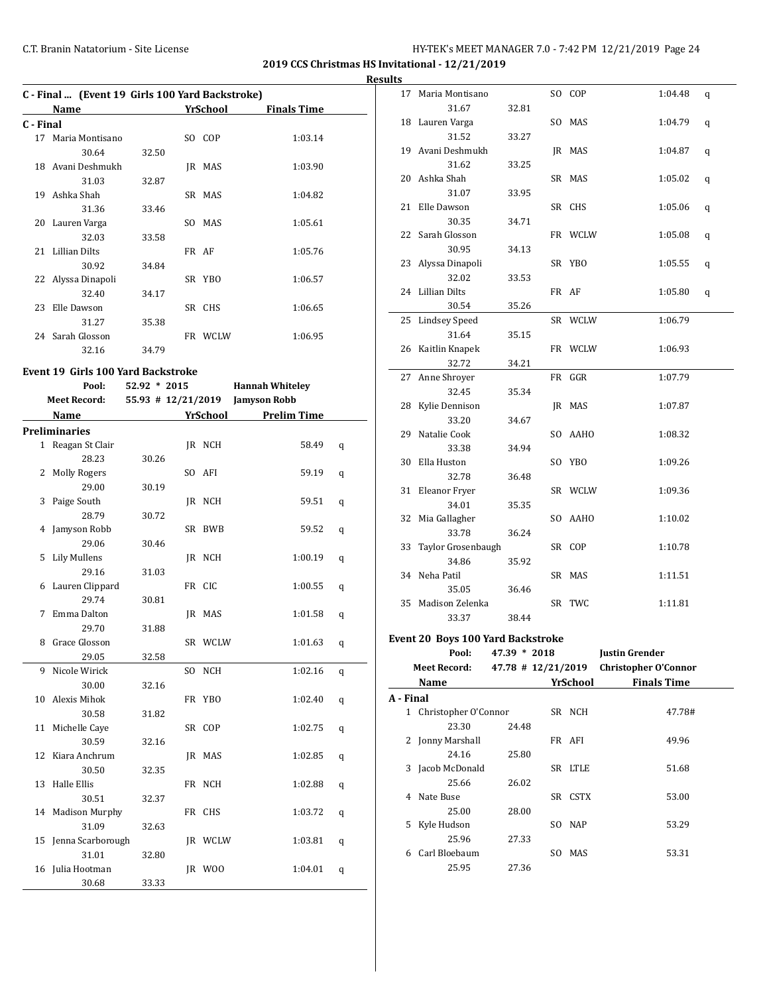**2019 CCS Christmas HS Invitational - 12/21/2019**

**Results**

|           | C - Final  (Event 19 Girls 100 Yard Backstroke) |       |  |         |         |  |  |  |  |
|-----------|-------------------------------------------------|-------|--|---------|---------|--|--|--|--|
|           | YrSchool<br><b>Finals Time</b><br>Name          |       |  |         |         |  |  |  |  |
| C - Final |                                                 |       |  |         |         |  |  |  |  |
|           | 17 Maria Montisano                              |       |  | SO COP  | 1:03.14 |  |  |  |  |
|           | 30.64                                           | 32.50 |  |         |         |  |  |  |  |
|           | 18 Avani Deshmukh                               |       |  | IR MAS  | 1:03.90 |  |  |  |  |
|           | 31.03                                           | 32.87 |  |         |         |  |  |  |  |
|           | 19 Ashka Shah                                   |       |  | SR MAS  | 1:04.82 |  |  |  |  |
|           | 31.36                                           | 33.46 |  |         |         |  |  |  |  |
|           | 20 Lauren Varga                                 |       |  | SO MAS  | 1:05.61 |  |  |  |  |
|           | 32.03                                           | 33.58 |  |         |         |  |  |  |  |
|           | 21 Lillian Dilts                                |       |  | FR AF   | 1:05.76 |  |  |  |  |
|           | 30.92                                           | 34.84 |  |         |         |  |  |  |  |
|           | 22 Alyssa Dinapoli                              |       |  | SR YBO  | 1:06.57 |  |  |  |  |
|           | 32.40                                           | 34.17 |  |         |         |  |  |  |  |
| 23        | Elle Dawson                                     |       |  | SR CHS  | 1:06.65 |  |  |  |  |
|           | 31.27                                           | 35.38 |  |         |         |  |  |  |  |
|           | 24 Sarah Glosson                                |       |  | FR WCLW | 1:06.95 |  |  |  |  |
|           | 32.16                                           | 34.79 |  |         |         |  |  |  |  |

# **Event 19 Girls 100 Yard Backstroke**

|    | Pool:                | 52.92 * 2015       |     |                | <b>Hannah Whiteley</b> |   |
|----|----------------------|--------------------|-----|----------------|------------------------|---|
|    | <b>Meet Record:</b>  | 55.93 # 12/21/2019 |     |                | <b>Jamyson Robb</b>    |   |
|    | Name                 |                    |     | YrSchool       | <b>Prelim Time</b>     |   |
|    | <b>Preliminaries</b> |                    |     |                |                        |   |
|    | 1 Reagan St Clair    |                    |     | IR NCH         | 58.49                  | q |
|    | 28.23                | 30.26              |     |                |                        |   |
| 2  | <b>Molly Rogers</b>  |                    |     | SO AFI         | 59.19                  | q |
|    | 29.00                | 30.19              |     |                |                        |   |
| 3  | Paige South          |                    |     | IR NCH         | 59.51                  | q |
|    | 28.79                | 30.72              |     |                |                        |   |
| 4  | Jamyson Robb         |                    |     | SR BWB         | 59.52                  | q |
|    | 29.06                | 30.46              |     |                |                        |   |
| 5  | Lily Mullens         |                    |     | JR NCH         | 1:00.19                | q |
|    | 29.16                | 31.03              |     |                |                        |   |
| 6  | Lauren Clippard      |                    |     | FR CIC         | 1:00.55                | q |
|    | 29.74                | 30.81              |     |                |                        |   |
| 7  | Emma Dalton          |                    |     | JR MAS         | 1:01.58                | q |
|    | 29.70                | 31.88              |     |                |                        |   |
| 8  | Grace Glosson        |                    |     | SR WCLW        | 1:01.63                | q |
|    | 29.05                | 32.58              |     |                |                        |   |
| 9  | Nicole Wirick        |                    | SO. | <b>NCH</b>     | 1:02.16                | q |
|    | 30.00                | 32.16              |     |                |                        |   |
| 10 | Alexis Mihok         |                    |     | FR YBO         | 1:02.40                | q |
|    | 30.58                | 31.82              |     |                |                        |   |
| 11 | Michelle Caye        |                    |     | SR COP         | 1:02.75                | q |
|    | 30.59                | 32.16              |     |                |                        |   |
| 12 | Kiara Anchrum        |                    |     | JR MAS         | 1:02.85                | q |
|    | 30.50                | 32.35              |     |                |                        |   |
| 13 | Halle Ellis          |                    |     | FR NCH         | 1:02.88                | q |
|    | 30.51                | 32.37              |     |                |                        |   |
|    | 14 Madison Murphy    |                    |     | FR CHS         | 1:03.72                | q |
|    | 31.09                | 32.63              |     |                |                        |   |
|    | 15 Jenna Scarborough |                    |     | <b>IR WCLW</b> | 1:03.81                | q |
|    | 31.01                | 32.80              |     |                |                        |   |
|    | 16 Julia Hootman     |                    |     | JR WOO         | 1:04.01                | q |
|    | 30.68                | 33.33              |     |                |                        |   |

| ,սււչ |    |                                   |                       |  |         |         |   |
|-------|----|-----------------------------------|-----------------------|--|---------|---------|---|
|       | 17 | Maria Montisano                   |                       |  | SO COP  | 1:04.48 | q |
|       |    | 31.67                             | 32.81                 |  |         |         |   |
|       |    | 18 Lauren Varga                   |                       |  | SO MAS  | 1:04.79 | q |
|       |    | 31.52                             | 33.27                 |  |         |         |   |
|       |    | 19 Avani Deshmukh                 |                       |  | JR MAS  | 1:04.87 | q |
|       |    | 31.62                             | 33.25                 |  |         |         |   |
|       |    | 20 Ashka Shah                     |                       |  | SR MAS  | 1:05.02 | q |
|       |    | 31.07                             | 33.95                 |  |         |         |   |
|       | 21 | Elle Dawson                       |                       |  | SR CHS  | 1:05.06 | q |
|       |    | 30.35                             | 34.71                 |  |         |         |   |
|       | 22 | Sarah Glosson                     |                       |  | FR WCLW | 1:05.08 | q |
|       |    | 30.95                             | 34.13                 |  |         |         |   |
|       |    | 23 Alyssa Dinapoli                |                       |  | SR YBO  | 1:05.55 | q |
|       |    | 32.02                             | 33.53                 |  |         |         |   |
|       |    | 24 Lillian Dilts                  |                       |  | FR AF   | 1:05.80 | q |
|       |    | 30.54                             | 35.26                 |  |         |         |   |
|       |    | 25 Lindsey Speed                  |                       |  | SR WCLW | 1:06.79 |   |
|       |    | 31.64                             | 35.15                 |  |         |         |   |
|       |    | 26 Kaitlin Knapek                 |                       |  | FR WCLW | 1:06.93 |   |
|       |    | 32.72                             | 34.21                 |  |         |         |   |
|       |    | 27 Anne Shroyer                   |                       |  | FR GGR  | 1:07.79 |   |
|       |    | 32.45                             | 35.34                 |  |         |         |   |
|       |    | 28 Kylie Dennison                 |                       |  | IR MAS  | 1:07.87 |   |
|       |    | 33.20                             | 34.67                 |  |         |         |   |
|       | 29 | Natalie Cook                      |                       |  | SO AAHO | 1:08.32 |   |
|       |    | 33.38                             | 34.94                 |  |         |         |   |
|       | 30 | Ella Huston                       |                       |  | SO YBO  | 1:09.26 |   |
|       |    | 32.78                             | 36.48                 |  |         |         |   |
|       |    | 31 Eleanor Fryer                  |                       |  | SR WCLW | 1:09.36 |   |
|       |    | 34.01                             | 35.35                 |  |         |         |   |
|       |    | 32 Mia Gallagher                  |                       |  | SO AAHO | 1:10.02 |   |
|       | 33 | 33.78<br>Taylor Grosenbaugh       | 36.24                 |  |         |         |   |
|       |    |                                   |                       |  | SR COP  | 1:10.78 |   |
|       | 34 | 34.86<br>Neha Patil               | 35.92                 |  |         |         |   |
|       |    |                                   |                       |  | SR MAS  | 1:11.51 |   |
|       |    | 35.05<br>35 Madison Zelenka       | 36.46                 |  | SR TWC  | 1:11.81 |   |
|       |    | 33.37                             | 38.44                 |  |         |         |   |
|       |    |                                   |                       |  |         |         |   |
|       |    | Event 20 Boys 100 Yard Backstroke |                       |  |         |         |   |
|       |    | 47.39 * 2018<br>Pool:             | <b>Justin Grender</b> |  |         |         |   |

|           | <b>Meet Record:</b>    | 47.78 # 12/21/2019 |     |          | <b>Christopher O'Connor</b> |
|-----------|------------------------|--------------------|-----|----------|-----------------------------|
|           | Name                   |                    |     | YrSchool | <b>Finals Time</b>          |
| A - Final |                        |                    |     |          |                             |
|           | 1 Christopher O'Connor |                    |     | SR NCH   | 47.78#                      |
|           | 23.30                  | 24.48              |     |          |                             |
|           | 2 Jonny Marshall       |                    |     | FR AFI   | 49.96                       |
|           | 24.16                  | 25.80              |     |          |                             |
|           | 3 Jacob McDonald       |                    |     | SR LTLE  | 51.68                       |
|           | 25.66                  | 26.02              |     |          |                             |
| 4         | Nate Buse              |                    |     | SR CSTX  | 53.00                       |
|           | 25.00                  | 28.00              |     |          |                             |
|           | 5 Kyle Hudson          |                    | SO. | NAP      | 53.29                       |
|           | 25.96                  | 27.33              |     |          |                             |
| 6         | Carl Bloebaum          |                    | SO. | MAS      | 53.31                       |
|           | 25.95                  | 27.36              |     |          |                             |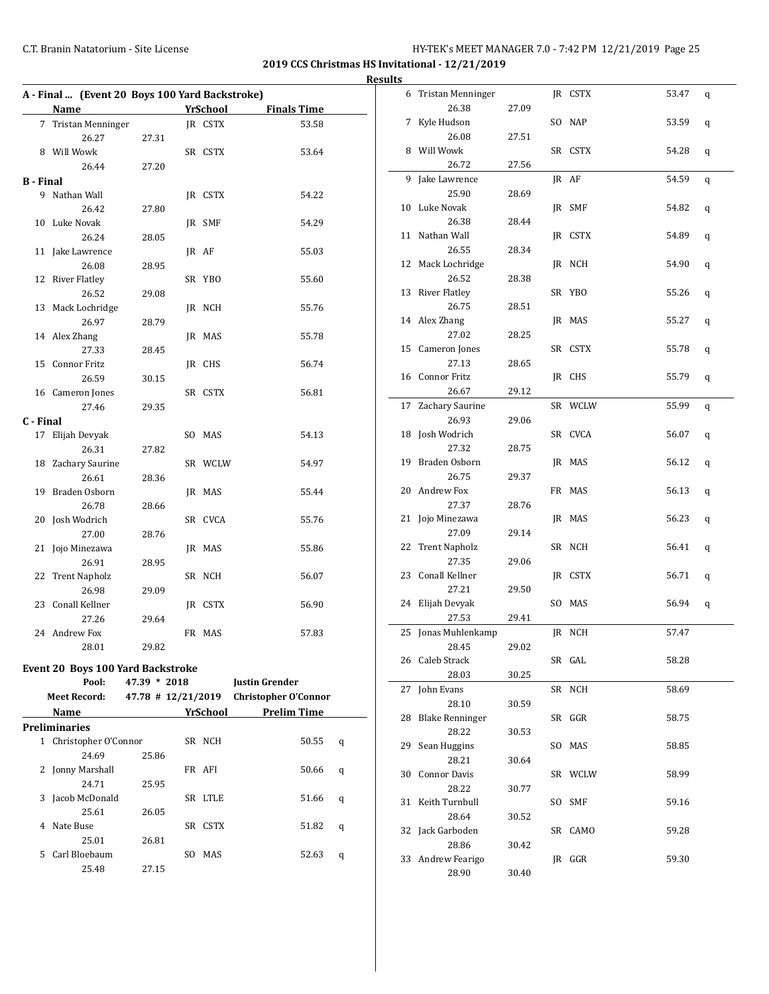**2019 CCS Christmas HS Invitational - 12/21/2019**

|                  | A - Final  (Event 20 Boys 100 Yard Backstroke) |              |                 |                                         |                |
|------------------|------------------------------------------------|--------------|-----------------|-----------------------------------------|----------------|
|                  | Name                                           |              | <b>YrSchool</b> | <b>Finals Time</b>                      |                |
|                  | 7 Tristan Menninger                            |              | JR CSTX         | 53.58                                   |                |
|                  | 26.27                                          | 27.31        |                 |                                         |                |
|                  | 8 Will Wowk                                    |              | SR CSTX         | 53.64                                   |                |
|                  | 26.44                                          | 27.20        |                 |                                         |                |
| <b>B</b> - Final |                                                |              |                 |                                         |                |
|                  | 9 Nathan Wall                                  |              | JR CSTX         | 54.22                                   |                |
|                  | 26.42                                          | 27.80        |                 |                                         | $\mathbf{1}$   |
|                  | 10 Luke Novak                                  |              | JR SMF          | 54.29                                   |                |
|                  | 26.24                                          | 28.05        |                 |                                         | 1              |
|                  | 11 Jake Lawrence                               |              | JR AF           | 55.03                                   |                |
|                  | 26.08                                          | 28.95        |                 |                                         | 1              |
|                  | 12 River Flatley                               |              | SR YBO          | 55.60                                   |                |
|                  | 26.52                                          | 29.08        |                 |                                         | $\overline{1}$ |
|                  | 13 Mack Lochridge                              |              | JR NCH          | 55.76                                   |                |
|                  | 26.97                                          | 28.79        |                 |                                         | 1              |
|                  | 14 Alex Zhang                                  |              | JR MAS          | 55.78                                   |                |
|                  | 27.33                                          | 28.45        |                 |                                         | 1              |
| 15               | Connor Fritz                                   |              | JR CHS          | 56.74                                   |                |
|                  | 26.59                                          | 30.15        |                 |                                         | 1              |
|                  | 16 Cameron Jones                               |              | SR CSTX         | 56.81                                   |                |
|                  | 27.46                                          | 29.35        |                 |                                         | $\mathbf{1}$   |
| C - Final        |                                                |              |                 |                                         |                |
|                  | 17 Elijah Devyak                               |              | SO MAS          | 54.13                                   | 1              |
|                  | 26.31                                          | 27.82        |                 |                                         |                |
|                  | 18 Zachary Saurine                             |              | SR WCLW         | 54.97                                   | 1              |
|                  | 26.61                                          | 28.36        |                 |                                         |                |
| 19               | Braden Osborn                                  |              | JR MAS          | 55.44                                   | $\overline{c}$ |
|                  | 26.78                                          | 28.66        |                 |                                         |                |
|                  | 20 Josh Wodrich                                |              | SR CVCA         | 55.76                                   | 2              |
|                  | 27.00                                          | 28.76        |                 |                                         |                |
|                  | 21 Jojo Minezawa                               |              | JR MAS          | 55.86                                   | 2              |
|                  | 26.91                                          | 28.95        |                 |                                         |                |
| 22               | <b>Trent Napholz</b>                           |              | SR NCH          | 56.07                                   | 2              |
|                  | 26.98                                          | 29.09        |                 |                                         |                |
|                  | 23 Conall Kellner                              |              | JR CSTX         | 56.90                                   | $\overline{c}$ |
|                  | 27.26                                          | 29.64        |                 |                                         |                |
|                  | 24 Andrew Fox                                  |              | FR MAS          | 57.83                                   | $\overline{c}$ |
|                  | 28.01                                          | 29.82        |                 |                                         |                |
|                  | <b>Event 20 Boys 100 Yard Backstroke</b>       |              |                 |                                         | $\overline{c}$ |
|                  | Pool:                                          | 47.39 * 2018 |                 | <b>Justin Grender</b>                   |                |
|                  | Meet Record:                                   |              |                 | 47.78 # 12/21/2019 Christopher O'Connor | $\overline{c}$ |

|  |  |  | Event 20 Boys 100 Yard Backstroke |  |
|--|--|--|-----------------------------------|--|
|--|--|--|-----------------------------------|--|

|   |    | Pool:                | $47.39 * 2018$       |     |             | <b>Justin Grender</b>       |   |
|---|----|----------------------|----------------------|-----|-------------|-----------------------------|---|
|   |    | <b>Meet Record:</b>  | $47.78$ # 12/21/2019 |     |             | <b>Christopher O'Connor</b> |   |
|   |    | Name                 |                      |     | YrSchool    | <b>Prelim Time</b>          |   |
|   |    | Preliminaries        |                      |     |             |                             |   |
|   | 1  | Christopher O'Connor |                      |     | SR NCH      | 50.55                       | q |
|   |    | 24.69                | 25.86                |     |             |                             |   |
|   | 2  | Jonny Marshall       |                      |     | FR AFI      | 50.66                       | q |
|   |    | 24.71                | 25.95                |     |             |                             |   |
| 3 |    | Jacob McDonald       |                      | SR  | <b>LTLE</b> | 51.66                       | q |
|   |    | 25.61                | 26.05                |     |             |                             |   |
| 4 |    | Nate Buse            |                      | SR  | <b>CSTX</b> | 51.82                       | q |
|   |    | 25.01                | 26.81                |     |             |                             |   |
|   | 5. | Carl Bloebaum        |                      | SO. | MAS         | 52.63                       | q |
|   |    | 25.48                | 27.15                |     |             |                             |   |
|   |    |                      |                      |     |             |                             |   |

| 6  | <b>Tristan Menninger</b> |       |     | JR CSTX | 53.47 | q |
|----|--------------------------|-------|-----|---------|-------|---|
|    | 26.38                    | 27.09 |     |         |       |   |
| 7  | Kyle Hudson              |       |     | SO NAP  | 53.59 | q |
|    | 26.08                    | 27.51 |     |         |       |   |
| 8  | Will Wowk                |       |     | SR CSTX | 54.28 | q |
|    | 26.72                    | 27.56 |     |         |       |   |
| 9  | Jake Lawrence            |       |     | JR AF   | 54.59 | q |
|    | 25.90                    | 28.69 |     |         |       |   |
|    | 10 Luke Novak            |       |     | JR SMF  | 54.82 | q |
|    | 26.38                    | 28.44 |     |         |       |   |
|    | 11 Nathan Wall           |       |     | JR CSTX | 54.89 | q |
|    | 26.55                    | 28.34 |     |         |       |   |
|    | 12 Mack Lochridge        |       |     | JR NCH  | 54.90 | q |
|    | 26.52                    | 28.38 |     |         |       |   |
|    | 13 River Flatley         |       |     | SR YBO  | 55.26 |   |
|    | 26.75                    | 28.51 |     |         |       | q |
|    | 14 Alex Zhang            |       |     | JR MAS  | 55.27 |   |
|    |                          |       |     |         |       | q |
|    | 27.02                    | 28.25 |     |         |       |   |
|    | 15 Cameron Jones         |       |     | SR CSTX | 55.78 | q |
|    | 27.13                    | 28.65 |     |         |       |   |
|    | 16 Connor Fritz          |       |     | IR CHS  | 55.79 | q |
|    | 26.67                    | 29.12 |     |         |       |   |
| 17 | Zachary Saurine          |       |     | SR WCLW | 55.99 | q |
|    | 26.93                    | 29.06 |     |         |       |   |
|    | 18 Josh Wodrich          |       |     | SR CVCA | 56.07 | q |
|    | 27.32                    | 28.75 |     |         |       |   |
|    | 19 Braden Osborn         |       |     | JR MAS  | 56.12 | q |
|    | 26.75                    | 29.37 |     |         |       |   |
|    | 20 Andrew Fox            |       |     | FR MAS  | 56.13 | q |
|    | 27.37                    | 28.76 |     |         |       |   |
| 21 | Jojo Minezawa            |       |     | JR MAS  | 56.23 | q |
|    | 27.09                    | 29.14 |     |         |       |   |
| 22 | <b>Trent Napholz</b>     |       |     | SR NCH  | 56.41 | q |
|    | 27.35                    | 29.06 |     |         |       |   |
|    | 23 Conall Kellner        |       |     | JR CSTX | 56.71 | q |
|    | 27.21                    | 29.50 |     |         |       |   |
| 24 | Elijah Devyak            |       |     | SO MAS  | 56.94 | q |
|    | 27.53                    | 29.41 |     |         |       |   |
| 25 | Jonas Muhlenkamp         |       |     | JR NCH  | 57.47 |   |
|    | 28.45                    | 29.02 |     |         |       |   |
| 26 | Caleb Strack             |       |     | SR GAL  | 58.28 |   |
|    | 28.03                    | 30.25 |     |         |       |   |
| 27 | John Evans               |       |     | SR NCH  | 58.69 |   |
|    | 28.10                    | 30.59 |     |         |       |   |
| 28 | <b>Blake Renninger</b>   |       |     | SR GGR  | 58.75 |   |
|    | 28.22                    | 30.53 |     |         |       |   |
| 29 | Sean Huggins             |       |     | SO MAS  | 58.85 |   |
|    | 28.21                    | 30.64 |     |         |       |   |
| 30 | <b>Connor Davis</b>      |       |     | SR WCLW | 58.99 |   |
|    |                          |       |     |         |       |   |
|    | 28.22<br>Keith Turnbull  | 30.77 |     |         |       |   |
| 31 |                          |       | SO. | SMF     | 59.16 |   |
|    | 28.64                    | 30.52 |     |         |       |   |
| 32 | Jack Garboden            |       |     | SR CAMO | 59.28 |   |
|    | 28.86                    | 30.42 |     |         |       |   |
|    | 33 Andrew Fearigo        |       |     | JR GGR  | 59.30 |   |
|    | 28.90                    | 30.40 |     |         |       |   |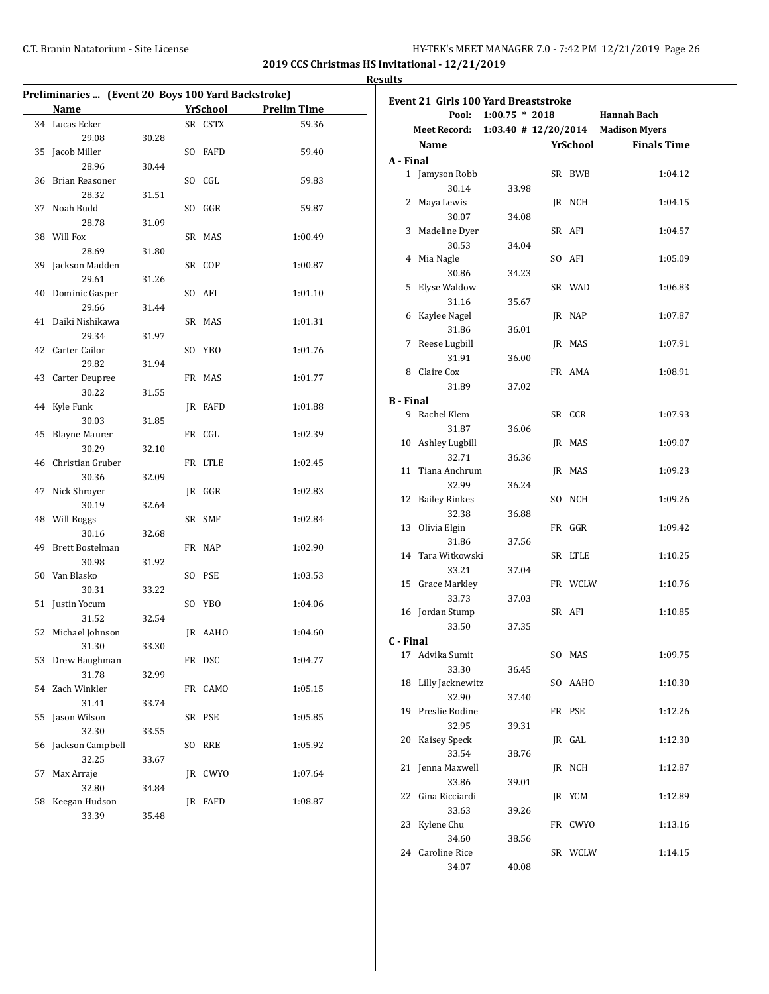**2019 CCS Christmas HS Invitational - 12/21/2019 Results**

| Preliminaries  (Event 20 Boys 100 Yard Backstroke) |                                                                                                                                                                                                                                |       |    |                 |                    |  |
|----------------------------------------------------|--------------------------------------------------------------------------------------------------------------------------------------------------------------------------------------------------------------------------------|-------|----|-----------------|--------------------|--|
|                                                    | Name and the state of the state of the state of the state of the state of the state of the state of the state of the state of the state of the state of the state of the state of the state of the state of the state of the s |       |    | <b>YrSchool</b> | <b>Prelim Time</b> |  |
|                                                    | 34 Lucas Ecker                                                                                                                                                                                                                 |       |    | SR CSTX         | 59.36              |  |
|                                                    | 29.08                                                                                                                                                                                                                          | 30.28 |    |                 |                    |  |
| 35                                                 | Jacob Miller                                                                                                                                                                                                                   |       |    | SO FAFD         | 59.40              |  |
|                                                    | 28.96                                                                                                                                                                                                                          | 30.44 |    |                 |                    |  |
|                                                    | 36 Brian Reasoner                                                                                                                                                                                                              |       |    | SO CGL          | 59.83              |  |
|                                                    | 28.32                                                                                                                                                                                                                          | 31.51 |    |                 |                    |  |
|                                                    | 37 Noah Budd                                                                                                                                                                                                                   |       |    | SO GGR          | 59.87              |  |
|                                                    | 28.78                                                                                                                                                                                                                          | 31.09 |    |                 |                    |  |
|                                                    | 38 Will Fox                                                                                                                                                                                                                    |       |    | SR MAS          | 1:00.49            |  |
|                                                    | 28.69                                                                                                                                                                                                                          | 31.80 |    |                 |                    |  |
|                                                    | 39 Jackson Madden                                                                                                                                                                                                              |       |    | SR COP          | 1:00.87            |  |
|                                                    | 29.61                                                                                                                                                                                                                          | 31.26 |    |                 |                    |  |
|                                                    | 40 Dominic Gasper                                                                                                                                                                                                              |       |    | SO AFI          | 1:01.10            |  |
|                                                    | 29.66                                                                                                                                                                                                                          | 31.44 |    |                 |                    |  |
|                                                    | 41 Daiki Nishikawa                                                                                                                                                                                                             |       |    | SR MAS          | 1:01.31            |  |
|                                                    | 29.34                                                                                                                                                                                                                          | 31.97 |    |                 |                    |  |
|                                                    | 42 Carter Cailor                                                                                                                                                                                                               |       |    | SO YBO          | 1:01.76            |  |
|                                                    | 29.82                                                                                                                                                                                                                          | 31.94 |    |                 |                    |  |
|                                                    | 43 Carter Deupree                                                                                                                                                                                                              |       |    | FR MAS          | 1:01.77            |  |
|                                                    | 30.22                                                                                                                                                                                                                          | 31.55 |    |                 |                    |  |
|                                                    | 44 Kyle Funk                                                                                                                                                                                                                   |       |    | JR FAFD         | 1:01.88            |  |
|                                                    | 30.03                                                                                                                                                                                                                          | 31.85 |    |                 |                    |  |
|                                                    | 45 Blayne Maurer                                                                                                                                                                                                               |       |    | FR CGL          | 1:02.39            |  |
|                                                    | 30.29                                                                                                                                                                                                                          | 32.10 |    |                 |                    |  |
|                                                    | 46 Christian Gruber                                                                                                                                                                                                            |       |    | FR LTLE         | 1:02.45            |  |
|                                                    | 30.36                                                                                                                                                                                                                          | 32.09 |    |                 |                    |  |
|                                                    | 47 Nick Shroyer                                                                                                                                                                                                                |       |    | JR GGR          | 1:02.83            |  |
|                                                    | 30.19                                                                                                                                                                                                                          | 32.64 |    |                 |                    |  |
|                                                    | 48 Will Boggs                                                                                                                                                                                                                  |       |    | SR SMF          | 1:02.84            |  |
|                                                    | 30.16                                                                                                                                                                                                                          | 32.68 |    |                 |                    |  |
|                                                    | 49 Brett Bostelman                                                                                                                                                                                                             |       |    | FR NAP          | 1:02.90            |  |
|                                                    | 30.98                                                                                                                                                                                                                          | 31.92 |    |                 |                    |  |
|                                                    | 50 Van Blasko                                                                                                                                                                                                                  |       |    | SO PSE          | 1:03.53            |  |
|                                                    | 30.31                                                                                                                                                                                                                          | 33.22 |    |                 |                    |  |
|                                                    | 51 Justin Yocum                                                                                                                                                                                                                |       |    | SO YBO          | 1:04.06            |  |
|                                                    | 31.52                                                                                                                                                                                                                          | 32.54 |    |                 |                    |  |
|                                                    | 52 Michael Johnson                                                                                                                                                                                                             |       |    | JR AAHO         | 1:04.60            |  |
|                                                    | 31.30                                                                                                                                                                                                                          | 33.30 |    |                 |                    |  |
|                                                    | 53 Drew Baughman                                                                                                                                                                                                               |       |    | FR DSC          | 1:04.77            |  |
|                                                    | 31.78                                                                                                                                                                                                                          | 32.99 |    |                 |                    |  |
| 54                                                 | Zach Winkler                                                                                                                                                                                                                   |       |    | FR CAMO         | 1:05.15            |  |
|                                                    | 31.41                                                                                                                                                                                                                          | 33.74 |    |                 |                    |  |
| 55                                                 | Jason Wilson                                                                                                                                                                                                                   |       |    | SR PSE          | 1:05.85            |  |
|                                                    | 32.30                                                                                                                                                                                                                          | 33.55 |    |                 |                    |  |
| 56                                                 | Jackson Campbell                                                                                                                                                                                                               |       | SO | RRE             | 1:05.92            |  |
|                                                    | 32.25                                                                                                                                                                                                                          | 33.67 |    |                 |                    |  |
| 57                                                 | Max Arraje                                                                                                                                                                                                                     |       |    | JR CWYO         | 1:07.64            |  |
|                                                    | 32.80                                                                                                                                                                                                                          | 34.84 |    |                 |                    |  |
| 58                                                 | Keegan Hudson                                                                                                                                                                                                                  |       |    | JR FAFD         | 1:08.87            |  |
|                                                    | 33.39                                                                                                                                                                                                                          | 35.48 |    |                 |                    |  |

| <b>Event 21 Girls 100 Yard Breaststroke</b> |                     |                      |  |         |                                                 |  |
|---------------------------------------------|---------------------|----------------------|--|---------|-------------------------------------------------|--|
|                                             |                     | Pool: 1:00.75 * 2018 |  |         | Hannah Bach                                     |  |
|                                             |                     |                      |  |         | Meet Record: 1:03.40 # 12/20/2014 Madison Myers |  |
|                                             |                     |                      |  |         | Name <b>YrSchool</b> Finals Time                |  |
| A - Final                                   |                     |                      |  |         |                                                 |  |
|                                             | 1 Jamyson Robb      |                      |  | SR BWB  | 1:04.12                                         |  |
|                                             | 30.14               | 33.98                |  |         |                                                 |  |
|                                             | 2 Maya Lewis        |                      |  | JR NCH  | 1:04.15                                         |  |
|                                             | 30.07               | 34.08                |  |         |                                                 |  |
|                                             | 3 Madeline Dyer     |                      |  | SR AFI  | 1:04.57                                         |  |
|                                             | 30.53               | 34.04                |  |         |                                                 |  |
|                                             | 4 Mia Nagle         |                      |  | SO AFI  | 1:05.09                                         |  |
|                                             | 30.86               | 34.23                |  |         |                                                 |  |
|                                             | 5 Elyse Waldow      |                      |  | SR WAD  | 1:06.83                                         |  |
|                                             | 31.16               | 35.67                |  |         |                                                 |  |
|                                             | 6 Kaylee Nagel      |                      |  | JR NAP  | 1:07.87                                         |  |
|                                             | 31.86               | 36.01                |  |         |                                                 |  |
|                                             | 7 Reese Lugbill     |                      |  | JR MAS  | 1:07.91                                         |  |
|                                             | 31.91               | 36.00                |  |         |                                                 |  |
|                                             | 8 Claire Cox        |                      |  | FR AMA  | 1:08.91                                         |  |
|                                             | 31.89               | 37.02                |  |         |                                                 |  |
| <b>B</b> - Final                            |                     |                      |  |         |                                                 |  |
|                                             | 9 Rachel Klem       |                      |  | SR CCR  | 1:07.93                                         |  |
|                                             | 31.87               | 36.06                |  |         |                                                 |  |
|                                             | 10 Ashley Lugbill   |                      |  | JR MAS  | 1:09.07                                         |  |
|                                             | 32.71               | 36.36                |  |         |                                                 |  |
|                                             | 11 Tiana Anchrum    |                      |  | JR MAS  | 1:09.23                                         |  |
|                                             | 32.99               | 36.24                |  |         |                                                 |  |
|                                             | 12 Bailey Rinkes    |                      |  | SO NCH  | 1:09.26                                         |  |
|                                             | 32.38               | 36.88                |  |         |                                                 |  |
|                                             | 13 Olivia Elgin     |                      |  | FR GGR  | 1:09.42                                         |  |
|                                             | 31.86               | 37.56                |  |         |                                                 |  |
|                                             | 14 Tara Witkowski   |                      |  | SR LTLE | 1:10.25                                         |  |
|                                             | 33.21               | 37.04                |  |         |                                                 |  |
|                                             | 15 Grace Markley    |                      |  | FR WCLW | 1:10.76                                         |  |
|                                             | 33.73               | 37.03                |  |         |                                                 |  |
|                                             | 16 Jordan Stump     |                      |  | SR AFI  | 1:10.85                                         |  |
|                                             | 33.50               | 37.35                |  |         |                                                 |  |
| C - Final                                   |                     |                      |  |         |                                                 |  |
|                                             | 17 Advika Sumit     |                      |  | SO MAS  | 1:09.75                                         |  |
|                                             | 33.30               | 36.45                |  |         |                                                 |  |
|                                             | 18 Lilly Jacknewitz |                      |  | SO AAHO | 1:10.30                                         |  |
|                                             | 32.90               | 37.40                |  |         |                                                 |  |
|                                             | 19 Preslie Bodine   |                      |  | FR PSE  | 1:12.26                                         |  |
|                                             | 32.95               | 39.31                |  |         |                                                 |  |
| 20                                          | Kaisey Speck        |                      |  | JR GAL  | 1:12.30                                         |  |
|                                             | 33.54               | 38.76                |  |         |                                                 |  |
| 21                                          | Jenna Maxwell       |                      |  | JR NCH  | 1:12.87                                         |  |
|                                             | 33.86               | 39.01                |  |         |                                                 |  |
| 22                                          | Gina Ricciardi      |                      |  | JR YCM  | 1:12.89                                         |  |
|                                             | 33.63               | 39.26                |  |         |                                                 |  |
| 23                                          | Kylene Chu          |                      |  | FR CWYO | 1:13.16                                         |  |
|                                             | 34.60               | 38.56                |  |         |                                                 |  |
| 24                                          | Caroline Rice       |                      |  | SR WCLW | 1:14.15                                         |  |
|                                             | 34.07               | 40.08                |  |         |                                                 |  |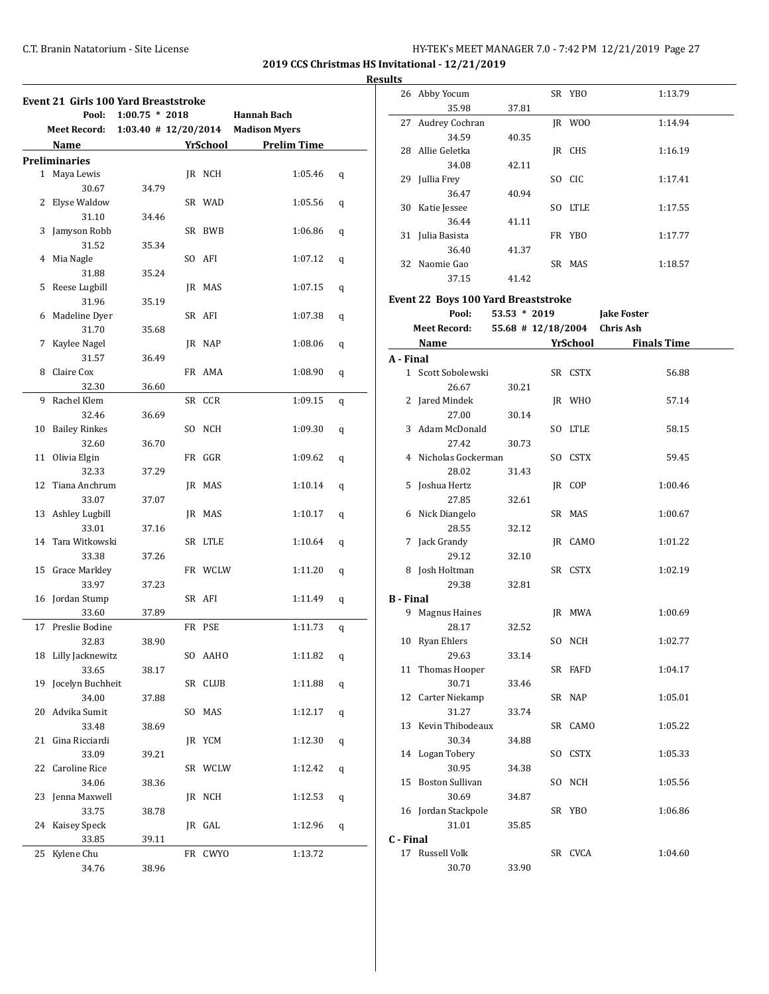| Results |  |
|---------|--|
|         |  |

| <b>Event 21 Girls 100 Yard Breaststroke</b> |                      |                  |    |             |                                       |   |
|---------------------------------------------|----------------------|------------------|----|-------------|---------------------------------------|---|
|                                             | Pool:                | $1:00.75 * 2018$ |    |             | Hannah Bach                           |   |
|                                             | <b>Meet Record:</b>  |                  |    |             | 1:03.40 $\#$ 12/20/2014 Madison Myers |   |
|                                             | Name                 |                  |    | YrSchool    | <b>Prelim Time</b>                    |   |
|                                             | <b>Preliminaries</b> |                  |    |             |                                       |   |
|                                             | 1 Maya Lewis         |                  |    | IR NCH      | 1:05.46                               | q |
|                                             | 30.67                | 34.79            |    |             |                                       |   |
| 2                                           | Elyse Waldow         |                  |    | SR WAD      | 1:05.56                               | q |
|                                             | 31.10                | 34.46            |    |             |                                       |   |
| 3                                           | Jamyson Robb         |                  |    | SR BWB      | 1:06.86                               | q |
|                                             | 31.52                | 35.34            |    |             |                                       |   |
| 4                                           | Mia Nagle            |                  |    | SO AFI      | 1:07.12                               | q |
|                                             | 31.88                | 35.24            |    |             |                                       |   |
| 5                                           | Reese Lugbill        |                  |    | JR MAS      | 1:07.15                               | q |
|                                             | 31.96                | 35.19            |    |             |                                       |   |
| 6                                           | Madeline Dyer        |                  |    | SR AFI      | 1:07.38                               | q |
|                                             | 31.70                | 35.68            |    |             |                                       |   |
| 7                                           | Kaylee Nagel         |                  |    | JR NAP      | 1:08.06                               | q |
|                                             | 31.57                | 36.49            |    |             |                                       |   |
| 8                                           | Claire Cox           |                  |    | FR AMA      | 1:08.90                               | q |
|                                             | 32.30                | 36.60            |    |             |                                       |   |
| 9                                           | Rachel Klem          |                  |    | SR CCR      | 1:09.15                               | q |
|                                             | 32.46                | 36.69            |    |             |                                       |   |
| 10                                          | <b>Bailey Rinkes</b> |                  |    | SO NCH      | 1:09.30                               | q |
|                                             | 32.60                | 36.70            |    |             |                                       |   |
|                                             | 11 Olivia Elgin      |                  |    | FR GGR      | 1:09.62                               | q |
|                                             | 32.33                | 37.29            |    |             |                                       |   |
|                                             | 12 Tiana Anchrum     |                  |    | JR MAS      | 1:10.14                               | q |
|                                             | 33.07                | 37.07            |    |             |                                       |   |
|                                             | 13 Ashley Lugbill    |                  |    | JR MAS      | 1:10.17                               | q |
|                                             | 33.01                | 37.16            |    |             |                                       |   |
|                                             | 14 Tara Witkowski    |                  |    | SR LTLE     | 1:10.64                               | q |
|                                             | 33.38                | 37.26            |    |             |                                       |   |
|                                             | 15 Grace Markley     |                  |    | FR WCLW     | 1:11.20                               | q |
|                                             | 33.97                | 37.23            |    |             |                                       |   |
|                                             | 16 Jordan Stump      |                  |    | SR AFI      | 1:11.49                               | q |
|                                             | 33.60                | 37.89            |    |             |                                       |   |
| 17                                          | Preslie Bodine       |                  |    | FR PSE      | 1:11.73                               | q |
|                                             | 32.83                | 38.90            |    |             |                                       |   |
|                                             | 18 Lilly Jacknewitz  |                  |    | SO AAHO     | 1:11.82                               | q |
|                                             | 33.65                | 38.17            |    |             |                                       |   |
| 19                                          | Jocelyn Buchheit     |                  |    | SR CLUB     | 1:11.88                               | q |
|                                             | 34.00                | 37.88            |    |             |                                       |   |
| 20                                          | Advika Sumit         |                  | SO | MAS         | 1:12.17                               | q |
|                                             | 33.48                | 38.69            |    |             |                                       |   |
| 21                                          | Gina Ricciardi       |                  |    | JR YCM      | 1:12.30                               | q |
|                                             | 33.09                | 39.21            |    |             |                                       |   |
| 22                                          | Caroline Rice        |                  |    | SR WCLW     | 1:12.42                               | q |
|                                             | 34.06                | 38.36            |    |             |                                       |   |
| 23                                          | Jenna Maxwell        |                  |    | JR NCH      | 1:12.53                               | q |
|                                             | 33.75                | 38.78            |    |             |                                       |   |
| 24                                          | Kaisey Speck         |                  |    | JR GAL      | 1:12.96                               | q |
|                                             | 33.85                | 39.11            |    |             |                                       |   |
| 25                                          | Kylene Chu           |                  | FR | <b>CWYO</b> | 1:13.72                               |   |
|                                             | 34.76                | 38.96            |    |             |                                       |   |

|                  | 26 Abby Yocum                       |                      | SR YBO  | 1:13.79                        |  |
|------------------|-------------------------------------|----------------------|---------|--------------------------------|--|
|                  | 35.98                               | 37.81                |         |                                |  |
| 27               | Audrey Cochran                      |                      | JR WOO  | 1:14.94                        |  |
|                  | 34.59                               | 40.35                |         |                                |  |
|                  | 28 Allie Geletka                    |                      | JR CHS  | 1:16.19                        |  |
|                  | 34.08                               | 42.11                |         |                                |  |
|                  | 29 Jullia Frey                      |                      | SO CIC  | 1:17.41                        |  |
|                  | 36.47                               | 40.94                |         |                                |  |
|                  | 30 Katie Jessee                     |                      | SO LTLE | 1:17.55                        |  |
|                  | 36.44                               | 41.11                |         |                                |  |
|                  |                                     |                      |         | 1:17.77                        |  |
|                  | 31 Julia Basista                    |                      | FR YBO  |                                |  |
|                  | 36.40                               | 41.37                |         |                                |  |
|                  | 32 Naomie Gao                       |                      | SR MAS  | 1:18.57                        |  |
|                  | 37.15                               | 41.42                |         |                                |  |
|                  | Event 22 Boys 100 Yard Breaststroke |                      |         |                                |  |
|                  | Pool:                               | $53.53 * 2019$       |         | <b>Jake Foster</b>             |  |
|                  | <b>Meet Record:</b>                 | $55.68$ # 12/18/2004 |         | <b>Chris Ash</b>               |  |
|                  | Name                                |                      |         | YrSchool<br><b>Finals Time</b> |  |
| A - Final        |                                     |                      |         |                                |  |
|                  | 1 Scott Sobolewski                  |                      | SR CSTX | 56.88                          |  |
|                  |                                     |                      |         |                                |  |
|                  | 26.67                               | 30.21                |         |                                |  |
|                  | 2 Jared Mindek                      |                      | IR WHO  | 57.14                          |  |
|                  | 27.00                               | 30.14                |         |                                |  |
| 3                | Adam McDonald                       |                      | SO LTLE | 58.15                          |  |
|                  | 27.42                               | 30.73                |         |                                |  |
|                  | 4 Nicholas Gockerman                |                      | SO CSTX | 59.45                          |  |
|                  | 28.02                               | 31.43                |         |                                |  |
|                  | 5 Joshua Hertz                      |                      | JR COP  | 1:00.46                        |  |
|                  | 27.85                               | 32.61                |         |                                |  |
|                  | 6 Nick Diangelo                     |                      | SR MAS  | 1:00.67                        |  |
|                  | 28.55                               | 32.12                |         |                                |  |
| 7                | Jack Grandy                         |                      | JR CAMO | 1:01.22                        |  |
|                  | 29.12                               | 32.10                |         |                                |  |
|                  | 8 Josh Holtman                      |                      | SR CSTX | 1:02.19                        |  |
|                  | 29.38                               | 32.81                |         |                                |  |
| <b>B</b> - Final |                                     |                      |         |                                |  |
|                  | 9 Magnus Haines                     |                      | JR MWA  | 1:00.69                        |  |
|                  | 28.17                               | 32.52                |         |                                |  |
|                  | 10 Ryan Ehlers                      |                      | SO NCH  | 1:02.77                        |  |
|                  | 29.63                               | 33.14                |         |                                |  |
|                  | 11 Thomas Hooper                    |                      | SR FAFD | 1:04.17                        |  |
|                  | 30.71                               | 33.46                |         |                                |  |
|                  | 12 Carter Niekamp                   |                      | SR NAP  | 1:05.01                        |  |
|                  | 31.27                               | 33.74                |         |                                |  |
|                  | 13 Kevin Thibodeaux                 |                      | SR CAMO | 1:05.22                        |  |
|                  | 30.34                               | 34.88                |         |                                |  |
|                  | 14 Logan Tobery                     |                      | SO CSTX | 1:05.33                        |  |
|                  | 30.95                               | 34.38                |         |                                |  |
| 15               | <b>Boston Sullivan</b>              |                      | SO NCH  | 1:05.56                        |  |
|                  | 30.69                               |                      |         |                                |  |
|                  |                                     | 34.87                |         |                                |  |
|                  | 16 Jordan Stackpole                 |                      | SR YBO  | 1:06.86                        |  |
|                  | 31.01                               | 35.85                |         |                                |  |
| C - Final        |                                     |                      |         |                                |  |
| 17               | Russell Volk                        |                      | SR CVCA | 1:04.60                        |  |
|                  | 30.70                               | 33.90                |         |                                |  |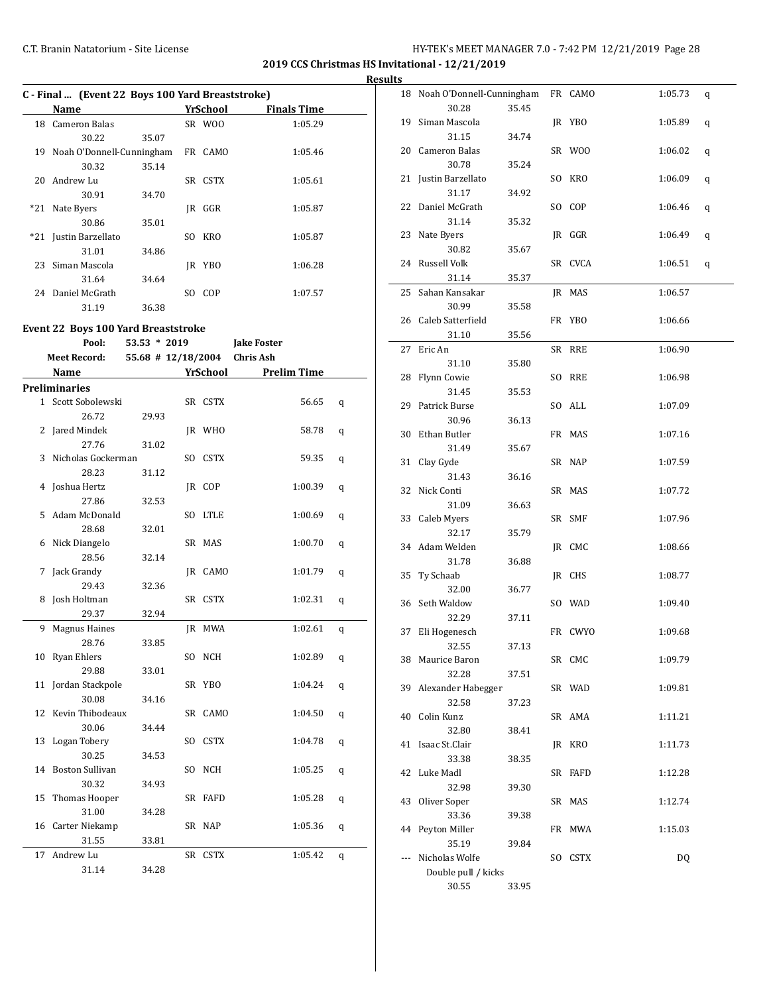**2019 CCS Christmas HS Invitational - 12/21/2019**

**Results**

|     | C - Final  (Event 22 Boys 100 Yard Breaststroke) |       |     |            |             |  |  |
|-----|--------------------------------------------------|-------|-----|------------|-------------|--|--|
|     | Name                                             |       |     | YrSchool   | Finals Time |  |  |
|     | 18 Cameron Balas                                 |       |     | SR WOO     | 1:05.29     |  |  |
|     | 30.22                                            | 35.07 |     |            |             |  |  |
| 19  | Noah O'Donnell-Cunningham                        |       |     | FR CAMO    | 1:05.46     |  |  |
|     | 30.32                                            | 35.14 |     |            |             |  |  |
| 20  | Andrew Lu                                        |       |     | SR CSTX    | 1:05.61     |  |  |
|     | 30.91                                            | 34.70 |     |            |             |  |  |
| *21 | Nate Byers                                       |       | IR  | GGR        | 1:05.87     |  |  |
|     | 30.86                                            | 35.01 |     |            |             |  |  |
|     | *21 Justin Barzellato                            |       | SO. | <b>KRO</b> | 1:05.87     |  |  |
|     | 31.01                                            | 34.86 |     |            |             |  |  |
| 23  | Siman Mascola                                    |       | IR  | YBO        | 1:06.28     |  |  |
|     | 31.64                                            | 34.64 |     |            |             |  |  |
|     | 24 Daniel McGrath                                |       | SO. | COP        | 1:07.57     |  |  |
|     | 31.19                                            | 36.38 |     |            |             |  |  |

### **Event 22 Boys 100 Yard Breaststroke**

|    | Pool:                | $53.53 * 2019$       |     |            | <b>Jake Foster</b> |   |
|----|----------------------|----------------------|-----|------------|--------------------|---|
|    | <b>Meet Record:</b>  | $55.68$ # 12/18/2004 |     |            | <b>Chris Ash</b>   |   |
|    | Name                 |                      |     | YrSchool   | <b>Prelim Time</b> |   |
|    | <b>Preliminaries</b> |                      |     |            |                    |   |
|    | 1 Scott Sobolewski   |                      |     | SR CSTX    | 56.65              | q |
|    | 26.72                | 29.93                |     |            |                    |   |
| 2  | Jared Mindek         |                      |     | JR WHO     | 58.78              | q |
|    | 27.76                | 31.02                |     |            |                    |   |
| 3  | Nicholas Gockerman   |                      |     | SO CSTX    | 59.35              | q |
|    | 28.23                | 31.12                |     |            |                    |   |
|    | 4 Joshua Hertz       |                      |     | JR COP     | 1:00.39            | q |
|    | 27.86                | 32.53                |     |            |                    |   |
| 5. | Adam McDonald        |                      |     | SO LTLE    | 1:00.69            | q |
|    | 28.68                | 32.01                |     |            |                    |   |
|    | 6 Nick Diangelo      |                      |     | SR MAS     | 1:00.70            | q |
|    | 28.56                | 32.14                |     |            |                    |   |
| 7  | Jack Grandy          |                      | IR  | CAMO       | 1:01.79            | q |
|    | 29.43                | 32.36                |     |            |                    |   |
| 8  | Josh Holtman         |                      |     | SR CSTX    | 1:02.31            | q |
|    | 29.37                | 32.94                |     |            |                    |   |
| 9  | <b>Magnus Haines</b> |                      |     | IR MWA     | 1:02.61            | q |
|    | 28.76                | 33.85                |     |            |                    |   |
| 10 | <b>Ryan Ehlers</b>   |                      |     | SO NCH     | 1:02.89            | q |
|    | 29.88                | 33.01                |     |            |                    |   |
|    | 11 Jordan Stackpole  |                      |     | SR YBO     | 1:04.24            | q |
|    | 30.08                | 34.16                |     |            |                    |   |
|    | 12 Kevin Thibodeaux  |                      |     | SR CAMO    | 1:04.50            | q |
|    | 30.06                | 34.44                |     |            |                    |   |
|    | 13 Logan Tobery      |                      | SO. | CSTX       | 1:04.78            | q |
|    | 30.25                | 34.53                |     |            |                    |   |
|    | 14 Boston Sullivan   |                      | SO  | <b>NCH</b> | 1:05.25            | q |
|    | 30.32                | 34.93                |     |            |                    |   |
| 15 | Thomas Hooper        |                      |     | SR FAFD    | 1:05.28            | q |
|    | 31.00                | 34.28                |     |            |                    |   |
|    | 16 Carter Niekamp    |                      |     | SR NAP     | 1:05.36            | q |
|    | 31.55                | 33.81                |     |            |                    |   |
| 17 | Andrew Lu            |                      |     | SR CSTX    | 1:05.42            | q |
|    | 31.14                | 34.28                |     |            |                    |   |

|     | 18 Noah O'Donnell-Cunningham |       | FR CAMO | 1:05.73 | q       |
|-----|------------------------------|-------|---------|---------|---------|
|     | 30.28                        | 35.45 |         |         |         |
| 19  | Siman Mascola                |       | JR YBO  | 1:05.89 | q       |
|     | 31.15                        | 34.74 |         |         |         |
|     | 20 Cameron Balas             |       | SR WOO  | 1:06.02 | q       |
|     | 30.78                        | 35.24 |         |         |         |
|     | 21 Justin Barzellato         |       | SO KRO  | 1:06.09 | $\bf q$ |
|     | 31.17                        | 34.92 |         |         |         |
| 22  | Daniel McGrath               |       | SO COP  | 1:06.46 | q       |
|     | 31.14                        | 35.32 |         |         |         |
|     | 23 Nate Byers                |       | JR GGR  | 1:06.49 |         |
|     | 30.82                        | 35.67 |         |         | q       |
| 24  | Russell Volk                 |       | SR CVCA | 1:06.51 |         |
|     | 31.14                        |       |         |         | q       |
|     |                              | 35.37 |         |         |         |
| 25  | Sahan Kansakar               |       | JR MAS  | 1:06.57 |         |
|     | 30.99                        | 35.58 |         |         |         |
|     | 26 Caleb Satterfield         |       | FR YBO  | 1:06.66 |         |
|     | 31.10                        | 35.56 |         |         |         |
| 27  | Eric An                      |       | SR RRE  | 1:06.90 |         |
|     | 31.10                        | 35.80 |         |         |         |
|     | 28 Flynn Cowie               |       | SO RRE  | 1:06.98 |         |
|     | 31.45                        | 35.53 |         |         |         |
|     | 29 Patrick Burse             |       | SO ALL  | 1:07.09 |         |
|     | 30.96                        | 36.13 |         |         |         |
| 30  | Ethan Butler                 |       | FR MAS  | 1:07.16 |         |
|     | 31.49                        | 35.67 |         |         |         |
| 31  | Clay Gyde                    |       | SR NAP  | 1:07.59 |         |
|     | 31.43                        | 36.16 |         |         |         |
| 32  | Nick Conti                   |       | SR MAS  | 1:07.72 |         |
|     | 31.09                        | 36.63 |         |         |         |
| 33  | Caleb Myers                  |       | SR SMF  | 1:07.96 |         |
|     | 32.17                        | 35.79 |         |         |         |
| 34  | Adam Welden                  |       | JR CMC  | 1:08.66 |         |
|     | 31.78                        | 36.88 |         |         |         |
|     | Ty Schaab                    |       |         |         |         |
| 35  |                              |       | JR CHS  | 1:08.77 |         |
|     | 32.00                        | 36.77 |         |         |         |
|     | 36 Seth Waldow               |       | SO WAD  | 1:09.40 |         |
|     | 32.29                        | 37.11 |         |         |         |
| 37  | Eli Hogenesch                |       | FR CWYO | 1:09.68 |         |
|     | 32.55                        | 37.13 |         |         |         |
|     | 38 Maurice Baron             |       | SR CMC  | 1:09.79 |         |
|     | 32.28                        | 37.51 |         |         |         |
|     | 39 Alexander Habegger        |       | SR WAD  | 1:09.81 |         |
|     | 32.58                        | 37.23 |         |         |         |
|     | 40 Colin Kunz                |       | SR AMA  | 1:11.21 |         |
|     | 32.80                        | 38.41 |         |         |         |
| 41  | Isaac St.Clair               |       | JR KRO  | 1:11.73 |         |
|     | 33.38                        | 38.35 |         |         |         |
| 42  | Luke Madl                    |       | SR FAFD | 1:12.28 |         |
|     | 32.98                        | 39.30 |         |         |         |
| 43  | Oliver Soper                 |       | SR MAS  | 1:12.74 |         |
|     | 33.36                        | 39.38 |         |         |         |
| 44  | Peyton Miller                |       | FR MWA  | 1:15.03 |         |
|     | 35.19                        | 39.84 |         |         |         |
| --- | Nicholas Wolfe               |       | SO CSTX | DQ      |         |
|     | Double pull / kicks          |       |         |         |         |
|     | 30.55                        | 33.95 |         |         |         |
|     |                              |       |         |         |         |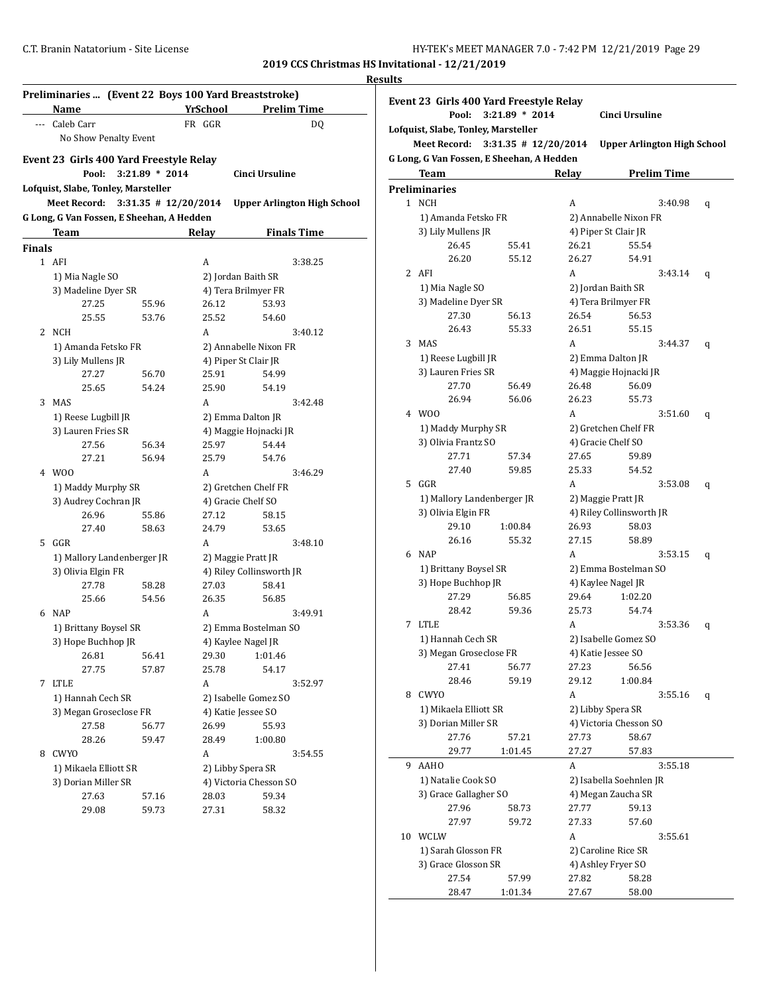**2019 CCS Christmas HS Invitational - 12/21/2019 Results**

| Preliminaries  (Event 22 Boys 100 Yard Breaststroke) |                                           |                        |                 |                                    |  |  |
|------------------------------------------------------|-------------------------------------------|------------------------|-----------------|------------------------------------|--|--|
|                                                      | Name                                      |                        | <b>YrSchool</b> | <b>Prelim Time</b>                 |  |  |
|                                                      | --- Caleb Carr                            |                        | FR GGR          | DQ                                 |  |  |
|                                                      | No Show Penalty Event                     |                        |                 |                                    |  |  |
|                                                      | Event 23 Girls 400 Yard Freestyle Relay   |                        |                 |                                    |  |  |
|                                                      | Pool:                                     | $3:21.89 * 2014$       |                 | <b>Cinci Ursuline</b>              |  |  |
|                                                      | Lofquist, Slabe, Tonley, Marsteller       |                        |                 |                                    |  |  |
|                                                      | <b>Meet Record:</b>                       | $3:31.35$ # 12/20/2014 |                 | <b>Upper Arlington High School</b> |  |  |
|                                                      | G Long, G Van Fossen, E Sheehan, A Hedden |                        |                 |                                    |  |  |
|                                                      | Team                                      |                        | Relay           | <b>Finals Time</b>                 |  |  |
| Finals                                               |                                           |                        |                 |                                    |  |  |
|                                                      | 1 AFI                                     |                        | A               | 3:38.25                            |  |  |
|                                                      | 1) Mia Nagle SO                           |                        |                 | 2) Jordan Baith SR                 |  |  |
|                                                      | 3) Madeline Dyer SR                       |                        |                 | 4) Tera Brilmyer FR                |  |  |
|                                                      | 27.25                                     | 55.96                  | 26.12           | 53.93                              |  |  |
|                                                      | 25.55                                     | 53.76                  | 25.52           | 54.60                              |  |  |
|                                                      | 2 NCH                                     |                        | A               | 3:40.12                            |  |  |
|                                                      | 1) Amanda Fetsko FR                       |                        |                 | 2) Annabelle Nixon FR              |  |  |
|                                                      | 3) Lily Mullens JR                        |                        |                 | 4) Piper St Clair JR               |  |  |
|                                                      | 27.27                                     | 56.70                  | 25.91           | 54.99                              |  |  |
|                                                      | 25.65                                     | 54.24                  | 25.90           | 54.19                              |  |  |
| 3                                                    | <b>MAS</b>                                |                        | A               | 3:42.48                            |  |  |
|                                                      | 1) Reese Lugbill JR                       |                        |                 | 2) Emma Dalton JR                  |  |  |
|                                                      | 3) Lauren Fries SR                        |                        |                 | 4) Maggie Hojnacki JR              |  |  |
|                                                      | 27.56                                     | 56.34                  | 25.97           | 54.44                              |  |  |
|                                                      | 27.21                                     | 56.94                  | 25.79           | 54.76                              |  |  |
|                                                      | 4 W00                                     |                        | A               | 3:46.29                            |  |  |
|                                                      | 1) Maddy Murphy SR                        |                        |                 | 2) Gretchen Chelf FR               |  |  |
|                                                      | 3) Audrey Cochran JR                      |                        |                 | 4) Gracie Chelf SO                 |  |  |
|                                                      | 26.96                                     | 55.86                  | 27.12           | 58.15                              |  |  |
|                                                      | 27.40                                     | 58.63                  | 24.79           | 53.65                              |  |  |
|                                                      | 5 GGR                                     |                        | A               | 3:48.10                            |  |  |
|                                                      | 1) Mallory Landenberger JR                |                        |                 | 2) Maggie Pratt JR                 |  |  |
|                                                      | 3) Olivia Elgin FR                        |                        |                 | 4) Riley Collinsworth JR           |  |  |
|                                                      | 27.78                                     | 58.28                  | 27.03           | 58.41                              |  |  |
|                                                      | 25.66                                     | 54.56                  | 26.35           | 56.85                              |  |  |
| 6                                                    | <b>NAP</b>                                |                        | A               | 3:49.91                            |  |  |
|                                                      | 1) Brittany Boysel SR                     |                        |                 | 2) Emma Bostelman SO               |  |  |
|                                                      | 3) Hope Buchhop JR                        |                        |                 | 4) Kaylee Nagel JR                 |  |  |
|                                                      | 26.81                                     | 56.41                  | 29.30           | 1:01.46                            |  |  |
|                                                      | 27.75                                     | 57.87                  | 25.78           | 54.17                              |  |  |
| 7                                                    | LTLE                                      |                        | A               | 3:52.97                            |  |  |
|                                                      | 1) Hannah Cech SR                         |                        |                 | 2) Isabelle Gomez SO               |  |  |
|                                                      | 3) Megan Groseclose FR                    |                        |                 | 4) Katie Jessee SO                 |  |  |
|                                                      | 27.58                                     | 56.77                  | 26.99           | 55.93                              |  |  |
|                                                      | 28.26                                     | 59.47                  | 28.49           | 1:00.80                            |  |  |
| 8                                                    | CWYO                                      |                        | А               | 3:54.55                            |  |  |
|                                                      | 1) Mikaela Elliott SR                     |                        |                 | 2) Libby Spera SR                  |  |  |
|                                                      | 3) Dorian Miller SR                       |                        |                 | 4) Victoria Chesson SO             |  |  |
|                                                      | 27.63                                     | 57.16                  | 28.03           | 59.34                              |  |  |
|                                                      | 29.08                                     | 59.73                  | 27.31           | 58.32                              |  |  |
|                                                      |                                           |                        |                 |                                    |  |  |

| Event 23 Girls 400 Yard Freestyle Relay |                                           |                                           |       |                                    |   |  |  |
|-----------------------------------------|-------------------------------------------|-------------------------------------------|-------|------------------------------------|---|--|--|
|                                         | Pool:                                     | 3:21.89 * 2014                            |       | Cinci Ursuline                     |   |  |  |
| Lofquist, Slabe, Tonley, Marsteller     |                                           |                                           |       |                                    |   |  |  |
|                                         | <b>Meet Record:</b>                       | $3:31.35$ # $12/20/2014$                  |       | <b>Upper Arlington High School</b> |   |  |  |
|                                         |                                           | G Long, G Van Fossen, E Sheehan, A Hedden |       |                                    |   |  |  |
|                                         | <b>Team</b>                               |                                           | Relay | <b>Prelim Time</b>                 |   |  |  |
|                                         | <b>Preliminaries</b>                      |                                           |       |                                    |   |  |  |
|                                         | 1 NCH                                     |                                           | A     | 3:40.98                            | q |  |  |
|                                         | 1) Amanda Fetsko FR                       |                                           |       | 2) Annabelle Nixon FR              |   |  |  |
|                                         | 3) Lily Mullens JR                        |                                           |       | 4) Piper St Clair JR               |   |  |  |
|                                         | 26.45                                     | 55.41                                     | 26.21 | 55.54                              |   |  |  |
|                                         | 26.20                                     | 55.12                                     | 26.27 | 54.91                              |   |  |  |
|                                         | 2 AFI                                     |                                           | A     | 3:43.14                            | q |  |  |
|                                         | 1) Mia Nagle SO                           |                                           |       | 2) Jordan Baith SR                 |   |  |  |
|                                         | 3) Madeline Dyer SR                       |                                           |       | 4) Tera Brilmyer FR                |   |  |  |
|                                         | 27.30                                     | 56.13                                     | 26.54 | 56.53                              |   |  |  |
|                                         | 26.43                                     | 55.33                                     | 26.51 | 55.15                              |   |  |  |
|                                         | 3 MAS                                     |                                           | A     | 3:44.37                            | q |  |  |
|                                         | 1) Reese Lugbill JR                       |                                           |       | 2) Emma Dalton JR                  |   |  |  |
|                                         | 3) Lauren Fries SR                        |                                           |       | 4) Maggie Hojnacki JR              |   |  |  |
|                                         | 27.70                                     | 56.49                                     | 26.48 | 56.09                              |   |  |  |
|                                         | 26.94<br>W <sub>00</sub>                  | 56.06                                     | 26.23 | 55.73                              |   |  |  |
| 4                                       |                                           |                                           | A     | 3:51.60                            | q |  |  |
|                                         | 1) Maddy Murphy SR<br>3) Olivia Frantz SO |                                           |       | 2) Gretchen Chelf FR               |   |  |  |
|                                         | 27.71                                     | 57.34                                     | 27.65 | 4) Gracie Chelf SO<br>59.89        |   |  |  |
|                                         | 27.40                                     | 59.85                                     | 25.33 | 54.52                              |   |  |  |
| 5                                       | GGR                                       |                                           | A     | 3:53.08                            |   |  |  |
|                                         | 1) Mallory Landenberger JR                |                                           |       | 2) Maggie Pratt JR                 | q |  |  |
|                                         | 3) Olivia Elgin FR                        |                                           |       | 4) Riley Collinsworth JR           |   |  |  |
|                                         | 29.10                                     | 1:00.84                                   | 26.93 | 58.03                              |   |  |  |
|                                         | 26.16                                     | 55.32                                     | 27.15 | 58.89                              |   |  |  |
|                                         | 6 NAP                                     |                                           | A     | 3:53.15                            | q |  |  |
|                                         | 1) Brittany Boysel SR                     |                                           |       | 2) Emma Bostelman SO               |   |  |  |
|                                         | 3) Hope Buchhop JR                        |                                           |       | 4) Kaylee Nagel JR                 |   |  |  |
|                                         | 27.29                                     | 56.85                                     | 29.64 | 1:02.20                            |   |  |  |
|                                         | 28.42                                     | 59.36                                     | 25.73 | 54.74                              |   |  |  |
| 7                                       | <b>LTLE</b>                               |                                           | A     | 3:53.36                            | q |  |  |
|                                         | 1) Hannah Cech SR                         |                                           |       | 2) Isabelle Gomez SO               |   |  |  |
|                                         | 3) Megan Groseclose FR                    |                                           |       | 4) Katie Jessee SO                 |   |  |  |
|                                         | 27.41                                     | 56.77                                     | 27.23 | 56.56                              |   |  |  |
|                                         | 28.46                                     | 59.19                                     | 29.12 | 1:00.84                            |   |  |  |
| 8                                       | CWYO                                      |                                           | A     | 3:55.16                            | q |  |  |
|                                         | 1) Mikaela Elliott SR                     |                                           |       | 2) Libby Spera SR                  |   |  |  |
|                                         | 3) Dorian Miller SR                       |                                           |       | 4) Victoria Chesson SO             |   |  |  |
|                                         | 27.76                                     | 57.21                                     | 27.73 | 58.67                              |   |  |  |
|                                         | 29.77                                     | 1:01.45                                   | 27.27 | 57.83                              |   |  |  |
| 9                                       | <b>AAHO</b>                               |                                           | A     | 3:55.18                            |   |  |  |
|                                         | 1) Natalie Cook SO                        |                                           |       | 2) Isabella Soehnlen JR            |   |  |  |
|                                         | 3) Grace Gallagher SO                     |                                           |       | 4) Megan Zaucha SR                 |   |  |  |
|                                         | 27.96                                     | 58.73                                     | 27.77 | 59.13                              |   |  |  |
|                                         | 27.97                                     | 59.72                                     | 27.33 | 57.60                              |   |  |  |
| 10                                      | WCLW                                      |                                           | A     | 3:55.61                            |   |  |  |
|                                         | 1) Sarah Glosson FR                       |                                           |       | 2) Caroline Rice SR                |   |  |  |
|                                         | 3) Grace Glosson SR                       |                                           |       | 4) Ashley Fryer SO                 |   |  |  |
|                                         | 27.54                                     | 57.99                                     | 27.82 | 58.28                              |   |  |  |
|                                         | 28.47                                     | 1:01.34                                   | 27.67 | 58.00                              |   |  |  |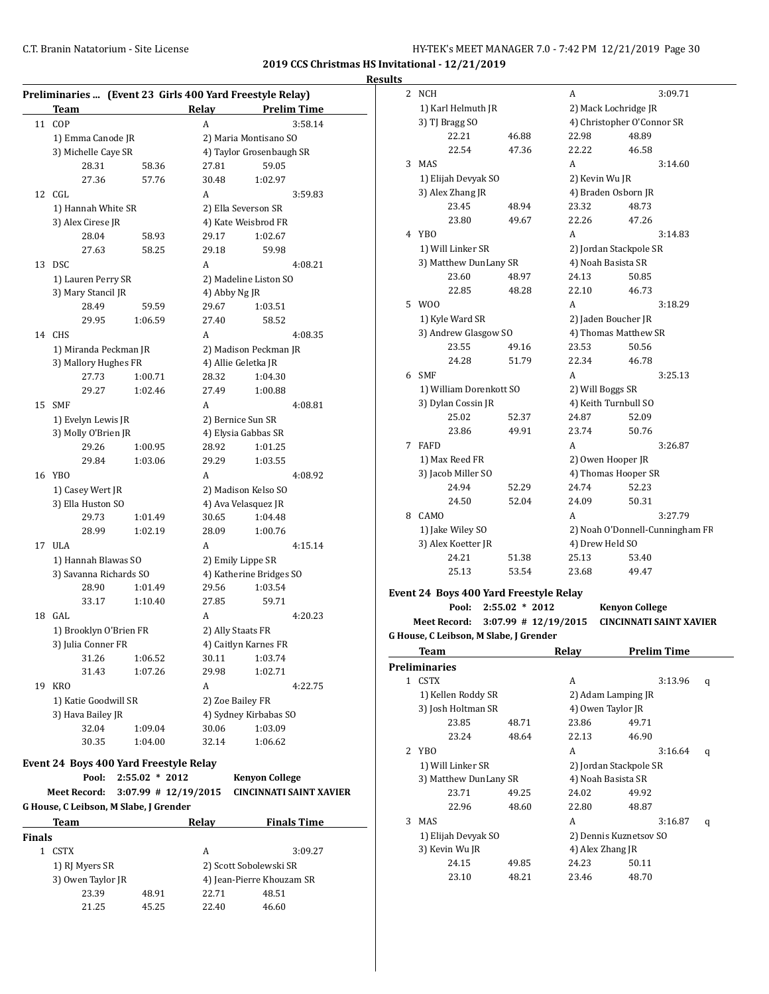**Results**

|        | Preliminaries  (Event 23 Girls 400 Yard Freestyle Relay)<br><b>Team</b> |                  | Relay                  | <b>Prelim Time</b>             |  |  |
|--------|-------------------------------------------------------------------------|------------------|------------------------|--------------------------------|--|--|
| 11     | COP                                                                     |                  | A                      | 3:58.14                        |  |  |
|        | 1) Emma Canode JR                                                       |                  |                        | 2) Maria Montisano SO          |  |  |
|        | 3) Michelle Caye SR                                                     |                  |                        | 4) Taylor Grosenbaugh SR       |  |  |
|        | 28.31                                                                   | 58.36            | 27.81                  | 59.05                          |  |  |
|        | 27.36                                                                   | 57.76            | 30.48                  | 1:02.97                        |  |  |
| 12     | CGL                                                                     |                  | A                      | 3:59.83                        |  |  |
|        | 1) Hannah White SR                                                      |                  |                        | 2) Ella Severson SR            |  |  |
|        | 3) Alex Cirese JR                                                       |                  |                        | 4) Kate Weisbrod FR            |  |  |
|        | 28.04                                                                   | 58.93            | 29.17                  | 1:02.67                        |  |  |
|        | 27.63                                                                   | 58.25            | 29.18                  | 59.98                          |  |  |
| 13     | DSC.                                                                    |                  | A                      | 4:08.21                        |  |  |
|        | 1) Lauren Perry SR                                                      |                  |                        | 2) Madeline Liston SO          |  |  |
|        | 3) Mary Stancil JR                                                      |                  | 4) Abby Ng JR          |                                |  |  |
|        | 28.49                                                                   | 59.59            | 29.67                  | 1:03.51                        |  |  |
|        | 29.95                                                                   | 1:06.59          | 27.40                  | 58.52                          |  |  |
| 14     | <b>CHS</b>                                                              |                  | A                      | 4:08.35                        |  |  |
|        | 1) Miranda Peckman JR                                                   |                  |                        | 2) Madison Peckman JR          |  |  |
|        | 3) Mallory Hughes FR                                                    |                  |                        | 4) Allie Geletka JR            |  |  |
|        | 27.73                                                                   | 1:00.71          | 28.32                  | 1:04.30                        |  |  |
|        | 29.27                                                                   | 1:02.46          | 27.49                  | 1:00.88                        |  |  |
| 15     | <b>SMF</b>                                                              |                  | A                      | 4:08.81                        |  |  |
|        | 1) Evelyn Lewis JR                                                      |                  |                        | 2) Bernice Sun SR              |  |  |
|        | 3) Molly O'Brien JR<br>29.26                                            | 1:00.95          | 28.92                  | 4) Elysia Gabbas SR<br>1:01.25 |  |  |
|        | 29.84                                                                   | 1:03.06          | 29.29                  | 1:03.55                        |  |  |
|        | 16 YBO                                                                  |                  | A                      | 4:08.92                        |  |  |
|        | 1) Casey Wert JR                                                        |                  |                        | 2) Madison Kelso SO            |  |  |
|        | 3) Ella Huston SO                                                       |                  |                        | 4) Ava Velasquez JR            |  |  |
|        | 29.73                                                                   | 1:01.49          | 30.65                  | 1:04.48                        |  |  |
|        | 28.99                                                                   | 1:02.19          | 28.09                  | 1:00.76                        |  |  |
| 17     | ULA                                                                     |                  | A                      | 4:15.14                        |  |  |
|        | 1) Hannah Blawas SO                                                     |                  |                        | 2) Emily Lippe SR              |  |  |
|        | 3) Savanna Richards SO                                                  |                  |                        | 4) Katherine Bridges SO        |  |  |
|        | 28.90                                                                   | 1:01.49          | 29.56                  | 1:03.54                        |  |  |
|        | 33.17                                                                   | 1:10.40          | 27.85                  | 59.71                          |  |  |
| 18     | GAL                                                                     |                  | A                      | 4:20.23                        |  |  |
|        | 1) Brooklyn O'Brien FR                                                  |                  |                        | 2) Ally Staats FR              |  |  |
|        | 3) Julia Conner FR                                                      |                  |                        | 4) Caitlyn Karnes FR           |  |  |
|        | 31.26                                                                   | 1:06.52          | 30.11                  | 1:03.74                        |  |  |
|        | 31.43                                                                   | 1:07.26          | 29.98                  | 1:02.71                        |  |  |
|        | 19 KRO                                                                  |                  | A                      | 4:22.75                        |  |  |
|        | 1) Katie Goodwill SR                                                    |                  |                        | 2) Zoe Bailey FR               |  |  |
|        | 3) Hava Bailey JR                                                       |                  |                        | 4) Sydney Kirbabas SO          |  |  |
|        | 32.04                                                                   | 1:09.04          | 30.06                  | 1:03.09                        |  |  |
|        | 30.35                                                                   | 1:04.00          | 32.14                  | 1:06.62                        |  |  |
|        | Event 24 Boys 400 Yard Freestyle Relay                                  |                  |                        |                                |  |  |
|        | Pool:                                                                   | $2:55.02 * 2012$ |                        | <b>Kenyon College</b>          |  |  |
|        | <b>Meet Record:</b>                                                     |                  | $3:07.99$ # 12/19/2015 | <b>CINCINNATI SAINT XAVIER</b> |  |  |
|        | G House, C Leibson, M Slabe, J Grender                                  |                  |                        |                                |  |  |
|        | <b>Team</b>                                                             |                  | <b>Relay</b>           | <b>Finals Time</b>             |  |  |
| Finals |                                                                         |                  |                        |                                |  |  |
|        | 1 CSTX                                                                  |                  | А                      | 3:09.27                        |  |  |
|        | 1) RJ Myers SR                                                          |                  |                        | 2) Scott Sobolewski SR         |  |  |
|        | 3) Owen Taylor JR                                                       |                  |                        | 4) Jean-Pierre Khouzam SR      |  |  |
|        |                                                                         |                  |                        |                                |  |  |
|        | 23.39<br>21.25                                                          | 48.91<br>45.25   | 22.71<br>22.40         | 48.51<br>46.60                 |  |  |

| . |                                        |                  |                        |                                 |  |
|---|----------------------------------------|------------------|------------------------|---------------------------------|--|
| 2 | <b>NCH</b>                             |                  | A                      | 3:09.71                         |  |
|   | 1) Karl Helmuth JR                     |                  | 2) Mack Lochridge JR   |                                 |  |
|   | 3) TJ Bragg SO                         |                  |                        | 4) Christopher O'Connor SR      |  |
|   | 22.21                                  | 46.88            | 22.98                  | 48.89                           |  |
|   | 22.54                                  | 47.36            | 22.22                  | 46.58                           |  |
| 3 | <b>MAS</b>                             |                  | A                      | 3:14.60                         |  |
|   | 1) Elijah Devyak SO                    |                  | 2) Kevin Wu JR         |                                 |  |
|   | 3) Alex Zhang JR                       |                  | 4) Braden Osborn JR    |                                 |  |
|   | 23.45                                  | 48.94            | 23.32                  | 48.73                           |  |
|   | 23.80                                  | 49.67            | 22.26                  | 47.26                           |  |
|   | 4 YBO                                  |                  | A                      | 3:14.83                         |  |
|   | 1) Will Linker SR                      |                  | 2) Jordan Stackpole SR |                                 |  |
|   | 3) Matthew DunLany SR                  |                  | 4) Noah Basista SR     |                                 |  |
|   | 23.60                                  | 48.97            | 24.13                  | 50.85                           |  |
|   | 22.85                                  | 48.28            | 22.10                  | 46.73                           |  |
| 5 | W00                                    |                  | A                      | 3:18.29                         |  |
|   | 1) Kyle Ward SR                        |                  | 2) Jaden Boucher JR    |                                 |  |
|   | 3) Andrew Glasgow SO                   |                  | 4) Thomas Matthew SR   |                                 |  |
|   | 23.55                                  | 49.16            | 23.53                  | 50.56                           |  |
|   | 24.28                                  | 51.79            | 22.34                  | 46.78                           |  |
| 6 | <b>SMF</b>                             |                  | A                      | 3:25.13                         |  |
|   | 1) William Dorenkott SO                |                  | 2) Will Boggs SR       |                                 |  |
|   | 3) Dylan Cossin JR                     |                  | 4) Keith Turnbull SO   |                                 |  |
|   | 25.02                                  | 52.37            | 24.87                  | 52.09                           |  |
|   | 23.86                                  | 49.91            | 23.74                  | 50.76                           |  |
| 7 | <b>FAFD</b>                            |                  | A                      | 3:26.87                         |  |
|   | 1) Max Reed FR                         |                  | 2) Owen Hooper JR      |                                 |  |
|   | 3) Jacob Miller SO                     |                  | 4) Thomas Hooper SR    |                                 |  |
|   | 24.94                                  | 52.29            | 24.74                  | 52.23                           |  |
|   | 24.50                                  | 52.04            | 24.09                  | 50.31                           |  |
| 8 | CAMO                                   |                  | A                      | 3:27.79                         |  |
|   | 1) Jake Wiley SO                       |                  |                        | 2) Noah O'Donnell-Cunningham FR |  |
|   | 3) Alex Koetter JR                     |                  | 4) Drew Held SO        |                                 |  |
|   | 24.21                                  | 51.38            | 25.13                  | 53.40                           |  |
|   | 25.13                                  | 53.54            | 23.68                  | 49.47                           |  |
|   | Event 24 Boys 400 Yard Freestyle Relay |                  |                        |                                 |  |
|   | Pool:                                  | $2:55.02 * 2012$ |                        | <b>Kenyon College</b>           |  |
|   |                                        |                  |                        |                                 |  |

**Meet Record: 3:07.99 # 12/19/2015 CINCINNATI SAINT XAVIER G House, C Leibson, M Slabe, J Grender**

|   | Team                  |       | Relav             | Prelim Time            |   |  |
|---|-----------------------|-------|-------------------|------------------------|---|--|
|   | Preliminaries         |       |                   |                        |   |  |
| 1 | <b>CSTX</b>           |       | A                 | 3:13.96                | q |  |
|   | 1) Kellen Roddy SR    |       |                   | 2) Adam Lamping JR     |   |  |
|   | 3) Josh Holtman SR    |       | 4) Owen Taylor JR |                        |   |  |
|   | 23.85                 | 48.71 | 23.86             | 49.71                  |   |  |
|   | 23.24                 | 48.64 | 22.13             | 46.90                  |   |  |
| 2 | YBO                   |       | A                 | 3:16.64                | q |  |
|   | 1) Will Linker SR     |       |                   | 2) Jordan Stackpole SR |   |  |
|   | 3) Matthew DunLany SR |       |                   | 4) Noah Basista SR     |   |  |
|   | 23.71                 | 49.25 | 24.02             | 49.92                  |   |  |
|   | 22.96                 | 48.60 | 22.80             | 48.87                  |   |  |
| 3 | MAS                   |       | A                 | 3:16.87                | q |  |
|   | 1) Elijah Devyak SO   |       |                   | 2) Dennis Kuznetsov SO |   |  |
|   | 3) Kevin Wu JR        |       | 4) Alex Zhang JR  |                        |   |  |
|   | 24.15                 | 49.85 | 24.23             | 50.11                  |   |  |
|   | 23.10                 | 48.21 | 23.46             | 48.70                  |   |  |